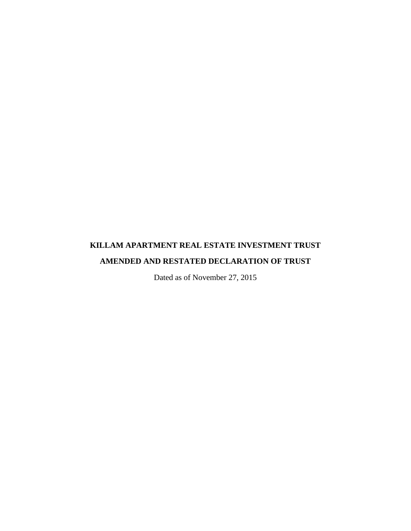# **KILLAM APARTMENT REAL ESTATE INVESTMENT TRUST AMENDED AND RESTATED DECLARATION OF TRUST**

Dated as of November 27, 2015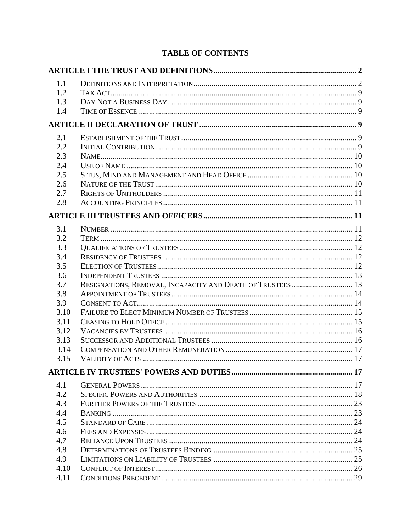# **TABLE OF CONTENTS**

| 1.1  |                                                             |  |
|------|-------------------------------------------------------------|--|
| 1.2  |                                                             |  |
| 1.3  |                                                             |  |
| 1.4  |                                                             |  |
|      |                                                             |  |
| 2.1  |                                                             |  |
| 2.2  |                                                             |  |
| 2.3  |                                                             |  |
| 2.4  |                                                             |  |
| 2.5  |                                                             |  |
| 2.6  |                                                             |  |
| 2.7  |                                                             |  |
| 2.8  |                                                             |  |
|      |                                                             |  |
| 3.1  |                                                             |  |
| 3.2  |                                                             |  |
| 3.3  |                                                             |  |
| 3.4  |                                                             |  |
| 3.5  |                                                             |  |
| 3.6  |                                                             |  |
| 3.7  | RESIGNATIONS, REMOVAL, INCAPACITY AND DEATH OF TRUSTEES  13 |  |
| 3.8  |                                                             |  |
| 3.9  |                                                             |  |
| 3.10 |                                                             |  |
| 3.11 |                                                             |  |
| 3.12 |                                                             |  |
| 3.13 |                                                             |  |
| 3.14 |                                                             |  |
| 3.15 |                                                             |  |
|      |                                                             |  |
| 4.1  |                                                             |  |
| 4.2  |                                                             |  |
| 4.3  |                                                             |  |
| 4.4  |                                                             |  |
| 4.5  |                                                             |  |
| 4.6  |                                                             |  |
| 4.7  |                                                             |  |
| 4.8  |                                                             |  |
| 4.9  |                                                             |  |
| 4.10 |                                                             |  |
| 4.11 |                                                             |  |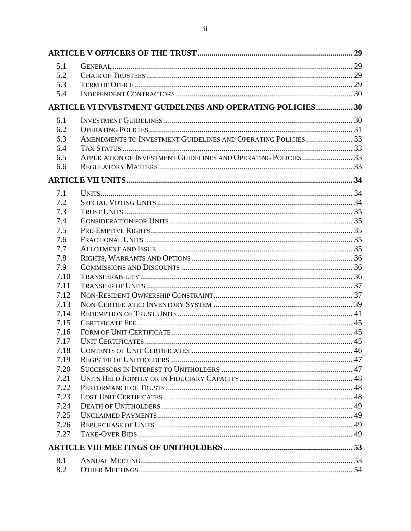| 5.1  |                                                                   |  |
|------|-------------------------------------------------------------------|--|
| 5.2  |                                                                   |  |
| 5.3  |                                                                   |  |
| 5.4  |                                                                   |  |
|      | <b>ARTICLE VI INVESTMENT GUIDELINES AND OPERATING POLICIES 30</b> |  |
| 6.1  |                                                                   |  |
| 6.2  |                                                                   |  |
| 6.3  |                                                                   |  |
| 6.4  |                                                                   |  |
| 6.5  | APPLICATION OF INVESTMENT GUIDELINES AND OPERATING POLICIES 33    |  |
| 6.6  |                                                                   |  |
|      |                                                                   |  |
| 7.1  |                                                                   |  |
| 7.2  |                                                                   |  |
| 7.3  |                                                                   |  |
| 7.4  |                                                                   |  |
| 7.5  |                                                                   |  |
| 7.6  |                                                                   |  |
| 7.7  |                                                                   |  |
| 7.8  |                                                                   |  |
| 7.9  |                                                                   |  |
| 7.10 |                                                                   |  |
| 7.11 |                                                                   |  |
| 7.12 |                                                                   |  |
| 7.13 |                                                                   |  |
| 7.14 |                                                                   |  |
| 7.15 |                                                                   |  |
| 7.16 |                                                                   |  |
| 7.17 |                                                                   |  |
| 7.18 |                                                                   |  |
| 7.19 |                                                                   |  |
| 7.20 |                                                                   |  |
| 7.21 |                                                                   |  |
| 7.22 |                                                                   |  |
| 7.23 |                                                                   |  |
| 7.24 |                                                                   |  |
| 7.25 |                                                                   |  |
| 7.26 |                                                                   |  |
| 7.27 |                                                                   |  |
|      |                                                                   |  |
| 8.1  |                                                                   |  |
| 8.2  |                                                                   |  |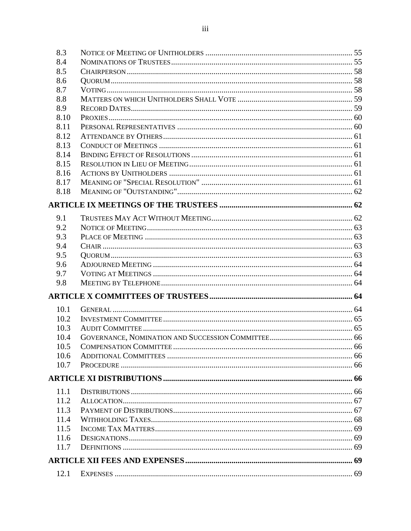| 8.3  |               |    |
|------|---------------|----|
| 8.4  |               |    |
| 8.5  |               |    |
| 8.6  |               |    |
| 8.7  |               |    |
| 8.8  |               |    |
| 8.9  |               |    |
| 8.10 |               |    |
| 8.11 |               |    |
| 8.12 |               |    |
| 8.13 |               |    |
| 8.14 |               |    |
| 8.15 |               |    |
| 8.16 |               |    |
| 8.17 |               |    |
| 8.18 |               |    |
|      |               |    |
| 9.1  |               |    |
| 9.2  |               |    |
| 9.3  |               |    |
| 9.4  |               |    |
| 9.5  |               |    |
| 9.6  |               |    |
| 9.7  |               |    |
| 9.8  |               |    |
|      |               |    |
| 10.1 |               |    |
| 10.2 |               |    |
| 10.3 |               |    |
| 10.4 |               |    |
| 10.5 |               |    |
| 10.6 |               |    |
| 10.7 |               |    |
|      |               |    |
| 11.1 |               |    |
| 11.2 |               |    |
| 11.3 |               |    |
| 11.4 |               |    |
| 11.5 |               |    |
| 11.6 |               |    |
| 11.7 |               |    |
|      |               |    |
|      | 12.1 EXPENSES | 69 |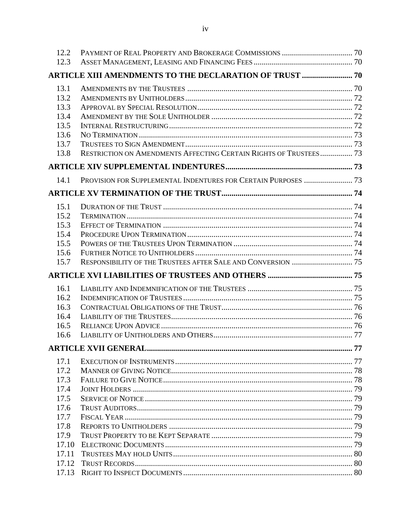| 12.2           |                                                                   |    |
|----------------|-------------------------------------------------------------------|----|
| 12.3           |                                                                   |    |
|                | <b>ARTICLE XIII AMENDMENTS TO THE DECLARATION OF TRUST  70</b>    |    |
| 13.1           |                                                                   |    |
| 13.2           |                                                                   |    |
| 13.3           |                                                                   |    |
| 13.4           |                                                                   |    |
| 13.5           |                                                                   |    |
| 13.6           |                                                                   |    |
| 13.7           |                                                                   |    |
| 13.8           | RESTRICTION ON AMENDMENTS AFFECTING CERTAIN RIGHTS OF TRUSTEES 73 |    |
|                |                                                                   |    |
| 14.1           | PROVISION FOR SUPPLEMENTAL INDENTURES FOR CERTAIN PURPOSES  73    |    |
|                |                                                                   |    |
| 15.1           |                                                                   |    |
| 15.2           |                                                                   |    |
| 15.3           |                                                                   |    |
| 15.4           |                                                                   |    |
| 15.5           |                                                                   |    |
| 15.6           |                                                                   |    |
| 15.7           |                                                                   |    |
|                |                                                                   |    |
| 16.1           |                                                                   |    |
| 16.2           |                                                                   |    |
| 16.3           |                                                                   |    |
| 16.4           |                                                                   |    |
| 16.5           |                                                                   |    |
| 16.6           |                                                                   |    |
|                | <b>ARTICLE XVII GENERAL.</b>                                      | 77 |
| 17.1           |                                                                   |    |
| 17.2           |                                                                   |    |
| 17.3           |                                                                   |    |
| 17.4           |                                                                   |    |
| 17.5           |                                                                   |    |
| 17.6           |                                                                   |    |
| 17.7           |                                                                   |    |
| 17.8           |                                                                   |    |
| 17.9           |                                                                   |    |
| 17.10          |                                                                   |    |
| 17.11          |                                                                   |    |
| 17.12<br>17.13 |                                                                   |    |
|                |                                                                   |    |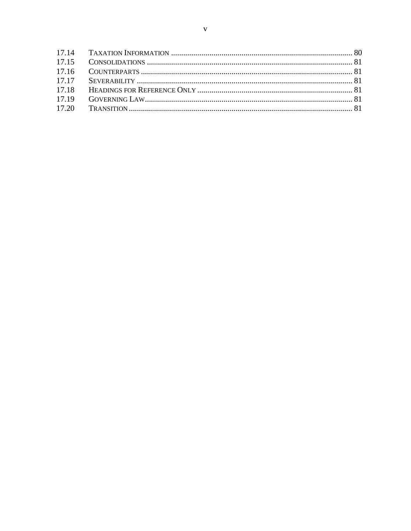| 17.18 |  |
|-------|--|
| 17.19 |  |
|       |  |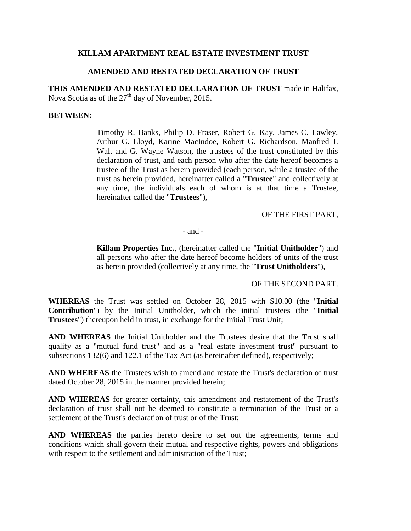### **KILLAM APARTMENT REAL ESTATE INVESTMENT TRUST**

### **AMENDED AND RESTATED DECLARATION OF TRUST**

**THIS AMENDED AND RESTATED DECLARATION OF TRUST** made in Halifax, Nova Scotia as of the  $27<sup>th</sup>$  day of November, 2015.

#### **BETWEEN:**

Timothy R. Banks, Philip D. Fraser, Robert G. Kay, James C. Lawley, Arthur G. Lloyd, Karine MacIndoe, Robert G. Richardson, Manfred J. Walt and G. Wayne Watson, the trustees of the trust constituted by this declaration of trust, and each person who after the date hereof becomes a trustee of the Trust as herein provided (each person, while a trustee of the trust as herein provided, hereinafter called a "**Trustee**" and collectively at any time, the individuals each of whom is at that time a Trustee, hereinafter called the "**Trustees**"),

#### OF THE FIRST PART,

- and -

**Killam Properties Inc.**, (hereinafter called the "**Initial Unitholder**") and all persons who after the date hereof become holders of units of the trust as herein provided (collectively at any time, the "**Trust Unitholders**"),

OF THE SECOND PART.

**WHEREAS** the Trust was settled on October 28, 2015 with \$10.00 (the "**Initial Contribution**") by the Initial Unitholder, which the initial trustees (the "**Initial Trustees**") thereupon held in trust, in exchange for the Initial Trust Unit;

**AND WHEREAS** the Initial Unitholder and the Trustees desire that the Trust shall qualify as a "mutual fund trust" and as a "real estate investment trust" pursuant to subsections 132(6) and 122.1 of the Tax Act (as hereinafter defined), respectively;

**AND WHEREAS** the Trustees wish to amend and restate the Trust's declaration of trust dated October 28, 2015 in the manner provided herein;

**AND WHEREAS** for greater certainty, this amendment and restatement of the Trust's declaration of trust shall not be deemed to constitute a termination of the Trust or a settlement of the Trust's declaration of trust or of the Trust:

**AND WHEREAS** the parties hereto desire to set out the agreements, terms and conditions which shall govern their mutual and respective rights, powers and obligations with respect to the settlement and administration of the Trust;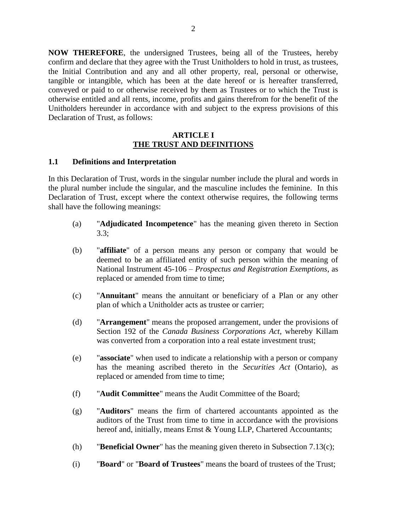**NOW THEREFORE**, the undersigned Trustees, being all of the Trustees, hereby confirm and declare that they agree with the Trust Unitholders to hold in trust, as trustees, the Initial Contribution and any and all other property, real, personal or otherwise, tangible or intangible, which has been at the date hereof or is hereafter transferred, conveyed or paid to or otherwise received by them as Trustees or to which the Trust is otherwise entitled and all rents, income, profits and gains therefrom for the benefit of the Unitholders hereunder in accordance with and subject to the express provisions of this Declaration of Trust, as follows:

#### **ARTICLE I THE TRUST AND DEFINITIONS**

#### <span id="page-7-1"></span><span id="page-7-0"></span>**1.1 Definitions and Interpretation**

In this Declaration of Trust, words in the singular number include the plural and words in the plural number include the singular, and the masculine includes the feminine. In this Declaration of Trust, except where the context otherwise requires, the following terms shall have the following meanings:

- (a) "**Adjudicated Incompetence**" has the meaning given thereto in Section 3.3;
- (b) "**affiliate**" of a person means any person or company that would be deemed to be an affiliated entity of such person within the meaning of National Instrument 45-106 – *Prospectus and Registration Exemptions*, as replaced or amended from time to time;
- (c) "**Annuitant**" means the annuitant or beneficiary of a Plan or any other plan of which a Unitholder acts as trustee or carrier;
- (d) "**Arrangement**" means the proposed arrangement, under the provisions of Section 192 of the *Canada Business Corporations Act*, whereby Killam was converted from a corporation into a real estate investment trust;
- (e) "**associate**" when used to indicate a relationship with a person or company has the meaning ascribed thereto in the *Securities Act* (Ontario), as replaced or amended from time to time;
- (f) "**Audit Committee**" means the Audit Committee of the Board;
- (g) "**Auditors**" means the firm of chartered accountants appointed as the auditors of the Trust from time to time in accordance with the provisions hereof and, initially, means Ernst & Young LLP, Chartered Accountants;
- (h) "**Beneficial Owner**" has the meaning given thereto in Subsection 7.13(c);
- (i) "**Board**" or "**Board of Trustees**" means the board of trustees of the Trust;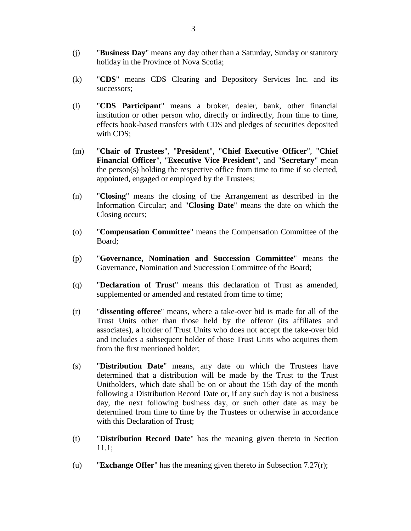- (j) "**Business Day**" means any day other than a Saturday, Sunday or statutory holiday in the Province of Nova Scotia;
- (k) "**CDS**" means CDS Clearing and Depository Services Inc. and its successors;
- (l) "**CDS Participant**" means a broker, dealer, bank, other financial institution or other person who, directly or indirectly, from time to time, effects book-based transfers with CDS and pledges of securities deposited with CDS;
- (m) "**Chair of Trustees**", "**President**", "**Chief Executive Officer**", "**Chief Financial Officer**", "**Executive Vice President**", and "**Secretary**" mean the person(s) holding the respective office from time to time if so elected, appointed, engaged or employed by the Trustees;
- (n) "**Closing**" means the closing of the Arrangement as described in the Information Circular; and "**Closing Date**" means the date on which the Closing occurs;
- (o) "**Compensation Committee**" means the Compensation Committee of the Board;
- (p) "**Governance, Nomination and Succession Committee**" means the Governance, Nomination and Succession Committee of the Board;
- (q) "**Declaration of Trust**" means this declaration of Trust as amended, supplemented or amended and restated from time to time;
- (r) "**dissenting offeree**" means, where a take-over bid is made for all of the Trust Units other than those held by the offeror (its affiliates and associates), a holder of Trust Units who does not accept the take-over bid and includes a subsequent holder of those Trust Units who acquires them from the first mentioned holder;
- (s) "**Distribution Date**" means, any date on which the Trustees have determined that a distribution will be made by the Trust to the Trust Unitholders, which date shall be on or about the 15th day of the month following a Distribution Record Date or, if any such day is not a business day, the next following business day, or such other date as may be determined from time to time by the Trustees or otherwise in accordance with this Declaration of Trust:
- (t) "**Distribution Record Date**" has the meaning given thereto in Section 11.1;
- (u) "**Exchange Offer**" has the meaning given thereto in Subsection 7.27(r);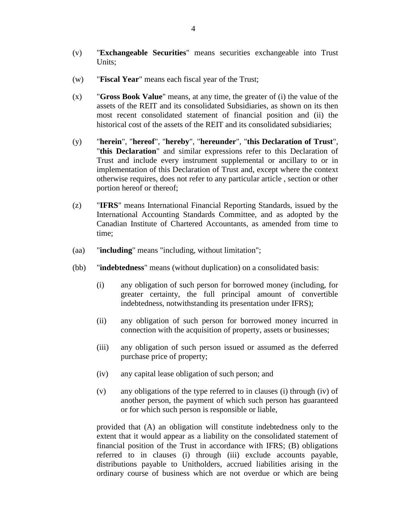- (v) "**Exchangeable Securities**" means securities exchangeable into Trust Units;
- (w) "**Fiscal Year**" means each fiscal year of the Trust;
- (x) "**Gross Book Value**" means, at any time, the greater of (i) the value of the assets of the REIT and its consolidated Subsidiaries, as shown on its then most recent consolidated statement of financial position and (ii) the historical cost of the assets of the REIT and its consolidated subsidiaries;
- (y) "**herein**", "**hereof**", "**hereby**", "**hereunder**", "**this Declaration of Trust**", "**this Declaration**" and similar expressions refer to this Declaration of Trust and include every instrument supplemental or ancillary to or in implementation of this Declaration of Trust and, except where the context otherwise requires, does not refer to any particular article , section or other portion hereof or thereof;
- (z) "**IFRS**" means International Financial Reporting Standards, issued by the International Accounting Standards Committee, and as adopted by the Canadian Institute of Chartered Accountants, as amended from time to time;
- (aa) "**including**" means "including, without limitation";
- (bb) "**indebtedness**" means (without duplication) on a consolidated basis:
	- (i) any obligation of such person for borrowed money (including, for greater certainty, the full principal amount of convertible indebtedness, notwithstanding its presentation under IFRS);
	- (ii) any obligation of such person for borrowed money incurred in connection with the acquisition of property, assets or businesses;
	- (iii) any obligation of such person issued or assumed as the deferred purchase price of property;
	- (iv) any capital lease obligation of such person; and
	- (v) any obligations of the type referred to in clauses (i) through (iv) of another person, the payment of which such person has guaranteed or for which such person is responsible or liable,

provided that (A) an obligation will constitute indebtedness only to the extent that it would appear as a liability on the consolidated statement of financial position of the Trust in accordance with IFRS; (B) obligations referred to in clauses (i) through (iii) exclude accounts payable, distributions payable to Unitholders, accrued liabilities arising in the ordinary course of business which are not overdue or which are being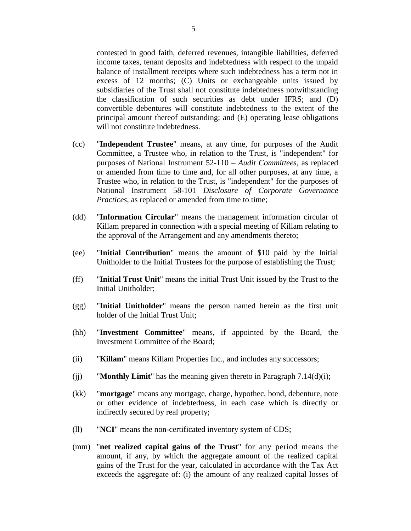contested in good faith, deferred revenues, intangible liabilities, deferred income taxes, tenant deposits and indebtedness with respect to the unpaid balance of installment receipts where such indebtedness has a term not in excess of 12 months; (C) Units or exchangeable units issued by subsidiaries of the Trust shall not constitute indebtedness notwithstanding the classification of such securities as debt under IFRS; and (D) convertible debentures will constitute indebtedness to the extent of the principal amount thereof outstanding; and (E) operating lease obligations will not constitute indebtedness.

- (cc) "**Independent Trustee**" means, at any time, for purposes of the Audit Committee, a Trustee who, in relation to the Trust, is "independent" for purposes of National Instrument 52-110 – *Audit Committees*, as replaced or amended from time to time and, for all other purposes, at any time, a Trustee who, in relation to the Trust, is "independent" for the purposes of National Instrument 58-101 *Disclosure of Corporate Governance Practices*, as replaced or amended from time to time;
- (dd) "**Information Circular**" means the management information circular of Killam prepared in connection with a special meeting of Killam relating to the approval of the Arrangement and any amendments thereto;
- (ee) "**Initial Contribution**" means the amount of \$10 paid by the Initial Unitholder to the Initial Trustees for the purpose of establishing the Trust;
- (ff) "**Initial Trust Unit**" means the initial Trust Unit issued by the Trust to the Initial Unitholder;
- (gg) "**Initial Unitholder**" means the person named herein as the first unit holder of the Initial Trust Unit;
- (hh) "**Investment Committee**" means, if appointed by the Board, the Investment Committee of the Board;
- (ii) "**Killam**" means Killam Properties Inc., and includes any successors;
- (ii) **"Monthly Limit"** has the meaning given thereto in Paragraph  $7.14(d)(i)$ ;
- (kk) "**mortgage**" means any mortgage, charge, hypothec, bond, debenture, note or other evidence of indebtedness, in each case which is directly or indirectly secured by real property;
- (ll) "**NCI**" means the non-certificated inventory system of CDS;
- (mm) "**net realized capital gains of the Trust**" for any period means the amount, if any, by which the aggregate amount of the realized capital gains of the Trust for the year, calculated in accordance with the Tax Act exceeds the aggregate of: (i) the amount of any realized capital losses of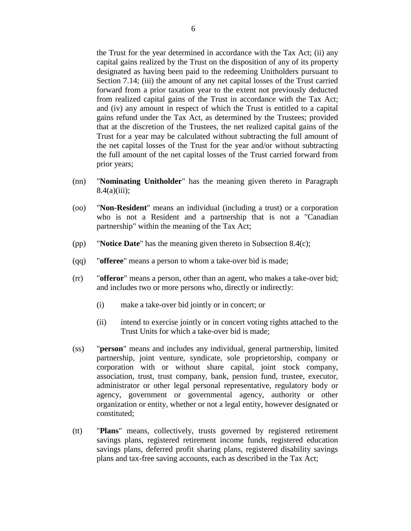the Trust for the year determined in accordance with the Tax Act; (ii) any capital gains realized by the Trust on the disposition of any of its property designated as having been paid to the redeeming Unitholders pursuant to Section 7.14; (iii) the amount of any net capital losses of the Trust carried forward from a prior taxation year to the extent not previously deducted from realized capital gains of the Trust in accordance with the Tax Act; and (iv) any amount in respect of which the Trust is entitled to a capital gains refund under the Tax Act, as determined by the Trustees; provided that at the discretion of the Trustees, the net realized capital gains of the Trust for a year may be calculated without subtracting the full amount of the net capital losses of the Trust for the year and/or without subtracting the full amount of the net capital losses of the Trust carried forward from prior years;

- (nn) "**Nominating Unitholder**" has the meaning given thereto in Paragraph  $8.4(a)(iii)$ :
- (oo) "**Non-Resident**" means an individual (including a trust) or a corporation who is not a Resident and a partnership that is not a "Canadian partnership" within the meaning of the Tax Act;
- (pp) "**Notice Date**" has the meaning given thereto in Subsection 8.4(c);
- (qq) "**offeree**" means a person to whom a take-over bid is made;
- (rr) "**offeror**" means a person, other than an agent, who makes a take-over bid; and includes two or more persons who, directly or indirectly:
	- (i) make a take-over bid jointly or in concert; or
	- (ii) intend to exercise jointly or in concert voting rights attached to the Trust Units for which a take-over bid is made;
- (ss) "**person**" means and includes any individual, general partnership, limited partnership, joint venture, syndicate, sole proprietorship, company or corporation with or without share capital, joint stock company, association, trust, trust company, bank, pension fund, trustee, executor, administrator or other legal personal representative, regulatory body or agency, government or governmental agency, authority or other organization or entity, whether or not a legal entity, however designated or constituted;
- (tt) "**Plans**" means, collectively, trusts governed by registered retirement savings plans, registered retirement income funds, registered education savings plans, deferred profit sharing plans, registered disability savings plans and tax-free saving accounts, each as described in the Tax Act;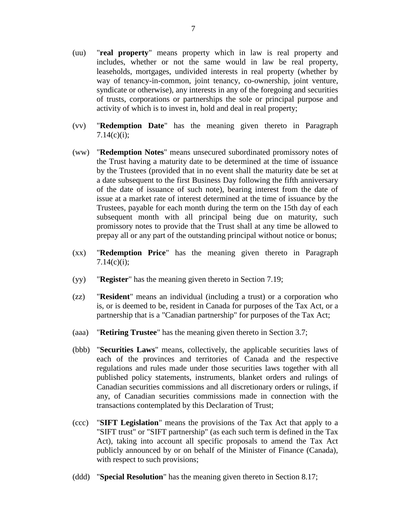- (uu) "**real property**" means property which in law is real property and includes, whether or not the same would in law be real property, leaseholds, mortgages, undivided interests in real property (whether by way of tenancy-in-common, joint tenancy, co-ownership, joint venture, syndicate or otherwise), any interests in any of the foregoing and securities of trusts, corporations or partnerships the sole or principal purpose and activity of which is to invest in, hold and deal in real property;
- (vv) "**Redemption Date**" has the meaning given thereto in Paragraph  $7.14(c)(i);$
- (ww) "**Redemption Notes**" means unsecured subordinated promissory notes of the Trust having a maturity date to be determined at the time of issuance by the Trustees (provided that in no event shall the maturity date be set at a date subsequent to the first Business Day following the fifth anniversary of the date of issuance of such note), bearing interest from the date of issue at a market rate of interest determined at the time of issuance by the Trustees, payable for each month during the term on the 15th day of each subsequent month with all principal being due on maturity, such promissory notes to provide that the Trust shall at any time be allowed to prepay all or any part of the outstanding principal without notice or bonus;
- (xx) "**Redemption Price**" has the meaning given thereto in Paragraph  $7.14(c)(i);$
- (yy) "**Register**" has the meaning given thereto in Section 7.19;
- (zz) "**Resident**" means an individual (including a trust) or a corporation who is, or is deemed to be, resident in Canada for purposes of the Tax Act, or a partnership that is a "Canadian partnership" for purposes of the Tax Act;
- (aaa) "**Retiring Trustee**" has the meaning given thereto in Section 3.7;
- (bbb) "**Securities Laws**" means, collectively, the applicable securities laws of each of the provinces and territories of Canada and the respective regulations and rules made under those securities laws together with all published policy statements, instruments, blanket orders and rulings of Canadian securities commissions and all discretionary orders or rulings, if any, of Canadian securities commissions made in connection with the transactions contemplated by this Declaration of Trust;
- (ccc) "**SIFT Legislation**" means the provisions of the Tax Act that apply to a "SIFT trust" or "SIFT partnership" (as each such term is defined in the Tax Act), taking into account all specific proposals to amend the Tax Act publicly announced by or on behalf of the Minister of Finance (Canada), with respect to such provisions;
- (ddd) "**Special Resolution**" has the meaning given thereto in Section 8.17;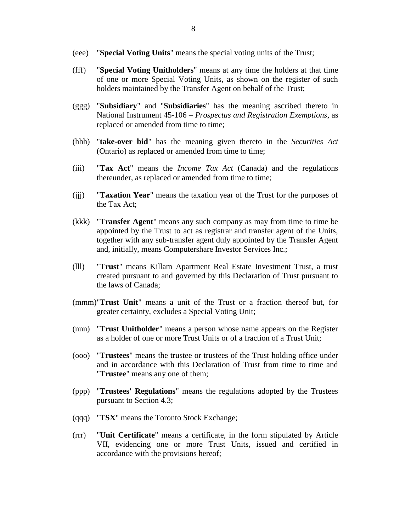- (eee) "**Special Voting Units**" means the special voting units of the Trust;
- (fff) "**Special Voting Unitholders**" means at any time the holders at that time of one or more Special Voting Units, as shown on the register of such holders maintained by the Transfer Agent on behalf of the Trust;
- (ggg) "**Subsidiary**" and "**Subsidiaries**" has the meaning ascribed thereto in National Instrument 45-106 – *Prospectus and Registration Exemptions*, as replaced or amended from time to time;
- (hhh) "**take-over bid**" has the meaning given thereto in the *Securities Act* (Ontario) as replaced or amended from time to time;
- (iii) "**Tax Act**" means the *Income Tax Act* (Canada) and the regulations thereunder, as replaced or amended from time to time;
- (jjj) "**Taxation Year**" means the taxation year of the Trust for the purposes of the Tax Act;
- (kkk) "**Transfer Agent**" means any such company as may from time to time be appointed by the Trust to act as registrar and transfer agent of the Units, together with any sub-transfer agent duly appointed by the Transfer Agent and, initially, means Computershare Investor Services Inc.;
- (lll) "**Trust**" means Killam Apartment Real Estate Investment Trust, a trust created pursuant to and governed by this Declaration of Trust pursuant to the laws of Canada;
- (mmm)"**Trust Unit**" means a unit of the Trust or a fraction thereof but, for greater certainty, excludes a Special Voting Unit;
- (nnn) "**Trust Unitholder**" means a person whose name appears on the Register as a holder of one or more Trust Units or of a fraction of a Trust Unit;
- (ooo) "**Trustees**" means the trustee or trustees of the Trust holding office under and in accordance with this Declaration of Trust from time to time and "**Trustee**" means any one of them;
- (ppp) "**Trustees' Regulations**" means the regulations adopted by the Trustees pursuant to Section 4.3;
- (qqq) "**TSX**" means the Toronto Stock Exchange;
- (rrr) "**Unit Certificate**" means a certificate, in the form stipulated by Article VII, evidencing one or more Trust Units, issued and certified in accordance with the provisions hereof;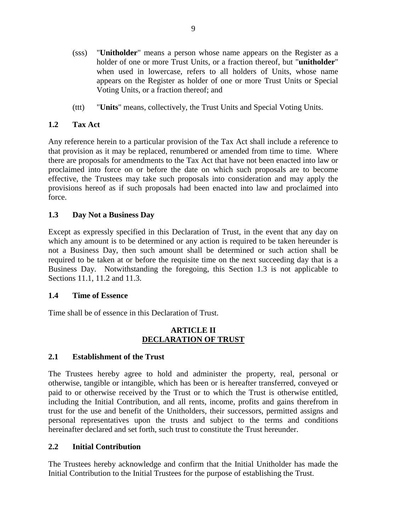- (sss) "**Unitholder**" means a person whose name appears on the Register as a holder of one or more Trust Units, or a fraction thereof, but "**unitholder**" when used in lowercase, refers to all holders of Units, whose name appears on the Register as holder of one or more Trust Units or Special Voting Units, or a fraction thereof; and
- (ttt) "**Units**" means, collectively, the Trust Units and Special Voting Units.

# <span id="page-14-0"></span>**1.2 Tax Act**

Any reference herein to a particular provision of the Tax Act shall include a reference to that provision as it may be replaced, renumbered or amended from time to time. Where there are proposals for amendments to the Tax Act that have not been enacted into law or proclaimed into force on or before the date on which such proposals are to become effective, the Trustees may take such proposals into consideration and may apply the provisions hereof as if such proposals had been enacted into law and proclaimed into force.

# <span id="page-14-1"></span>**1.3 Day Not a Business Day**

Except as expressly specified in this Declaration of Trust, in the event that any day on which any amount is to be determined or any action is required to be taken hereunder is not a Business Day, then such amount shall be determined or such action shall be required to be taken at or before the requisite time on the next succeeding day that is a Business Day. Notwithstanding the foregoing, this Section 1.3 is not applicable to Sections 11.1, 11.2 and 11.3.

### <span id="page-14-2"></span>**1.4 Time of Essence**

Time shall be of essence in this Declaration of Trust.

### **ARTICLE II DECLARATION OF TRUST**

# <span id="page-14-4"></span><span id="page-14-3"></span>**2.1 Establishment of the Trust**

The Trustees hereby agree to hold and administer the property, real, personal or otherwise, tangible or intangible, which has been or is hereafter transferred, conveyed or paid to or otherwise received by the Trust or to which the Trust is otherwise entitled, including the Initial Contribution, and all rents, income, profits and gains therefrom in trust for the use and benefit of the Unitholders, their successors, permitted assigns and personal representatives upon the trusts and subject to the terms and conditions hereinafter declared and set forth, such trust to constitute the Trust hereunder.

### <span id="page-14-5"></span>**2.2 Initial Contribution**

The Trustees hereby acknowledge and confirm that the Initial Unitholder has made the Initial Contribution to the Initial Trustees for the purpose of establishing the Trust.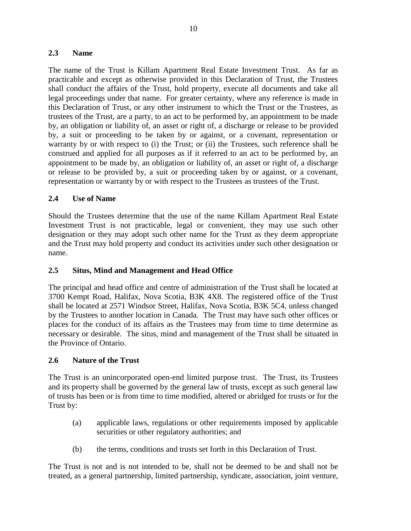### <span id="page-15-0"></span>**2.3 Name**

The name of the Trust is Killam Apartment Real Estate Investment Trust. As far as practicable and except as otherwise provided in this Declaration of Trust, the Trustees shall conduct the affairs of the Trust, hold property, execute all documents and take all legal proceedings under that name. For greater certainty, where any reference is made in this Declaration of Trust, or any other instrument to which the Trust or the Trustees, as trustees of the Trust, are a party, to an act to be performed by, an appointment to be made by, an obligation or liability of, an asset or right of, a discharge or release to be provided by, a suit or proceeding to be taken by or against, or a covenant, representation or warranty by or with respect to (i) the Trust; or (ii) the Trustees, such reference shall be construed and applied for all purposes as if it referred to an act to be performed by, an appointment to be made by, an obligation or liability of, an asset or right of, a discharge or release to be provided by, a suit or proceeding taken by or against, or a covenant, representation or warranty by or with respect to the Trustees as trustees of the Trust.

# <span id="page-15-1"></span>**2.4 Use of Name**

Should the Trustees determine that the use of the name Killam Apartment Real Estate Investment Trust is not practicable, legal or convenient, they may use such other designation or they may adopt such other name for the Trust as they deem appropriate and the Trust may hold property and conduct its activities under such other designation or name.

### <span id="page-15-2"></span>**2.5 Situs, Mind and Management and Head Office**

The principal and head office and centre of administration of the Trust shall be located at 3700 Kempt Road, Halifax, Nova Scotia, B3K 4X8. The registered office of the Trust shall be located at 2571 Windsor Street, Halifax, Nova Scotia, B3K 5C4, unless changed by the Trustees to another location in Canada. The Trust may have such other offices or places for the conduct of its affairs as the Trustees may from time to time determine as necessary or desirable. The situs, mind and management of the Trust shall be situated in the Province of Ontario.

### <span id="page-15-3"></span>**2.6 Nature of the Trust**

The Trust is an unincorporated open-end limited purpose trust. The Trust, its Trustees and its property shall be governed by the general law of trusts, except as such general law of trusts has been or is from time to time modified, altered or abridged for trusts or for the Trust by:

- (a) applicable laws, regulations or other requirements imposed by applicable securities or other regulatory authorities; and
- (b) the terms, conditions and trusts set forth in this Declaration of Trust.

The Trust is not and is not intended to be, shall not be deemed to be and shall not be treated, as a general partnership, limited partnership, syndicate, association, joint venture,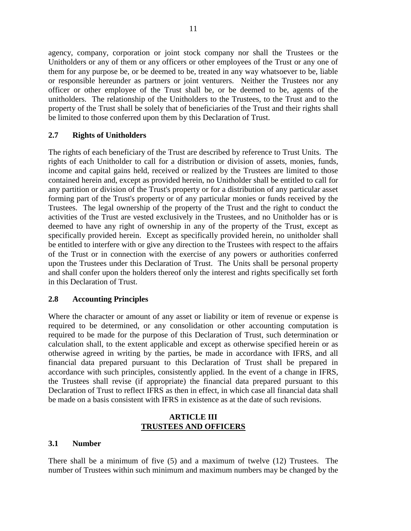agency, company, corporation or joint stock company nor shall the Trustees or the Unitholders or any of them or any officers or other employees of the Trust or any one of them for any purpose be, or be deemed to be, treated in any way whatsoever to be, liable or responsible hereunder as partners or joint venturers. Neither the Trustees nor any officer or other employee of the Trust shall be, or be deemed to be, agents of the unitholders. The relationship of the Unitholders to the Trustees, to the Trust and to the property of the Trust shall be solely that of beneficiaries of the Trust and their rights shall be limited to those conferred upon them by this Declaration of Trust.

# <span id="page-16-0"></span>**2.7 Rights of Unitholders**

The rights of each beneficiary of the Trust are described by reference to Trust Units. The rights of each Unitholder to call for a distribution or division of assets, monies, funds, income and capital gains held, received or realized by the Trustees are limited to those contained herein and, except as provided herein, no Unitholder shall be entitled to call for any partition or division of the Trust's property or for a distribution of any particular asset forming part of the Trust's property or of any particular monies or funds received by the Trustees. The legal ownership of the property of the Trust and the right to conduct the activities of the Trust are vested exclusively in the Trustees, and no Unitholder has or is deemed to have any right of ownership in any of the property of the Trust, except as specifically provided herein. Except as specifically provided herein, no unitholder shall be entitled to interfere with or give any direction to the Trustees with respect to the affairs of the Trust or in connection with the exercise of any powers or authorities conferred upon the Trustees under this Declaration of Trust. The Units shall be personal property and shall confer upon the holders thereof only the interest and rights specifically set forth in this Declaration of Trust.

### <span id="page-16-1"></span>**2.8 Accounting Principles**

Where the character or amount of any asset or liability or item of revenue or expense is required to be determined, or any consolidation or other accounting computation is required to be made for the purpose of this Declaration of Trust, such determination or calculation shall, to the extent applicable and except as otherwise specified herein or as otherwise agreed in writing by the parties, be made in accordance with IFRS, and all financial data prepared pursuant to this Declaration of Trust shall be prepared in accordance with such principles, consistently applied. In the event of a change in IFRS, the Trustees shall revise (if appropriate) the financial data prepared pursuant to this Declaration of Trust to reflect IFRS as then in effect, in which case all financial data shall be made on a basis consistent with IFRS in existence as at the date of such revisions.

### **ARTICLE III TRUSTEES AND OFFICERS**

### <span id="page-16-3"></span><span id="page-16-2"></span>**3.1 Number**

There shall be a minimum of five (5) and a maximum of twelve (12) Trustees. The number of Trustees within such minimum and maximum numbers may be changed by the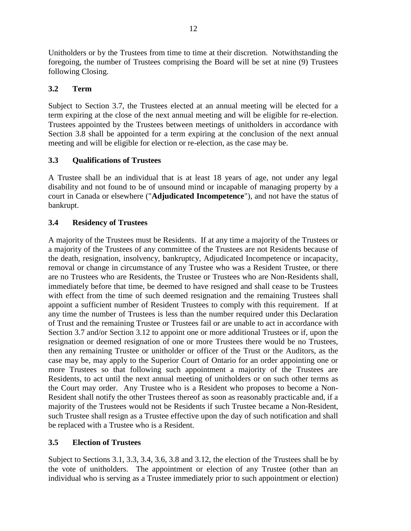Unitholders or by the Trustees from time to time at their discretion. Notwithstanding the foregoing, the number of Trustees comprising the Board will be set at nine (9) Trustees following Closing.

# <span id="page-17-0"></span>**3.2 Term**

Subject to Section 3.7, the Trustees elected at an annual meeting will be elected for a term expiring at the close of the next annual meeting and will be eligible for re-election. Trustees appointed by the Trustees between meetings of unitholders in accordance with Section 3.8 shall be appointed for a term expiring at the conclusion of the next annual meeting and will be eligible for election or re-election, as the case may be.

# <span id="page-17-1"></span>**3.3 Qualifications of Trustees**

A Trustee shall be an individual that is at least 18 years of age, not under any legal disability and not found to be of unsound mind or incapable of managing property by a court in Canada or elsewhere ("**Adjudicated Incompetence**"), and not have the status of bankrupt.

# <span id="page-17-2"></span>**3.4 Residency of Trustees**

A majority of the Trustees must be Residents. If at any time a majority of the Trustees or a majority of the Trustees of any committee of the Trustees are not Residents because of the death, resignation, insolvency, bankruptcy, Adjudicated Incompetence or incapacity, removal or change in circumstance of any Trustee who was a Resident Trustee, or there are no Trustees who are Residents, the Trustee or Trustees who are Non-Residents shall, immediately before that time, be deemed to have resigned and shall cease to be Trustees with effect from the time of such deemed resignation and the remaining Trustees shall appoint a sufficient number of Resident Trustees to comply with this requirement. If at any time the number of Trustees is less than the number required under this Declaration of Trust and the remaining Trustee or Trustees fail or are unable to act in accordance with Section 3.7 and/or Section 3.12 to appoint one or more additional Trustees or if, upon the resignation or deemed resignation of one or more Trustees there would be no Trustees, then any remaining Trustee or unitholder or officer of the Trust or the Auditors, as the case may be, may apply to the Superior Court of Ontario for an order appointing one or more Trustees so that following such appointment a majority of the Trustees are Residents, to act until the next annual meeting of unitholders or on such other terms as the Court may order. Any Trustee who is a Resident who proposes to become a Non-Resident shall notify the other Trustees thereof as soon as reasonably practicable and, if a majority of the Trustees would not be Residents if such Trustee became a Non-Resident, such Trustee shall resign as a Trustee effective upon the day of such notification and shall be replaced with a Trustee who is a Resident.

# <span id="page-17-3"></span>**3.5 Election of Trustees**

Subject to Sections 3.1, 3.3, 3.4, 3.6, 3.8 and 3.12, the election of the Trustees shall be by the vote of unitholders. The appointment or election of any Trustee (other than an individual who is serving as a Trustee immediately prior to such appointment or election)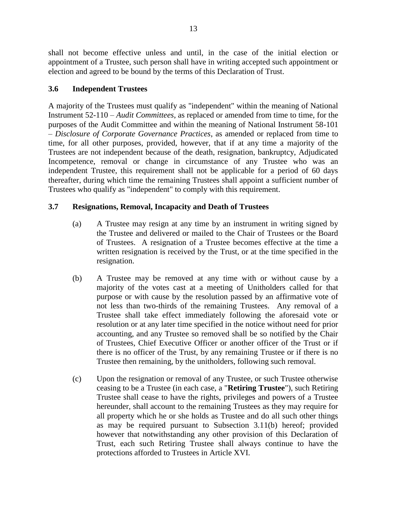shall not become effective unless and until, in the case of the initial election or appointment of a Trustee, such person shall have in writing accepted such appointment or election and agreed to be bound by the terms of this Declaration of Trust.

# <span id="page-18-0"></span>**3.6 Independent Trustees**

A majority of the Trustees must qualify as "independent" within the meaning of National Instrument 52-110 – *Audit Committees*, as replaced or amended from time to time, for the purposes of the Audit Committee and within the meaning of National Instrument 58-101 – *Disclosure of Corporate Governance Practices*, as amended or replaced from time to time, for all other purposes, provided, however, that if at any time a majority of the Trustees are not independent because of the death, resignation, bankruptcy, Adjudicated Incompetence, removal or change in circumstance of any Trustee who was an independent Trustee, this requirement shall not be applicable for a period of 60 days thereafter, during which time the remaining Trustees shall appoint a sufficient number of Trustees who qualify as "independent" to comply with this requirement.

# <span id="page-18-1"></span>**3.7 Resignations, Removal, Incapacity and Death of Trustees**

- (a) A Trustee may resign at any time by an instrument in writing signed by the Trustee and delivered or mailed to the Chair of Trustees or the Board of Trustees. A resignation of a Trustee becomes effective at the time a written resignation is received by the Trust, or at the time specified in the resignation.
- (b) A Trustee may be removed at any time with or without cause by a majority of the votes cast at a meeting of Unitholders called for that purpose or with cause by the resolution passed by an affirmative vote of not less than two-thirds of the remaining Trustees. Any removal of a Trustee shall take effect immediately following the aforesaid vote or resolution or at any later time specified in the notice without need for prior accounting, and any Trustee so removed shall be so notified by the Chair of Trustees, Chief Executive Officer or another officer of the Trust or if there is no officer of the Trust, by any remaining Trustee or if there is no Trustee then remaining, by the unitholders, following such removal.
- (c) Upon the resignation or removal of any Trustee, or such Trustee otherwise ceasing to be a Trustee (in each case, a "**Retiring Trustee**"), such Retiring Trustee shall cease to have the rights, privileges and powers of a Trustee hereunder, shall account to the remaining Trustees as they may require for all property which he or she holds as Trustee and do all such other things as may be required pursuant to Subsection 3.11(b) hereof; provided however that notwithstanding any other provision of this Declaration of Trust, each such Retiring Trustee shall always continue to have the protections afforded to Trustees in Article XVI.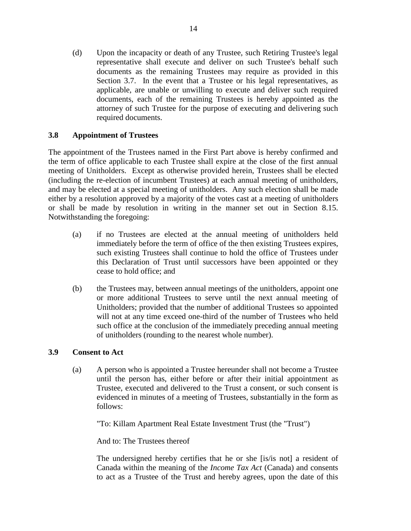(d) Upon the incapacity or death of any Trustee, such Retiring Trustee's legal representative shall execute and deliver on such Trustee's behalf such documents as the remaining Trustees may require as provided in this Section 3.7. In the event that a Trustee or his legal representatives, as applicable, are unable or unwilling to execute and deliver such required documents, each of the remaining Trustees is hereby appointed as the attorney of such Trustee for the purpose of executing and delivering such required documents.

# <span id="page-19-0"></span>**3.8 Appointment of Trustees**

The appointment of the Trustees named in the First Part above is hereby confirmed and the term of office applicable to each Trustee shall expire at the close of the first annual meeting of Unitholders. Except as otherwise provided herein, Trustees shall be elected (including the re-election of incumbent Trustees) at each annual meeting of unitholders, and may be elected at a special meeting of unitholders. Any such election shall be made either by a resolution approved by a majority of the votes cast at a meeting of unitholders or shall be made by resolution in writing in the manner set out in Section 8.15. Notwithstanding the foregoing:

- (a) if no Trustees are elected at the annual meeting of unitholders held immediately before the term of office of the then existing Trustees expires, such existing Trustees shall continue to hold the office of Trustees under this Declaration of Trust until successors have been appointed or they cease to hold office; and
- (b) the Trustees may, between annual meetings of the unitholders, appoint one or more additional Trustees to serve until the next annual meeting of Unitholders; provided that the number of additional Trustees so appointed will not at any time exceed one-third of the number of Trustees who held such office at the conclusion of the immediately preceding annual meeting of unitholders (rounding to the nearest whole number).

# <span id="page-19-1"></span>**3.9 Consent to Act**

(a) A person who is appointed a Trustee hereunder shall not become a Trustee until the person has, either before or after their initial appointment as Trustee, executed and delivered to the Trust a consent, or such consent is evidenced in minutes of a meeting of Trustees, substantially in the form as follows:

"To: Killam Apartment Real Estate Investment Trust (the "Trust")

And to: The Trustees thereof

The undersigned hereby certifies that he or she [is/is not] a resident of Canada within the meaning of the *Income Tax Act* (Canada) and consents to act as a Trustee of the Trust and hereby agrees, upon the date of this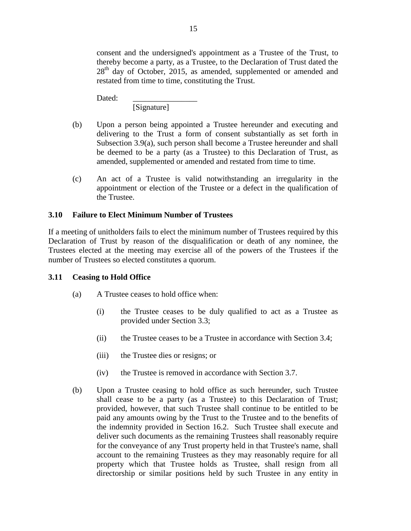consent and the undersigned's appointment as a Trustee of the Trust, to thereby become a party, as a Trustee, to the Declaration of Trust dated the  $28<sup>th</sup>$  day of October, 2015, as amended, supplemented or amended and restated from time to time, constituting the Trust.

Dated:

[Signature]

- (b) Upon a person being appointed a Trustee hereunder and executing and delivering to the Trust a form of consent substantially as set forth in Subsection 3.9(a), such person shall become a Trustee hereunder and shall be deemed to be a party (as a Trustee) to this Declaration of Trust, as amended, supplemented or amended and restated from time to time.
- (c) An act of a Trustee is valid notwithstanding an irregularity in the appointment or election of the Trustee or a defect in the qualification of the Trustee.

# <span id="page-20-0"></span>**3.10 Failure to Elect Minimum Number of Trustees**

If a meeting of unitholders fails to elect the minimum number of Trustees required by this Declaration of Trust by reason of the disqualification or death of any nominee, the Trustees elected at the meeting may exercise all of the powers of the Trustees if the number of Trustees so elected constitutes a quorum.

# <span id="page-20-1"></span>**3.11 Ceasing to Hold Office**

- (a) A Trustee ceases to hold office when:
	- (i) the Trustee ceases to be duly qualified to act as a Trustee as provided under Section 3.3;
	- (ii) the Trustee ceases to be a Trustee in accordance with Section 3.4;
	- (iii) the Trustee dies or resigns; or
	- (iv) the Trustee is removed in accordance with Section 3.7.
- (b) Upon a Trustee ceasing to hold office as such hereunder, such Trustee shall cease to be a party (as a Trustee) to this Declaration of Trust; provided, however, that such Trustee shall continue to be entitled to be paid any amounts owing by the Trust to the Trustee and to the benefits of the indemnity provided in Section 16.2. Such Trustee shall execute and deliver such documents as the remaining Trustees shall reasonably require for the conveyance of any Trust property held in that Trustee's name, shall account to the remaining Trustees as they may reasonably require for all property which that Trustee holds as Trustee, shall resign from all directorship or similar positions held by such Trustee in any entity in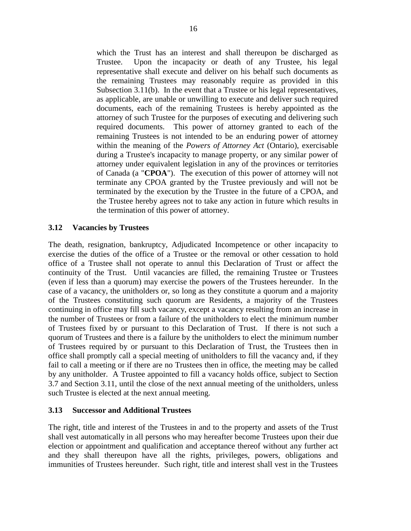which the Trust has an interest and shall thereupon be discharged as Trustee. Upon the incapacity or death of any Trustee, his legal representative shall execute and deliver on his behalf such documents as

the remaining Trustees may reasonably require as provided in this Subsection 3.11(b). In the event that a Trustee or his legal representatives, as applicable, are unable or unwilling to execute and deliver such required documents, each of the remaining Trustees is hereby appointed as the attorney of such Trustee for the purposes of executing and delivering such required documents. This power of attorney granted to each of the remaining Trustees is not intended to be an enduring power of attorney within the meaning of the *Powers of Attorney Act* (Ontario), exercisable during a Trustee's incapacity to manage property, or any similar power of attorney under equivalent legislation in any of the provinces or territories of Canada (a "**CPOA**"). The execution of this power of attorney will not terminate any CPOA granted by the Trustee previously and will not be terminated by the execution by the Trustee in the future of a CPOA, and the Trustee hereby agrees not to take any action in future which results in the termination of this power of attorney.

# <span id="page-21-0"></span>**3.12 Vacancies by Trustees**

The death, resignation, bankruptcy, Adjudicated Incompetence or other incapacity to exercise the duties of the office of a Trustee or the removal or other cessation to hold office of a Trustee shall not operate to annul this Declaration of Trust or affect the continuity of the Trust. Until vacancies are filled, the remaining Trustee or Trustees (even if less than a quorum) may exercise the powers of the Trustees hereunder. In the case of a vacancy, the unitholders or, so long as they constitute a quorum and a majority of the Trustees constituting such quorum are Residents, a majority of the Trustees continuing in office may fill such vacancy, except a vacancy resulting from an increase in the number of Trustees or from a failure of the unitholders to elect the minimum number of Trustees fixed by or pursuant to this Declaration of Trust. If there is not such a quorum of Trustees and there is a failure by the unitholders to elect the minimum number of Trustees required by or pursuant to this Declaration of Trust, the Trustees then in office shall promptly call a special meeting of unitholders to fill the vacancy and, if they fail to call a meeting or if there are no Trustees then in office, the meeting may be called by any unitholder. A Trustee appointed to fill a vacancy holds office, subject to Section 3.7 and Section 3.11, until the close of the next annual meeting of the unitholders, unless such Trustee is elected at the next annual meeting.

### <span id="page-21-1"></span>**3.13 Successor and Additional Trustees**

The right, title and interest of the Trustees in and to the property and assets of the Trust shall vest automatically in all persons who may hereafter become Trustees upon their due election or appointment and qualification and acceptance thereof without any further act and they shall thereupon have all the rights, privileges, powers, obligations and immunities of Trustees hereunder. Such right, title and interest shall vest in the Trustees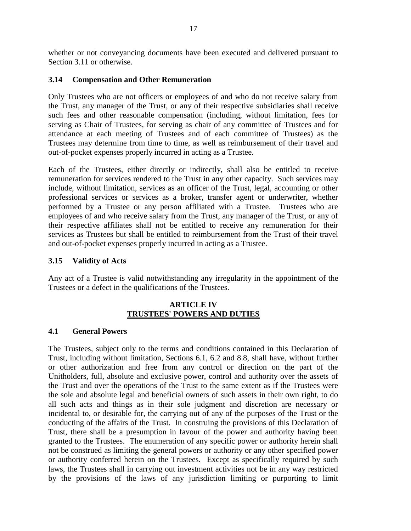whether or not conveyancing documents have been executed and delivered pursuant to Section 3.11 or otherwise.

### <span id="page-22-0"></span>**3.14 Compensation and Other Remuneration**

Only Trustees who are not officers or employees of and who do not receive salary from the Trust, any manager of the Trust, or any of their respective subsidiaries shall receive such fees and other reasonable compensation (including, without limitation, fees for serving as Chair of Trustees, for serving as chair of any committee of Trustees and for attendance at each meeting of Trustees and of each committee of Trustees) as the Trustees may determine from time to time, as well as reimbursement of their travel and out-of-pocket expenses properly incurred in acting as a Trustee.

Each of the Trustees, either directly or indirectly, shall also be entitled to receive remuneration for services rendered to the Trust in any other capacity. Such services may include, without limitation, services as an officer of the Trust, legal, accounting or other professional services or services as a broker, transfer agent or underwriter, whether performed by a Trustee or any person affiliated with a Trustee. Trustees who are employees of and who receive salary from the Trust, any manager of the Trust, or any of their respective affiliates shall not be entitled to receive any remuneration for their services as Trustees but shall be entitled to reimbursement from the Trust of their travel and out-of-pocket expenses properly incurred in acting as a Trustee.

### <span id="page-22-1"></span>**3.15 Validity of Acts**

Any act of a Trustee is valid notwithstanding any irregularity in the appointment of the Trustees or a defect in the qualifications of the Trustees.

### **ARTICLE IV TRUSTEES' POWERS AND DUTIES**

### <span id="page-22-3"></span><span id="page-22-2"></span>**4.1 General Powers**

The Trustees, subject only to the terms and conditions contained in this Declaration of Trust, including without limitation, Sections 6.1, 6.2 and 8.8, shall have, without further or other authorization and free from any control or direction on the part of the Unitholders, full, absolute and exclusive power, control and authority over the assets of the Trust and over the operations of the Trust to the same extent as if the Trustees were the sole and absolute legal and beneficial owners of such assets in their own right, to do all such acts and things as in their sole judgment and discretion are necessary or incidental to, or desirable for, the carrying out of any of the purposes of the Trust or the conducting of the affairs of the Trust. In construing the provisions of this Declaration of Trust, there shall be a presumption in favour of the power and authority having been granted to the Trustees. The enumeration of any specific power or authority herein shall not be construed as limiting the general powers or authority or any other specified power or authority conferred herein on the Trustees. Except as specifically required by such laws, the Trustees shall in carrying out investment activities not be in any way restricted by the provisions of the laws of any jurisdiction limiting or purporting to limit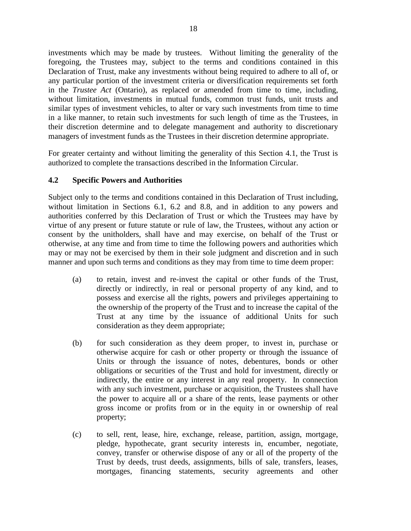investments which may be made by trustees. Without limiting the generality of the foregoing, the Trustees may, subject to the terms and conditions contained in this Declaration of Trust, make any investments without being required to adhere to all of, or any particular portion of the investment criteria or diversification requirements set forth in the *Trustee Act* (Ontario), as replaced or amended from time to time, including, without limitation, investments in mutual funds, common trust funds, unit trusts and similar types of investment vehicles, to alter or vary such investments from time to time in a like manner, to retain such investments for such length of time as the Trustees, in their discretion determine and to delegate management and authority to discretionary managers of investment funds as the Trustees in their discretion determine appropriate.

For greater certainty and without limiting the generality of this Section 4.1, the Trust is authorized to complete the transactions described in the Information Circular.

### <span id="page-23-0"></span>**4.2 Specific Powers and Authorities**

Subject only to the terms and conditions contained in this Declaration of Trust including, without limitation in Sections 6.1, 6.2 and 8.8, and in addition to any powers and authorities conferred by this Declaration of Trust or which the Trustees may have by virtue of any present or future statute or rule of law, the Trustees, without any action or consent by the unitholders, shall have and may exercise, on behalf of the Trust or otherwise, at any time and from time to time the following powers and authorities which may or may not be exercised by them in their sole judgment and discretion and in such manner and upon such terms and conditions as they may from time to time deem proper:

- (a) to retain, invest and re-invest the capital or other funds of the Trust, directly or indirectly, in real or personal property of any kind, and to possess and exercise all the rights, powers and privileges appertaining to the ownership of the property of the Trust and to increase the capital of the Trust at any time by the issuance of additional Units for such consideration as they deem appropriate;
- (b) for such consideration as they deem proper, to invest in, purchase or otherwise acquire for cash or other property or through the issuance of Units or through the issuance of notes, debentures, bonds or other obligations or securities of the Trust and hold for investment, directly or indirectly, the entire or any interest in any real property. In connection with any such investment, purchase or acquisition, the Trustees shall have the power to acquire all or a share of the rents, lease payments or other gross income or profits from or in the equity in or ownership of real property;
- (c) to sell, rent, lease, hire, exchange, release, partition, assign, mortgage, pledge, hypothecate, grant security interests in, encumber, negotiate, convey, transfer or otherwise dispose of any or all of the property of the Trust by deeds, trust deeds, assignments, bills of sale, transfers, leases, mortgages, financing statements, security agreements and other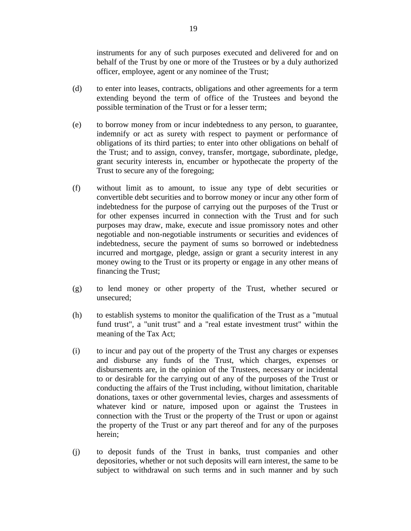instruments for any of such purposes executed and delivered for and on behalf of the Trust by one or more of the Trustees or by a duly authorized officer, employee, agent or any nominee of the Trust;

- (d) to enter into leases, contracts, obligations and other agreements for a term extending beyond the term of office of the Trustees and beyond the possible termination of the Trust or for a lesser term;
- (e) to borrow money from or incur indebtedness to any person, to guarantee, indemnify or act as surety with respect to payment or performance of obligations of its third parties; to enter into other obligations on behalf of the Trust; and to assign, convey, transfer, mortgage, subordinate, pledge, grant security interests in, encumber or hypothecate the property of the Trust to secure any of the foregoing;
- (f) without limit as to amount, to issue any type of debt securities or convertible debt securities and to borrow money or incur any other form of indebtedness for the purpose of carrying out the purposes of the Trust or for other expenses incurred in connection with the Trust and for such purposes may draw, make, execute and issue promissory notes and other negotiable and non-negotiable instruments or securities and evidences of indebtedness, secure the payment of sums so borrowed or indebtedness incurred and mortgage, pledge, assign or grant a security interest in any money owing to the Trust or its property or engage in any other means of financing the Trust;
- (g) to lend money or other property of the Trust, whether secured or unsecured;
- (h) to establish systems to monitor the qualification of the Trust as a "mutual fund trust", a "unit trust" and a "real estate investment trust" within the meaning of the Tax Act;
- (i) to incur and pay out of the property of the Trust any charges or expenses and disburse any funds of the Trust, which charges, expenses or disbursements are, in the opinion of the Trustees, necessary or incidental to or desirable for the carrying out of any of the purposes of the Trust or conducting the affairs of the Trust including, without limitation, charitable donations, taxes or other governmental levies, charges and assessments of whatever kind or nature, imposed upon or against the Trustees in connection with the Trust or the property of the Trust or upon or against the property of the Trust or any part thereof and for any of the purposes herein;
- (j) to deposit funds of the Trust in banks, trust companies and other depositories, whether or not such deposits will earn interest, the same to be subject to withdrawal on such terms and in such manner and by such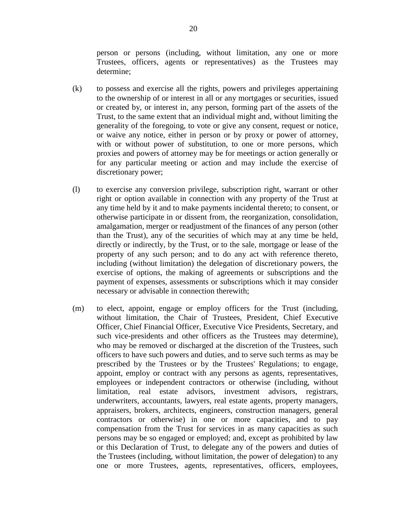person or persons (including, without limitation, any one or more Trustees, officers, agents or representatives) as the Trustees may determine;

- (k) to possess and exercise all the rights, powers and privileges appertaining to the ownership of or interest in all or any mortgages or securities, issued or created by, or interest in, any person, forming part of the assets of the Trust, to the same extent that an individual might and, without limiting the generality of the foregoing, to vote or give any consent, request or notice, or waive any notice, either in person or by proxy or power of attorney, with or without power of substitution, to one or more persons, which proxies and powers of attorney may be for meetings or action generally or for any particular meeting or action and may include the exercise of discretionary power;
- (l) to exercise any conversion privilege, subscription right, warrant or other right or option available in connection with any property of the Trust at any time held by it and to make payments incidental thereto; to consent, or otherwise participate in or dissent from, the reorganization, consolidation, amalgamation, merger or readjustment of the finances of any person (other than the Trust), any of the securities of which may at any time be held, directly or indirectly, by the Trust, or to the sale, mortgage or lease of the property of any such person; and to do any act with reference thereto, including (without limitation) the delegation of discretionary powers, the exercise of options, the making of agreements or subscriptions and the payment of expenses, assessments or subscriptions which it may consider necessary or advisable in connection therewith;
- (m) to elect, appoint, engage or employ officers for the Trust (including, without limitation, the Chair of Trustees, President, Chief Executive Officer, Chief Financial Officer, Executive Vice Presidents, Secretary, and such vice-presidents and other officers as the Trustees may determine), who may be removed or discharged at the discretion of the Trustees, such officers to have such powers and duties, and to serve such terms as may be prescribed by the Trustees or by the Trustees' Regulations; to engage, appoint, employ or contract with any persons as agents, representatives, employees or independent contractors or otherwise (including, without limitation, real estate advisors, investment advisors, registrars, underwriters, accountants, lawyers, real estate agents, property managers, appraisers, brokers, architects, engineers, construction managers, general contractors or otherwise) in one or more capacities, and to pay compensation from the Trust for services in as many capacities as such persons may be so engaged or employed; and, except as prohibited by law or this Declaration of Trust, to delegate any of the powers and duties of the Trustees (including, without limitation, the power of delegation) to any one or more Trustees, agents, representatives, officers, employees,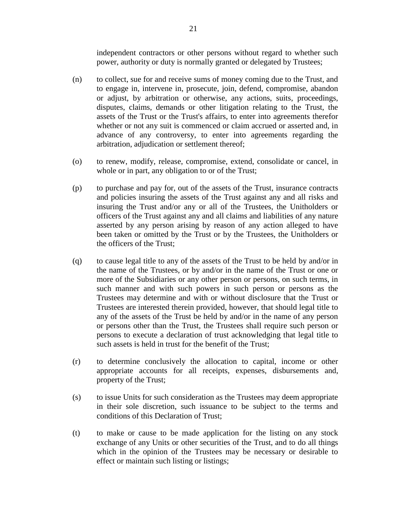independent contractors or other persons without regard to whether such power, authority or duty is normally granted or delegated by Trustees;

- (n) to collect, sue for and receive sums of money coming due to the Trust, and to engage in, intervene in, prosecute, join, defend, compromise, abandon or adjust, by arbitration or otherwise, any actions, suits, proceedings, disputes, claims, demands or other litigation relating to the Trust, the assets of the Trust or the Trust's affairs, to enter into agreements therefor whether or not any suit is commenced or claim accrued or asserted and, in advance of any controversy, to enter into agreements regarding the arbitration, adjudication or settlement thereof;
- (o) to renew, modify, release, compromise, extend, consolidate or cancel, in whole or in part, any obligation to or of the Trust;
- (p) to purchase and pay for, out of the assets of the Trust, insurance contracts and policies insuring the assets of the Trust against any and all risks and insuring the Trust and/or any or all of the Trustees, the Unitholders or officers of the Trust against any and all claims and liabilities of any nature asserted by any person arising by reason of any action alleged to have been taken or omitted by the Trust or by the Trustees, the Unitholders or the officers of the Trust;
- (q) to cause legal title to any of the assets of the Trust to be held by and/or in the name of the Trustees, or by and/or in the name of the Trust or one or more of the Subsidiaries or any other person or persons, on such terms, in such manner and with such powers in such person or persons as the Trustees may determine and with or without disclosure that the Trust or Trustees are interested therein provided, however, that should legal title to any of the assets of the Trust be held by and/or in the name of any person or persons other than the Trust, the Trustees shall require such person or persons to execute a declaration of trust acknowledging that legal title to such assets is held in trust for the benefit of the Trust;
- (r) to determine conclusively the allocation to capital, income or other appropriate accounts for all receipts, expenses, disbursements and, property of the Trust;
- (s) to issue Units for such consideration as the Trustees may deem appropriate in their sole discretion, such issuance to be subject to the terms and conditions of this Declaration of Trust;
- (t) to make or cause to be made application for the listing on any stock exchange of any Units or other securities of the Trust, and to do all things which in the opinion of the Trustees may be necessary or desirable to effect or maintain such listing or listings;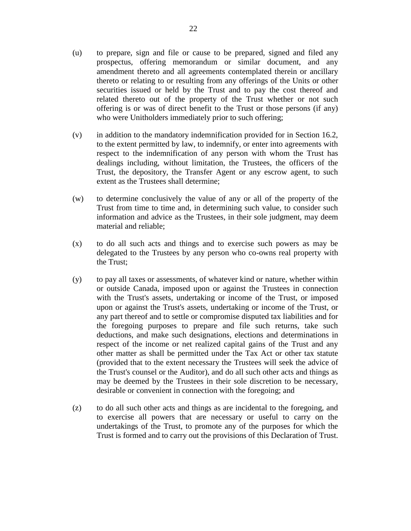- (u) to prepare, sign and file or cause to be prepared, signed and filed any prospectus, offering memorandum or similar document, and any amendment thereto and all agreements contemplated therein or ancillary thereto or relating to or resulting from any offerings of the Units or other securities issued or held by the Trust and to pay the cost thereof and related thereto out of the property of the Trust whether or not such offering is or was of direct benefit to the Trust or those persons (if any) who were Unitholders immediately prior to such offering;
- (v) in addition to the mandatory indemnification provided for in Section 16.2, to the extent permitted by law, to indemnify, or enter into agreements with respect to the indemnification of any person with whom the Trust has dealings including, without limitation, the Trustees, the officers of the Trust, the depository, the Transfer Agent or any escrow agent, to such extent as the Trustees shall determine;
- (w) to determine conclusively the value of any or all of the property of the Trust from time to time and, in determining such value, to consider such information and advice as the Trustees, in their sole judgment, may deem material and reliable;
- (x) to do all such acts and things and to exercise such powers as may be delegated to the Trustees by any person who co-owns real property with the Trust;
- (y) to pay all taxes or assessments, of whatever kind or nature, whether within or outside Canada, imposed upon or against the Trustees in connection with the Trust's assets, undertaking or income of the Trust, or imposed upon or against the Trust's assets, undertaking or income of the Trust, or any part thereof and to settle or compromise disputed tax liabilities and for the foregoing purposes to prepare and file such returns, take such deductions, and make such designations, elections and determinations in respect of the income or net realized capital gains of the Trust and any other matter as shall be permitted under the Tax Act or other tax statute (provided that to the extent necessary the Trustees will seek the advice of the Trust's counsel or the Auditor), and do all such other acts and things as may be deemed by the Trustees in their sole discretion to be necessary, desirable or convenient in connection with the foregoing; and
- (z) to do all such other acts and things as are incidental to the foregoing, and to exercise all powers that are necessary or useful to carry on the undertakings of the Trust, to promote any of the purposes for which the Trust is formed and to carry out the provisions of this Declaration of Trust.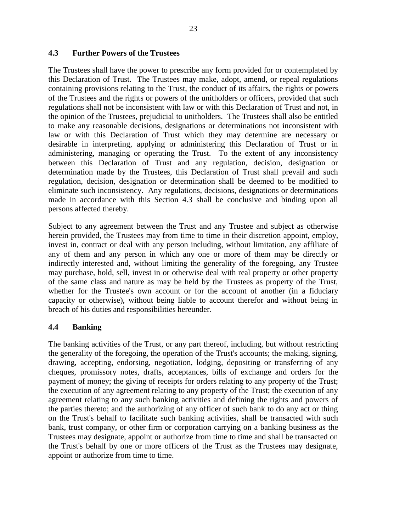### <span id="page-28-0"></span>**4.3 Further Powers of the Trustees**

The Trustees shall have the power to prescribe any form provided for or contemplated by this Declaration of Trust. The Trustees may make, adopt, amend, or repeal regulations containing provisions relating to the Trust, the conduct of its affairs, the rights or powers of the Trustees and the rights or powers of the unitholders or officers, provided that such regulations shall not be inconsistent with law or with this Declaration of Trust and not, in the opinion of the Trustees, prejudicial to unitholders. The Trustees shall also be entitled to make any reasonable decisions, designations or determinations not inconsistent with law or with this Declaration of Trust which they may determine are necessary or desirable in interpreting, applying or administering this Declaration of Trust or in administering, managing or operating the Trust. To the extent of any inconsistency between this Declaration of Trust and any regulation, decision, designation or determination made by the Trustees, this Declaration of Trust shall prevail and such regulation, decision, designation or determination shall be deemed to be modified to eliminate such inconsistency. Any regulations, decisions, designations or determinations made in accordance with this Section 4.3 shall be conclusive and binding upon all persons affected thereby.

Subject to any agreement between the Trust and any Trustee and subject as otherwise herein provided, the Trustees may from time to time in their discretion appoint, employ, invest in, contract or deal with any person including, without limitation, any affiliate of any of them and any person in which any one or more of them may be directly or indirectly interested and, without limiting the generality of the foregoing, any Trustee may purchase, hold, sell, invest in or otherwise deal with real property or other property of the same class and nature as may be held by the Trustees as property of the Trust, whether for the Trustee's own account or for the account of another (in a fiduciary capacity or otherwise), without being liable to account therefor and without being in breach of his duties and responsibilities hereunder.

### <span id="page-28-1"></span>**4.4 Banking**

The banking activities of the Trust, or any part thereof, including, but without restricting the generality of the foregoing, the operation of the Trust's accounts; the making, signing, drawing, accepting, endorsing, negotiation, lodging, depositing or transferring of any cheques, promissory notes, drafts, acceptances, bills of exchange and orders for the payment of money; the giving of receipts for orders relating to any property of the Trust; the execution of any agreement relating to any property of the Trust; the execution of any agreement relating to any such banking activities and defining the rights and powers of the parties thereto; and the authorizing of any officer of such bank to do any act or thing on the Trust's behalf to facilitate such banking activities, shall be transacted with such bank, trust company, or other firm or corporation carrying on a banking business as the Trustees may designate, appoint or authorize from time to time and shall be transacted on the Trust's behalf by one or more officers of the Trust as the Trustees may designate, appoint or authorize from time to time.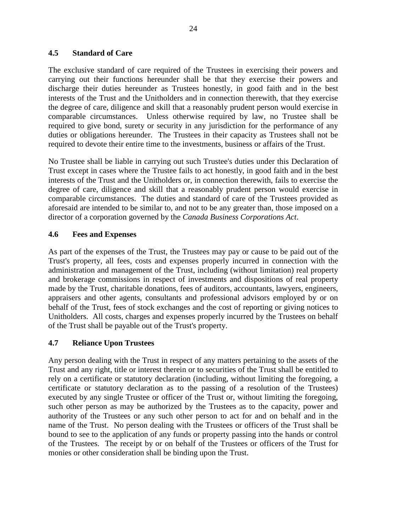### <span id="page-29-0"></span>**4.5 Standard of Care**

The exclusive standard of care required of the Trustees in exercising their powers and carrying out their functions hereunder shall be that they exercise their powers and discharge their duties hereunder as Trustees honestly, in good faith and in the best interests of the Trust and the Unitholders and in connection therewith, that they exercise the degree of care, diligence and skill that a reasonably prudent person would exercise in comparable circumstances. Unless otherwise required by law, no Trustee shall be required to give bond, surety or security in any jurisdiction for the performance of any duties or obligations hereunder. The Trustees in their capacity as Trustees shall not be required to devote their entire time to the investments, business or affairs of the Trust.

No Trustee shall be liable in carrying out such Trustee's duties under this Declaration of Trust except in cases where the Trustee fails to act honestly, in good faith and in the best interests of the Trust and the Unitholders or, in connection therewith, fails to exercise the degree of care, diligence and skill that a reasonably prudent person would exercise in comparable circumstances. The duties and standard of care of the Trustees provided as aforesaid are intended to be similar to, and not to be any greater than, those imposed on a director of a corporation governed by the *Canada Business Corporations Act*.

### <span id="page-29-1"></span>**4.6 Fees and Expenses**

As part of the expenses of the Trust, the Trustees may pay or cause to be paid out of the Trust's property, all fees, costs and expenses properly incurred in connection with the administration and management of the Trust, including (without limitation) real property and brokerage commissions in respect of investments and dispositions of real property made by the Trust, charitable donations, fees of auditors, accountants, lawyers, engineers, appraisers and other agents, consultants and professional advisors employed by or on behalf of the Trust, fees of stock exchanges and the cost of reporting or giving notices to Unitholders. All costs, charges and expenses properly incurred by the Trustees on behalf of the Trust shall be payable out of the Trust's property.

### <span id="page-29-2"></span>**4.7 Reliance Upon Trustees**

Any person dealing with the Trust in respect of any matters pertaining to the assets of the Trust and any right, title or interest therein or to securities of the Trust shall be entitled to rely on a certificate or statutory declaration (including, without limiting the foregoing, a certificate or statutory declaration as to the passing of a resolution of the Trustees) executed by any single Trustee or officer of the Trust or, without limiting the foregoing, such other person as may be authorized by the Trustees as to the capacity, power and authority of the Trustees or any such other person to act for and on behalf and in the name of the Trust. No person dealing with the Trustees or officers of the Trust shall be bound to see to the application of any funds or property passing into the hands or control of the Trustees. The receipt by or on behalf of the Trustees or officers of the Trust for monies or other consideration shall be binding upon the Trust.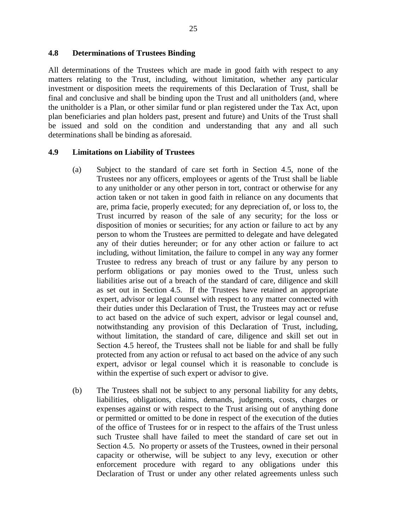### <span id="page-30-0"></span>**4.8 Determinations of Trustees Binding**

All determinations of the Trustees which are made in good faith with respect to any matters relating to the Trust, including, without limitation, whether any particular investment or disposition meets the requirements of this Declaration of Trust, shall be final and conclusive and shall be binding upon the Trust and all unitholders (and, where the unitholder is a Plan, or other similar fund or plan registered under the Tax Act, upon plan beneficiaries and plan holders past, present and future) and Units of the Trust shall be issued and sold on the condition and understanding that any and all such determinations shall be binding as aforesaid.

#### <span id="page-30-1"></span>**4.9 Limitations on Liability of Trustees**

- (a) Subject to the standard of care set forth in Section 4.5, none of the Trustees nor any officers, employees or agents of the Trust shall be liable to any unitholder or any other person in tort, contract or otherwise for any action taken or not taken in good faith in reliance on any documents that are, prima facie, properly executed; for any depreciation of, or loss to, the Trust incurred by reason of the sale of any security; for the loss or disposition of monies or securities; for any action or failure to act by any person to whom the Trustees are permitted to delegate and have delegated any of their duties hereunder; or for any other action or failure to act including, without limitation, the failure to compel in any way any former Trustee to redress any breach of trust or any failure by any person to perform obligations or pay monies owed to the Trust, unless such liabilities arise out of a breach of the standard of care, diligence and skill as set out in Section 4.5. If the Trustees have retained an appropriate expert, advisor or legal counsel with respect to any matter connected with their duties under this Declaration of Trust, the Trustees may act or refuse to act based on the advice of such expert, advisor or legal counsel and, notwithstanding any provision of this Declaration of Trust, including, without limitation, the standard of care, diligence and skill set out in Section 4.5 hereof, the Trustees shall not be liable for and shall be fully protected from any action or refusal to act based on the advice of any such expert, advisor or legal counsel which it is reasonable to conclude is within the expertise of such expert or advisor to give.
- (b) The Trustees shall not be subject to any personal liability for any debts, liabilities, obligations, claims, demands, judgments, costs, charges or expenses against or with respect to the Trust arising out of anything done or permitted or omitted to be done in respect of the execution of the duties of the office of Trustees for or in respect to the affairs of the Trust unless such Trustee shall have failed to meet the standard of care set out in Section 4.5. No property or assets of the Trustees, owned in their personal capacity or otherwise, will be subject to any levy, execution or other enforcement procedure with regard to any obligations under this Declaration of Trust or under any other related agreements unless such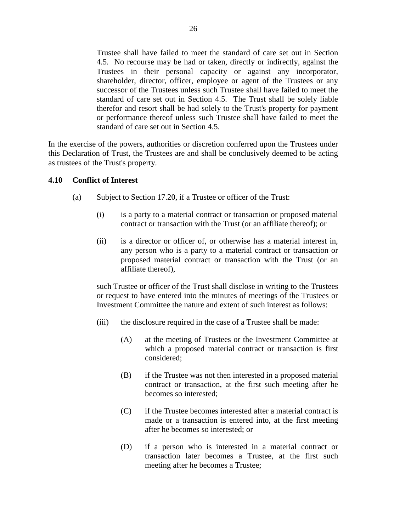Trustee shall have failed to meet the standard of care set out in Section 4.5. No recourse may be had or taken, directly or indirectly, against the Trustees in their personal capacity or against any incorporator, shareholder, director, officer, employee or agent of the Trustees or any successor of the Trustees unless such Trustee shall have failed to meet the standard of care set out in Section 4.5. The Trust shall be solely liable therefor and resort shall be had solely to the Trust's property for payment or performance thereof unless such Trustee shall have failed to meet the standard of care set out in Section 4.5.

In the exercise of the powers, authorities or discretion conferred upon the Trustees under this Declaration of Trust, the Trustees are and shall be conclusively deemed to be acting as trustees of the Trust's property.

### <span id="page-31-0"></span>**4.10 Conflict of Interest**

- (a) Subject to Section 17.20, if a Trustee or officer of the Trust:
	- (i) is a party to a material contract or transaction or proposed material contract or transaction with the Trust (or an affiliate thereof); or
	- (ii) is a director or officer of, or otherwise has a material interest in, any person who is a party to a material contract or transaction or proposed material contract or transaction with the Trust (or an affiliate thereof),

such Trustee or officer of the Trust shall disclose in writing to the Trustees or request to have entered into the minutes of meetings of the Trustees or Investment Committee the nature and extent of such interest as follows:

- (iii) the disclosure required in the case of a Trustee shall be made:
	- (A) at the meeting of Trustees or the Investment Committee at which a proposed material contract or transaction is first considered;
	- (B) if the Trustee was not then interested in a proposed material contract or transaction, at the first such meeting after he becomes so interested;
	- (C) if the Trustee becomes interested after a material contract is made or a transaction is entered into, at the first meeting after he becomes so interested; or
	- (D) if a person who is interested in a material contract or transaction later becomes a Trustee, at the first such meeting after he becomes a Trustee;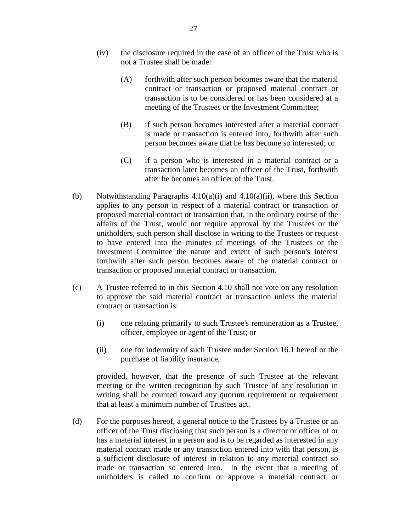- (iv) the disclosure required in the case of an officer of the Trust who is not a Trustee shall be made:
	- (A) forthwith after such person becomes aware that the material contract or transaction or proposed material contract or transaction is to be considered or has been considered at a meeting of the Trustees or the Investment Committee;
	- (B) if such person becomes interested after a material contract is made or transaction is entered into, forthwith after such person becomes aware that he has become so interested; or
	- (C) if a person who is interested in a material contract or a transaction later becomes an officer of the Trust, forthwith after he becomes an officer of the Trust.
- (b) Notwithstanding Paragraphs  $4.10(a)(i)$  and  $4.10(a)(ii)$ , where this Section applies to any person in respect of a material contract or transaction or proposed material contract or transaction that, in the ordinary course of the affairs of the Trust, would not require approval by the Trustees or the unitholders, such person shall disclose in writing to the Trustees or request to have entered into the minutes of meetings of the Trustees or the Investment Committee the nature and extent of such person's interest forthwith after such person becomes aware of the material contract or transaction or proposed material contract or transaction.
- (c) A Trustee referred to in this Section 4.10 shall not vote on any resolution to approve the said material contract or transaction unless the material contract or transaction is:
	- (i) one relating primarily to such Trustee's remuneration as a Trustee, officer, employee or agent of the Trust; or
	- (ii) one for indemnity of such Trustee under Section 16.1 hereof or the purchase of liability insurance,

provided, however, that the presence of such Trustee at the relevant meeting or the written recognition by such Trustee of any resolution in writing shall be counted toward any quorum requirement or requirement that at least a minimum number of Trustees act.

(d) For the purposes hereof, a general notice to the Trustees by a Trustee or an officer of the Trust disclosing that such person is a director or officer of or has a material interest in a person and is to be regarded as interested in any material contract made or any transaction entered into with that person, is a sufficient disclosure of interest in relation to any material contract so made or transaction so entered into. In the event that a meeting of unitholders is called to confirm or approve a material contract or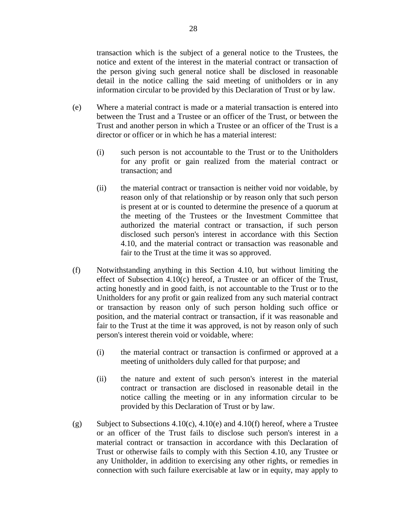transaction which is the subject of a general notice to the Trustees, the notice and extent of the interest in the material contract or transaction of the person giving such general notice shall be disclosed in reasonable detail in the notice calling the said meeting of unitholders or in any information circular to be provided by this Declaration of Trust or by law.

- (e) Where a material contract is made or a material transaction is entered into between the Trust and a Trustee or an officer of the Trust, or between the Trust and another person in which a Trustee or an officer of the Trust is a director or officer or in which he has a material interest:
	- (i) such person is not accountable to the Trust or to the Unitholders for any profit or gain realized from the material contract or transaction; and
	- (ii) the material contract or transaction is neither void nor voidable, by reason only of that relationship or by reason only that such person is present at or is counted to determine the presence of a quorum at the meeting of the Trustees or the Investment Committee that authorized the material contract or transaction, if such person disclosed such person's interest in accordance with this Section 4.10, and the material contract or transaction was reasonable and fair to the Trust at the time it was so approved.
- (f) Notwithstanding anything in this Section 4.10, but without limiting the effect of Subsection 4.10(c) hereof, a Trustee or an officer of the Trust, acting honestly and in good faith, is not accountable to the Trust or to the Unitholders for any profit or gain realized from any such material contract or transaction by reason only of such person holding such office or position, and the material contract or transaction, if it was reasonable and fair to the Trust at the time it was approved, is not by reason only of such person's interest therein void or voidable, where:
	- (i) the material contract or transaction is confirmed or approved at a meeting of unitholders duly called for that purpose; and
	- (ii) the nature and extent of such person's interest in the material contract or transaction are disclosed in reasonable detail in the notice calling the meeting or in any information circular to be provided by this Declaration of Trust or by law.
- (g) Subject to Subsections  $4.10(c)$ ,  $4.10(e)$  and  $4.10(f)$  hereof, where a Trustee or an officer of the Trust fails to disclose such person's interest in a material contract or transaction in accordance with this Declaration of Trust or otherwise fails to comply with this Section 4.10, any Trustee or any Unitholder, in addition to exercising any other rights, or remedies in connection with such failure exercisable at law or in equity, may apply to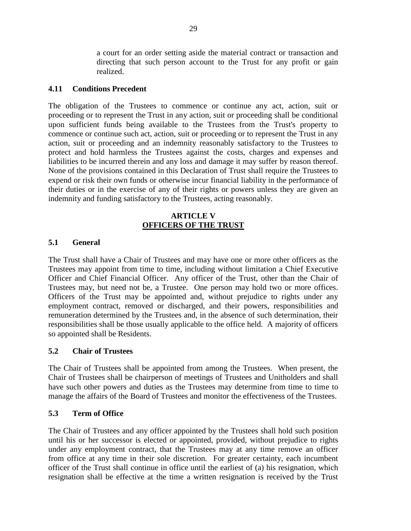a court for an order setting aside the material contract or transaction and directing that such person account to the Trust for any profit or gain realized.

### <span id="page-34-0"></span>**4.11 Conditions Precedent**

The obligation of the Trustees to commence or continue any act, action, suit or proceeding or to represent the Trust in any action, suit or proceeding shall be conditional upon sufficient funds being available to the Trustees from the Trust's property to commence or continue such act, action, suit or proceeding or to represent the Trust in any action, suit or proceeding and an indemnity reasonably satisfactory to the Trustees to protect and hold harmless the Trustees against the costs, charges and expenses and liabilities to be incurred therein and any loss and damage it may suffer by reason thereof. None of the provisions contained in this Declaration of Trust shall require the Trustees to expend or risk their own funds or otherwise incur financial liability in the performance of their duties or in the exercise of any of their rights or powers unless they are given an indemnity and funding satisfactory to the Trustees, acting reasonably.

### **ARTICLE V OFFICERS OF THE TRUST**

#### <span id="page-34-2"></span><span id="page-34-1"></span>**5.1 General**

The Trust shall have a Chair of Trustees and may have one or more other officers as the Trustees may appoint from time to time, including without limitation a Chief Executive Officer and Chief Financial Officer. Any officer of the Trust, other than the Chair of Trustees may, but need not be, a Trustee. One person may hold two or more offices. Officers of the Trust may be appointed and, without prejudice to rights under any employment contract, removed or discharged, and their powers, responsibilities and remuneration determined by the Trustees and, in the absence of such determination, their responsibilities shall be those usually applicable to the office held. A majority of officers so appointed shall be Residents.

#### <span id="page-34-3"></span>**5.2 Chair of Trustees**

The Chair of Trustees shall be appointed from among the Trustees. When present, the Chair of Trustees shall be chairperson of meetings of Trustees and Unitholders and shall have such other powers and duties as the Trustees may determine from time to time to manage the affairs of the Board of Trustees and monitor the effectiveness of the Trustees.

#### <span id="page-34-4"></span>**5.3 Term of Office**

The Chair of Trustees and any officer appointed by the Trustees shall hold such position until his or her successor is elected or appointed, provided, without prejudice to rights under any employment contract, that the Trustees may at any time remove an officer from office at any time in their sole discretion. For greater certainty, each incumbent officer of the Trust shall continue in office until the earliest of (a) his resignation, which resignation shall be effective at the time a written resignation is received by the Trust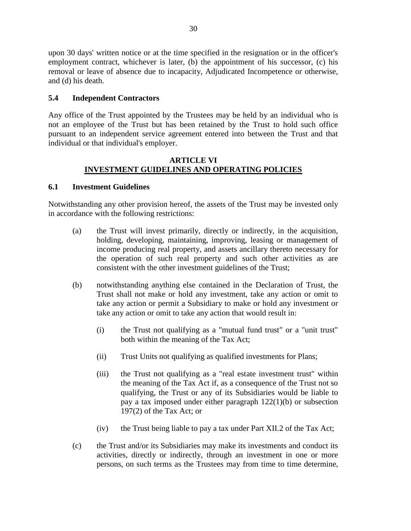upon 30 days' written notice or at the time specified in the resignation or in the officer's employment contract, whichever is later, (b) the appointment of his successor, (c) his removal or leave of absence due to incapacity, Adjudicated Incompetence or otherwise, and (d) his death.

# <span id="page-35-0"></span>**5.4 Independent Contractors**

Any office of the Trust appointed by the Trustees may be held by an individual who is not an employee of the Trust but has been retained by the Trust to hold such office pursuant to an independent service agreement entered into between the Trust and that individual or that individual's employer.

### **ARTICLE VI INVESTMENT GUIDELINES AND OPERATING POLICIES**

### <span id="page-35-2"></span><span id="page-35-1"></span>**6.1 Investment Guidelines**

Notwithstanding any other provision hereof, the assets of the Trust may be invested only in accordance with the following restrictions:

- (a) the Trust will invest primarily, directly or indirectly, in the acquisition, holding, developing, maintaining, improving, leasing or management of income producing real property, and assets ancillary thereto necessary for the operation of such real property and such other activities as are consistent with the other investment guidelines of the Trust;
- (b) notwithstanding anything else contained in the Declaration of Trust, the Trust shall not make or hold any investment, take any action or omit to take any action or permit a Subsidiary to make or hold any investment or take any action or omit to take any action that would result in:
	- (i) the Trust not qualifying as a "mutual fund trust" or a "unit trust" both within the meaning of the Tax Act;
	- (ii) Trust Units not qualifying as qualified investments for Plans;
	- (iii) the Trust not qualifying as a "real estate investment trust" within the meaning of the Tax Act if, as a consequence of the Trust not so qualifying, the Trust or any of its Subsidiaries would be liable to pay a tax imposed under either paragraph 122(1)(b) or subsection 197(2) of the Tax Act; or
	- (iv) the Trust being liable to pay a tax under Part XII.2 of the Tax Act;
- (c) the Trust and/or its Subsidiaries may make its investments and conduct its activities, directly or indirectly, through an investment in one or more persons, on such terms as the Trustees may from time to time determine,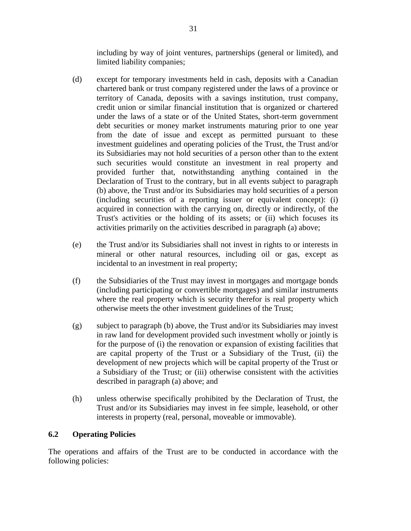including by way of joint ventures, partnerships (general or limited), and limited liability companies;

- (d) except for temporary investments held in cash, deposits with a Canadian chartered bank or trust company registered under the laws of a province or territory of Canada, deposits with a savings institution, trust company, credit union or similar financial institution that is organized or chartered under the laws of a state or of the United States, short-term government debt securities or money market instruments maturing prior to one year from the date of issue and except as permitted pursuant to these investment guidelines and operating policies of the Trust, the Trust and/or its Subsidiaries may not hold securities of a person other than to the extent such securities would constitute an investment in real property and provided further that, notwithstanding anything contained in the Declaration of Trust to the contrary, but in all events subject to paragraph (b) above, the Trust and/or its Subsidiaries may hold securities of a person (including securities of a reporting issuer or equivalent concept): (i) acquired in connection with the carrying on, directly or indirectly, of the Trust's activities or the holding of its assets; or (ii) which focuses its activities primarily on the activities described in paragraph (a) above;
- (e) the Trust and/or its Subsidiaries shall not invest in rights to or interests in mineral or other natural resources, including oil or gas, except as incidental to an investment in real property;
- (f) the Subsidiaries of the Trust may invest in mortgages and mortgage bonds (including participating or convertible mortgages) and similar instruments where the real property which is security therefor is real property which otherwise meets the other investment guidelines of the Trust;
- (g) subject to paragraph (b) above, the Trust and/or its Subsidiaries may invest in raw land for development provided such investment wholly or jointly is for the purpose of (i) the renovation or expansion of existing facilities that are capital property of the Trust or a Subsidiary of the Trust, (ii) the development of new projects which will be capital property of the Trust or a Subsidiary of the Trust; or (iii) otherwise consistent with the activities described in paragraph (a) above; and
- (h) unless otherwise specifically prohibited by the Declaration of Trust, the Trust and/or its Subsidiaries may invest in fee simple, leasehold, or other interests in property (real, personal, moveable or immovable).

# **6.2 Operating Policies**

The operations and affairs of the Trust are to be conducted in accordance with the following policies: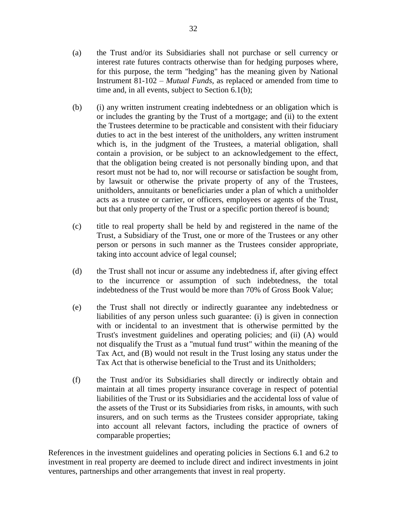- (a) the Trust and/or its Subsidiaries shall not purchase or sell currency or interest rate futures contracts otherwise than for hedging purposes where, for this purpose, the term "hedging" has the meaning given by National Instrument 81-102 – *Mutual Funds*, as replaced or amended from time to time and, in all events, subject to Section 6.1(b);
- (b) (i) any written instrument creating indebtedness or an obligation which is or includes the granting by the Trust of a mortgage; and (ii) to the extent the Trustees determine to be practicable and consistent with their fiduciary duties to act in the best interest of the unitholders, any written instrument which is, in the judgment of the Trustees, a material obligation, shall contain a provision, or be subject to an acknowledgement to the effect, that the obligation being created is not personally binding upon, and that resort must not be had to, nor will recourse or satisfaction be sought from, by lawsuit or otherwise the private property of any of the Trustees, unitholders, annuitants or beneficiaries under a plan of which a unitholder acts as a trustee or carrier, or officers, employees or agents of the Trust, but that only property of the Trust or a specific portion thereof is bound;
- (c) title to real property shall be held by and registered in the name of the Trust, a Subsidiary of the Trust, one or more of the Trustees or any other person or persons in such manner as the Trustees consider appropriate, taking into account advice of legal counsel;
- (d) the Trust shall not incur or assume any indebtedness if, after giving effect to the incurrence or assumption of such indebtedness, the total indebtedness of the Trust would be more than 70% of Gross Book Value;
- (e) the Trust shall not directly or indirectly guarantee any indebtedness or liabilities of any person unless such guarantee: (i) is given in connection with or incidental to an investment that is otherwise permitted by the Trust's investment guidelines and operating policies; and (ii) (A) would not disqualify the Trust as a "mutual fund trust" within the meaning of the Tax Act, and (B) would not result in the Trust losing any status under the Tax Act that is otherwise beneficial to the Trust and its Unitholders;
- (f) the Trust and/or its Subsidiaries shall directly or indirectly obtain and maintain at all times property insurance coverage in respect of potential liabilities of the Trust or its Subsidiaries and the accidental loss of value of the assets of the Trust or its Subsidiaries from risks, in amounts, with such insurers, and on such terms as the Trustees consider appropriate, taking into account all relevant factors, including the practice of owners of comparable properties;

References in the investment guidelines and operating policies in Sections 6.1 and 6.2 to investment in real property are deemed to include direct and indirect investments in joint ventures, partnerships and other arrangements that invest in real property.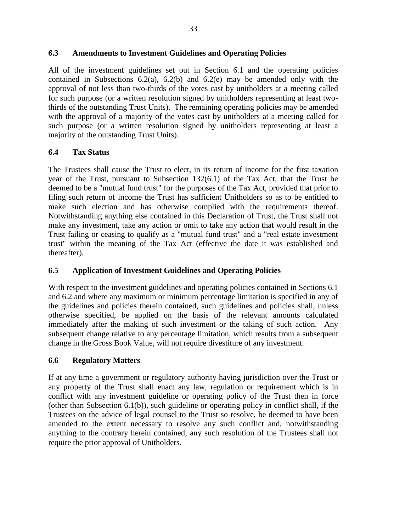# **6.3 Amendments to Investment Guidelines and Operating Policies**

All of the investment guidelines set out in Section 6.1 and the operating policies contained in Subsections  $6.2(a)$ ,  $6.2(b)$  and  $6.2(e)$  may be amended only with the approval of not less than two-thirds of the votes cast by unitholders at a meeting called for such purpose (or a written resolution signed by unitholders representing at least twothirds of the outstanding Trust Units). The remaining operating policies may be amended with the approval of a majority of the votes cast by unitholders at a meeting called for such purpose (or a written resolution signed by unitholders representing at least a majority of the outstanding Trust Units).

# **6.4 Tax Status**

The Trustees shall cause the Trust to elect, in its return of income for the first taxation year of the Trust, pursuant to Subsection 132(6.1) of the Tax Act, that the Trust be deemed to be a "mutual fund trust" for the purposes of the Tax Act, provided that prior to filing such return of income the Trust has sufficient Unitholders so as to be entitled to make such election and has otherwise complied with the requirements thereof. Notwithstanding anything else contained in this Declaration of Trust, the Trust shall not make any investment, take any action or omit to take any action that would result in the Trust failing or ceasing to qualify as a "mutual fund trust" and a "real estate investment trust" within the meaning of the Tax Act (effective the date it was established and thereafter).

# **6.5 Application of Investment Guidelines and Operating Policies**

With respect to the investment guidelines and operating policies contained in Sections 6.1 and 6.2 and where any maximum or minimum percentage limitation is specified in any of the guidelines and policies therein contained, such guidelines and policies shall, unless otherwise specified, be applied on the basis of the relevant amounts calculated immediately after the making of such investment or the taking of such action. Any subsequent change relative to any percentage limitation, which results from a subsequent change in the Gross Book Value, will not require divestiture of any investment.

# **6.6 Regulatory Matters**

If at any time a government or regulatory authority having jurisdiction over the Trust or any property of the Trust shall enact any law, regulation or requirement which is in conflict with any investment guideline or operating policy of the Trust then in force (other than Subsection 6.1(b)), such guideline or operating policy in conflict shall, if the Trustees on the advice of legal counsel to the Trust so resolve, be deemed to have been amended to the extent necessary to resolve any such conflict and, notwithstanding anything to the contrary herein contained, any such resolution of the Trustees shall not require the prior approval of Unitholders.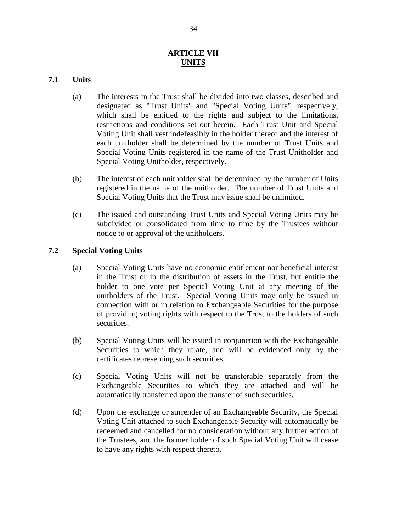## **ARTICLE VII UNITS**

### **7.1 Units**

- (a) The interests in the Trust shall be divided into two classes, described and designated as "Trust Units" and "Special Voting Units", respectively, which shall be entitled to the rights and subject to the limitations, restrictions and conditions set out herein. Each Trust Unit and Special Voting Unit shall vest indefeasibly in the holder thereof and the interest of each unitholder shall be determined by the number of Trust Units and Special Voting Units registered in the name of the Trust Unitholder and Special Voting Unitholder, respectively.
- (b) The interest of each unitholder shall be determined by the number of Units registered in the name of the unitholder. The number of Trust Units and Special Voting Units that the Trust may issue shall be unlimited.
- (c) The issued and outstanding Trust Units and Special Voting Units may be subdivided or consolidated from time to time by the Trustees without notice to or approval of the unitholders.

### **7.2 Special Voting Units**

- (a) Special Voting Units have no economic entitlement nor beneficial interest in the Trust or in the distribution of assets in the Trust, but entitle the holder to one vote per Special Voting Unit at any meeting of the unitholders of the Trust. Special Voting Units may only be issued in connection with or in relation to Exchangeable Securities for the purpose of providing voting rights with respect to the Trust to the holders of such securities.
- (b) Special Voting Units will be issued in conjunction with the Exchangeable Securities to which they relate, and will be evidenced only by the certificates representing such securities.
- (c) Special Voting Units will not be transferable separately from the Exchangeable Securities to which they are attached and will be automatically transferred upon the transfer of such securities.
- (d) Upon the exchange or surrender of an Exchangeable Security, the Special Voting Unit attached to such Exchangeable Security will automatically be redeemed and cancelled for no consideration without any further action of the Trustees, and the former holder of such Special Voting Unit will cease to have any rights with respect thereto.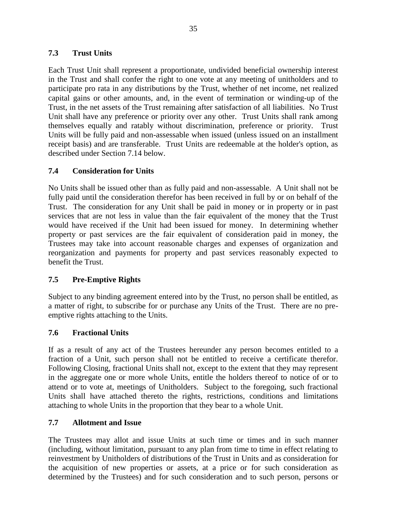## **7.3 Trust Units**

Each Trust Unit shall represent a proportionate, undivided beneficial ownership interest in the Trust and shall confer the right to one vote at any meeting of unitholders and to participate pro rata in any distributions by the Trust, whether of net income, net realized capital gains or other amounts, and, in the event of termination or winding-up of the Trust, in the net assets of the Trust remaining after satisfaction of all liabilities. No Trust Unit shall have any preference or priority over any other. Trust Units shall rank among themselves equally and ratably without discrimination, preference or priority. Trust Units will be fully paid and non-assessable when issued (unless issued on an installment receipt basis) and are transferable. Trust Units are redeemable at the holder's option, as described under Section 7.14 below.

# **7.4 Consideration for Units**

No Units shall be issued other than as fully paid and non-assessable. A Unit shall not be fully paid until the consideration therefor has been received in full by or on behalf of the Trust. The consideration for any Unit shall be paid in money or in property or in past services that are not less in value than the fair equivalent of the money that the Trust would have received if the Unit had been issued for money. In determining whether property or past services are the fair equivalent of consideration paid in money, the Trustees may take into account reasonable charges and expenses of organization and reorganization and payments for property and past services reasonably expected to benefit the Trust.

## **7.5 Pre-Emptive Rights**

Subject to any binding agreement entered into by the Trust, no person shall be entitled, as a matter of right, to subscribe for or purchase any Units of the Trust. There are no preemptive rights attaching to the Units.

## **7.6 Fractional Units**

If as a result of any act of the Trustees hereunder any person becomes entitled to a fraction of a Unit, such person shall not be entitled to receive a certificate therefor. Following Closing, fractional Units shall not, except to the extent that they may represent in the aggregate one or more whole Units, entitle the holders thereof to notice of or to attend or to vote at, meetings of Unitholders. Subject to the foregoing, such fractional Units shall have attached thereto the rights, restrictions, conditions and limitations attaching to whole Units in the proportion that they bear to a whole Unit.

## **7.7 Allotment and Issue**

The Trustees may allot and issue Units at such time or times and in such manner (including, without limitation, pursuant to any plan from time to time in effect relating to reinvestment by Unitholders of distributions of the Trust in Units and as consideration for the acquisition of new properties or assets, at a price or for such consideration as determined by the Trustees) and for such consideration and to such person, persons or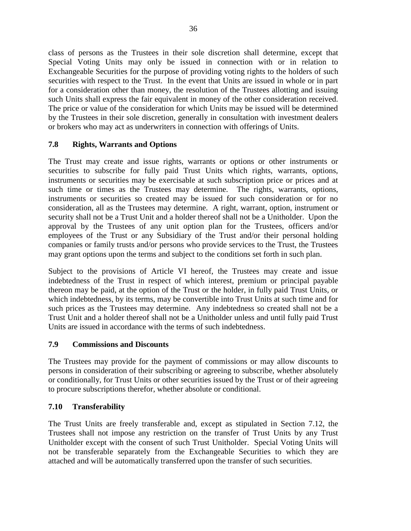class of persons as the Trustees in their sole discretion shall determine, except that Special Voting Units may only be issued in connection with or in relation to Exchangeable Securities for the purpose of providing voting rights to the holders of such securities with respect to the Trust. In the event that Units are issued in whole or in part for a consideration other than money, the resolution of the Trustees allotting and issuing such Units shall express the fair equivalent in money of the other consideration received. The price or value of the consideration for which Units may be issued will be determined by the Trustees in their sole discretion, generally in consultation with investment dealers or brokers who may act as underwriters in connection with offerings of Units.

# **7.8 Rights, Warrants and Options**

The Trust may create and issue rights, warrants or options or other instruments or securities to subscribe for fully paid Trust Units which rights, warrants, options, instruments or securities may be exercisable at such subscription price or prices and at such time or times as the Trustees may determine. The rights, warrants, options, instruments or securities so created may be issued for such consideration or for no consideration, all as the Trustees may determine. A right, warrant, option, instrument or security shall not be a Trust Unit and a holder thereof shall not be a Unitholder. Upon the approval by the Trustees of any unit option plan for the Trustees, officers and/or employees of the Trust or any Subsidiary of the Trust and/or their personal holding companies or family trusts and/or persons who provide services to the Trust, the Trustees may grant options upon the terms and subject to the conditions set forth in such plan.

Subject to the provisions of Article VI hereof, the Trustees may create and issue indebtedness of the Trust in respect of which interest, premium or principal payable thereon may be paid, at the option of the Trust or the holder, in fully paid Trust Units, or which indebtedness, by its terms, may be convertible into Trust Units at such time and for such prices as the Trustees may determine. Any indebtedness so created shall not be a Trust Unit and a holder thereof shall not be a Unitholder unless and until fully paid Trust Units are issued in accordance with the terms of such indebtedness.

# **7.9 Commissions and Discounts**

The Trustees may provide for the payment of commissions or may allow discounts to persons in consideration of their subscribing or agreeing to subscribe, whether absolutely or conditionally, for Trust Units or other securities issued by the Trust or of their agreeing to procure subscriptions therefor, whether absolute or conditional.

# **7.10 Transferability**

The Trust Units are freely transferable and, except as stipulated in Section 7.12, the Trustees shall not impose any restriction on the transfer of Trust Units by any Trust Unitholder except with the consent of such Trust Unitholder. Special Voting Units will not be transferable separately from the Exchangeable Securities to which they are attached and will be automatically transferred upon the transfer of such securities.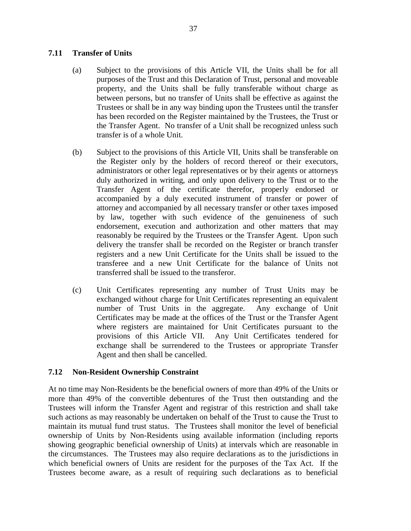## **7.11 Transfer of Units**

- (a) Subject to the provisions of this Article VII, the Units shall be for all purposes of the Trust and this Declaration of Trust, personal and moveable property, and the Units shall be fully transferable without charge as between persons, but no transfer of Units shall be effective as against the Trustees or shall be in any way binding upon the Trustees until the transfer has been recorded on the Register maintained by the Trustees, the Trust or the Transfer Agent. No transfer of a Unit shall be recognized unless such transfer is of a whole Unit.
- (b) Subject to the provisions of this Article VII, Units shall be transferable on the Register only by the holders of record thereof or their executors, administrators or other legal representatives or by their agents or attorneys duly authorized in writing, and only upon delivery to the Trust or to the Transfer Agent of the certificate therefor, properly endorsed or accompanied by a duly executed instrument of transfer or power of attorney and accompanied by all necessary transfer or other taxes imposed by law, together with such evidence of the genuineness of such endorsement, execution and authorization and other matters that may reasonably be required by the Trustees or the Transfer Agent. Upon such delivery the transfer shall be recorded on the Register or branch transfer registers and a new Unit Certificate for the Units shall be issued to the transferee and a new Unit Certificate for the balance of Units not transferred shall be issued to the transferor.
- (c) Unit Certificates representing any number of Trust Units may be exchanged without charge for Unit Certificates representing an equivalent number of Trust Units in the aggregate. Any exchange of Unit Certificates may be made at the offices of the Trust or the Transfer Agent where registers are maintained for Unit Certificates pursuant to the provisions of this Article VII. Any Unit Certificates tendered for exchange shall be surrendered to the Trustees or appropriate Transfer Agent and then shall be cancelled.

## **7.12 Non-Resident Ownership Constraint**

At no time may Non-Residents be the beneficial owners of more than 49% of the Units or more than 49% of the convertible debentures of the Trust then outstanding and the Trustees will inform the Transfer Agent and registrar of this restriction and shall take such actions as may reasonably be undertaken on behalf of the Trust to cause the Trust to maintain its mutual fund trust status. The Trustees shall monitor the level of beneficial ownership of Units by Non-Residents using available information (including reports showing geographic beneficial ownership of Units) at intervals which are reasonable in the circumstances. The Trustees may also require declarations as to the jurisdictions in which beneficial owners of Units are resident for the purposes of the Tax Act. If the Trustees become aware, as a result of requiring such declarations as to beneficial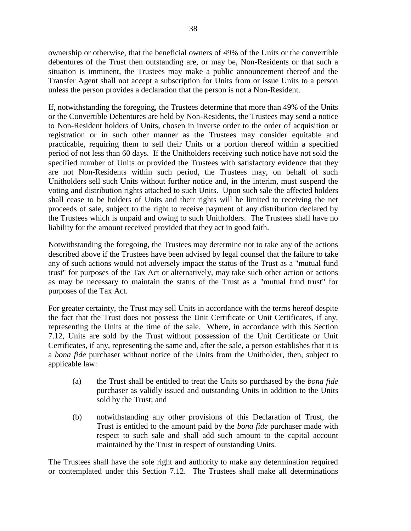ownership or otherwise, that the beneficial owners of 49% of the Units or the convertible debentures of the Trust then outstanding are, or may be, Non-Residents or that such a situation is imminent, the Trustees may make a public announcement thereof and the Transfer Agent shall not accept a subscription for Units from or issue Units to a person unless the person provides a declaration that the person is not a Non-Resident.

If, notwithstanding the foregoing, the Trustees determine that more than 49% of the Units or the Convertible Debentures are held by Non-Residents, the Trustees may send a notice to Non-Resident holders of Units, chosen in inverse order to the order of acquisition or registration or in such other manner as the Trustees may consider equitable and practicable, requiring them to sell their Units or a portion thereof within a specified period of not less than 60 days. If the Unitholders receiving such notice have not sold the specified number of Units or provided the Trustees with satisfactory evidence that they are not Non-Residents within such period, the Trustees may, on behalf of such Unitholders sell such Units without further notice and, in the interim, must suspend the voting and distribution rights attached to such Units. Upon such sale the affected holders shall cease to be holders of Units and their rights will be limited to receiving the net proceeds of sale, subject to the right to receive payment of any distribution declared by the Trustees which is unpaid and owing to such Unitholders. The Trustees shall have no liability for the amount received provided that they act in good faith.

Notwithstanding the foregoing, the Trustees may determine not to take any of the actions described above if the Trustees have been advised by legal counsel that the failure to take any of such actions would not adversely impact the status of the Trust as a "mutual fund trust" for purposes of the Tax Act or alternatively, may take such other action or actions as may be necessary to maintain the status of the Trust as a "mutual fund trust" for purposes of the Tax Act.

For greater certainty, the Trust may sell Units in accordance with the terms hereof despite the fact that the Trust does not possess the Unit Certificate or Unit Certificates, if any, representing the Units at the time of the sale. Where, in accordance with this Section 7.12, Units are sold by the Trust without possession of the Unit Certificate or Unit Certificates, if any, representing the same and, after the sale, a person establishes that it is a *bona fide* purchaser without notice of the Units from the Unitholder, then, subject to applicable law:

- (a) the Trust shall be entitled to treat the Units so purchased by the *bona fide* purchaser as validly issued and outstanding Units in addition to the Units sold by the Trust; and
- (b) notwithstanding any other provisions of this Declaration of Trust, the Trust is entitled to the amount paid by the *bona fide* purchaser made with respect to such sale and shall add such amount to the capital account maintained by the Trust in respect of outstanding Units.

The Trustees shall have the sole right and authority to make any determination required or contemplated under this Section 7.12. The Trustees shall make all determinations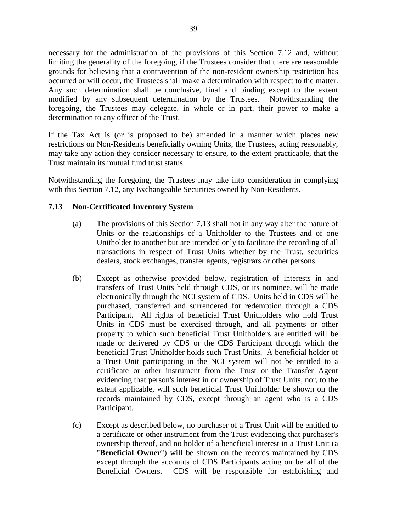necessary for the administration of the provisions of this Section 7.12 and, without limiting the generality of the foregoing, if the Trustees consider that there are reasonable grounds for believing that a contravention of the non-resident ownership restriction has occurred or will occur, the Trustees shall make a determination with respect to the matter. Any such determination shall be conclusive, final and binding except to the extent modified by any subsequent determination by the Trustees. Notwithstanding the foregoing, the Trustees may delegate, in whole or in part, their power to make a determination to any officer of the Trust.

If the Tax Act is (or is proposed to be) amended in a manner which places new restrictions on Non-Residents beneficially owning Units, the Trustees, acting reasonably, may take any action they consider necessary to ensure, to the extent practicable, that the Trust maintain its mutual fund trust status.

Notwithstanding the foregoing, the Trustees may take into consideration in complying with this Section 7.12, any Exchangeable Securities owned by Non-Residents.

## **7.13 Non-Certificated Inventory System**

- (a) The provisions of this Section 7.13 shall not in any way alter the nature of Units or the relationships of a Unitholder to the Trustees and of one Unitholder to another but are intended only to facilitate the recording of all transactions in respect of Trust Units whether by the Trust, securities dealers, stock exchanges, transfer agents, registrars or other persons.
- (b) Except as otherwise provided below, registration of interests in and transfers of Trust Units held through CDS, or its nominee, will be made electronically through the NCI system of CDS. Units held in CDS will be purchased, transferred and surrendered for redemption through a CDS Participant. All rights of beneficial Trust Unitholders who hold Trust Units in CDS must be exercised through, and all payments or other property to which such beneficial Trust Unitholders are entitled will be made or delivered by CDS or the CDS Participant through which the beneficial Trust Unitholder holds such Trust Units. A beneficial holder of a Trust Unit participating in the NCI system will not be entitled to a certificate or other instrument from the Trust or the Transfer Agent evidencing that person's interest in or ownership of Trust Units, nor, to the extent applicable, will such beneficial Trust Unitholder be shown on the records maintained by CDS, except through an agent who is a CDS Participant.
- (c) Except as described below, no purchaser of a Trust Unit will be entitled to a certificate or other instrument from the Trust evidencing that purchaser's ownership thereof, and no holder of a beneficial interest in a Trust Unit (a "**Beneficial Owner**") will be shown on the records maintained by CDS except through the accounts of CDS Participants acting on behalf of the Beneficial Owners. CDS will be responsible for establishing and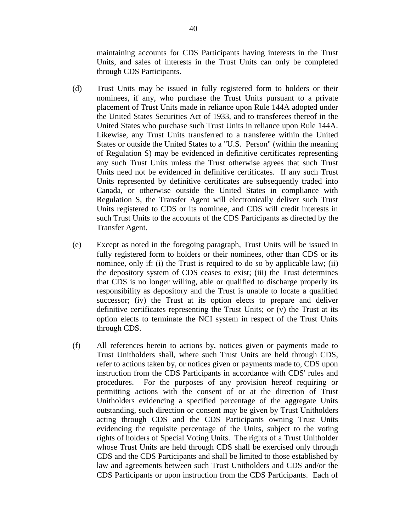maintaining accounts for CDS Participants having interests in the Trust Units, and sales of interests in the Trust Units can only be completed through CDS Participants.

- (d) Trust Units may be issued in fully registered form to holders or their nominees, if any, who purchase the Trust Units pursuant to a private placement of Trust Units made in reliance upon Rule 144A adopted under the United States Securities Act of 1933, and to transferees thereof in the United States who purchase such Trust Units in reliance upon Rule 144A. Likewise, any Trust Units transferred to a transferee within the United States or outside the United States to a "U.S. Person" (within the meaning of Regulation S) may be evidenced in definitive certificates representing any such Trust Units unless the Trust otherwise agrees that such Trust Units need not be evidenced in definitive certificates. If any such Trust Units represented by definitive certificates are subsequently traded into Canada, or otherwise outside the United States in compliance with Regulation S, the Transfer Agent will electronically deliver such Trust Units registered to CDS or its nominee, and CDS will credit interests in such Trust Units to the accounts of the CDS Participants as directed by the Transfer Agent.
- (e) Except as noted in the foregoing paragraph, Trust Units will be issued in fully registered form to holders or their nominees, other than CDS or its nominee, only if: (i) the Trust is required to do so by applicable law; (ii) the depository system of CDS ceases to exist; (iii) the Trust determines that CDS is no longer willing, able or qualified to discharge properly its responsibility as depository and the Trust is unable to locate a qualified successor; (iv) the Trust at its option elects to prepare and deliver definitive certificates representing the Trust Units; or (v) the Trust at its option elects to terminate the NCI system in respect of the Trust Units through CDS.
- (f) All references herein to actions by, notices given or payments made to Trust Unitholders shall, where such Trust Units are held through CDS, refer to actions taken by, or notices given or payments made to, CDS upon instruction from the CDS Participants in accordance with CDS' rules and procedures. For the purposes of any provision hereof requiring or permitting actions with the consent of or at the direction of Trust Unitholders evidencing a specified percentage of the aggregate Units outstanding, such direction or consent may be given by Trust Unitholders acting through CDS and the CDS Participants owning Trust Units evidencing the requisite percentage of the Units, subject to the voting rights of holders of Special Voting Units. The rights of a Trust Unitholder whose Trust Units are held through CDS shall be exercised only through CDS and the CDS Participants and shall be limited to those established by law and agreements between such Trust Unitholders and CDS and/or the CDS Participants or upon instruction from the CDS Participants. Each of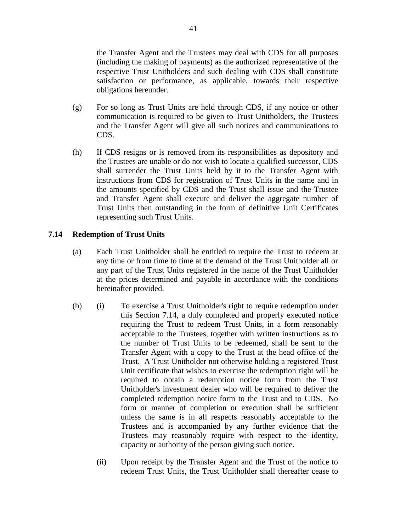the Transfer Agent and the Trustees may deal with CDS for all purposes (including the making of payments) as the authorized representative of the respective Trust Unitholders and such dealing with CDS shall constitute satisfaction or performance, as applicable, towards their respective obligations hereunder.

- (g) For so long as Trust Units are held through CDS, if any notice or other communication is required to be given to Trust Unitholders, the Trustees and the Transfer Agent will give all such notices and communications to CDS.
- (h) If CDS resigns or is removed from its responsibilities as depository and the Trustees are unable or do not wish to locate a qualified successor, CDS shall surrender the Trust Units held by it to the Transfer Agent with instructions from CDS for registration of Trust Units in the name and in the amounts specified by CDS and the Trust shall issue and the Trustee and Transfer Agent shall execute and deliver the aggregate number of Trust Units then outstanding in the form of definitive Unit Certificates representing such Trust Units.

### **7.14 Redemption of Trust Units**

- (a) Each Trust Unitholder shall be entitled to require the Trust to redeem at any time or from time to time at the demand of the Trust Unitholder all or any part of the Trust Units registered in the name of the Trust Unitholder at the prices determined and payable in accordance with the conditions hereinafter provided.
- (b) (i) To exercise a Trust Unitholder's right to require redemption under this Section 7.14, a duly completed and properly executed notice requiring the Trust to redeem Trust Units, in a form reasonably acceptable to the Trustees, together with written instructions as to the number of Trust Units to be redeemed, shall be sent to the Transfer Agent with a copy to the Trust at the head office of the Trust. A Trust Unitholder not otherwise holding a registered Trust Unit certificate that wishes to exercise the redemption right will be required to obtain a redemption notice form from the Trust Unitholder's investment dealer who will be required to deliver the completed redemption notice form to the Trust and to CDS. No form or manner of completion or execution shall be sufficient unless the same is in all respects reasonably acceptable to the Trustees and is accompanied by any further evidence that the Trustees may reasonably require with respect to the identity, capacity or authority of the person giving such notice.
	- (ii) Upon receipt by the Transfer Agent and the Trust of the notice to redeem Trust Units, the Trust Unitholder shall thereafter cease to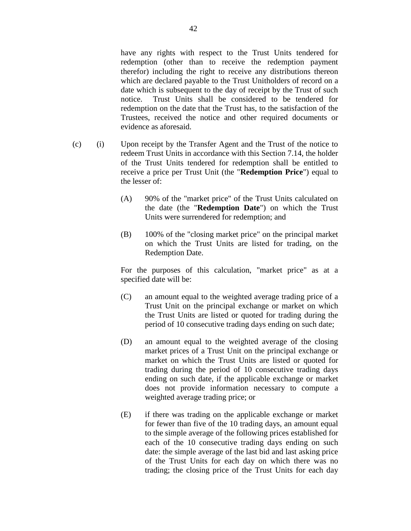have any rights with respect to the Trust Units tendered for redemption (other than to receive the redemption payment therefor) including the right to receive any distributions thereon which are declared payable to the Trust Unitholders of record on a date which is subsequent to the day of receipt by the Trust of such notice. Trust Units shall be considered to be tendered for redemption on the date that the Trust has, to the satisfaction of the Trustees, received the notice and other required documents or evidence as aforesaid.

- (c) (i) Upon receipt by the Transfer Agent and the Trust of the notice to redeem Trust Units in accordance with this Section 7.14, the holder of the Trust Units tendered for redemption shall be entitled to receive a price per Trust Unit (the "**Redemption Price**") equal to the lesser of:
	- (A) 90% of the "market price" of the Trust Units calculated on the date (the "**Redemption Date**") on which the Trust Units were surrendered for redemption; and
	- (B) 100% of the "closing market price" on the principal market on which the Trust Units are listed for trading, on the Redemption Date.

For the purposes of this calculation, "market price" as at a specified date will be:

- (C) an amount equal to the weighted average trading price of a Trust Unit on the principal exchange or market on which the Trust Units are listed or quoted for trading during the period of 10 consecutive trading days ending on such date;
- (D) an amount equal to the weighted average of the closing market prices of a Trust Unit on the principal exchange or market on which the Trust Units are listed or quoted for trading during the period of 10 consecutive trading days ending on such date, if the applicable exchange or market does not provide information necessary to compute a weighted average trading price; or
- (E) if there was trading on the applicable exchange or market for fewer than five of the 10 trading days, an amount equal to the simple average of the following prices established for each of the 10 consecutive trading days ending on such date: the simple average of the last bid and last asking price of the Trust Units for each day on which there was no trading; the closing price of the Trust Units for each day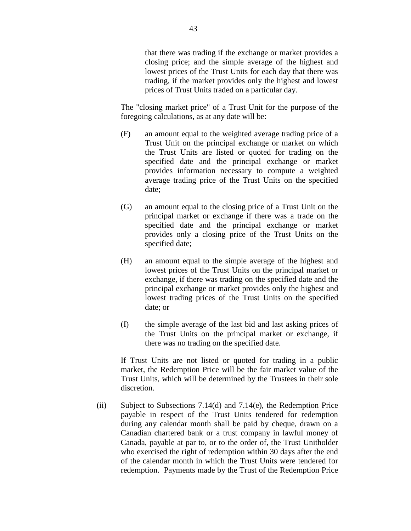that there was trading if the exchange or market provides a closing price; and the simple average of the highest and lowest prices of the Trust Units for each day that there was trading, if the market provides only the highest and lowest prices of Trust Units traded on a particular day.

The "closing market price" of a Trust Unit for the purpose of the foregoing calculations, as at any date will be:

- (F) an amount equal to the weighted average trading price of a Trust Unit on the principal exchange or market on which the Trust Units are listed or quoted for trading on the specified date and the principal exchange or market provides information necessary to compute a weighted average trading price of the Trust Units on the specified date;
- (G) an amount equal to the closing price of a Trust Unit on the principal market or exchange if there was a trade on the specified date and the principal exchange or market provides only a closing price of the Trust Units on the specified date;
- (H) an amount equal to the simple average of the highest and lowest prices of the Trust Units on the principal market or exchange, if there was trading on the specified date and the principal exchange or market provides only the highest and lowest trading prices of the Trust Units on the specified date; or
- (I) the simple average of the last bid and last asking prices of the Trust Units on the principal market or exchange, if there was no trading on the specified date.

If Trust Units are not listed or quoted for trading in a public market, the Redemption Price will be the fair market value of the Trust Units, which will be determined by the Trustees in their sole discretion.

(ii) Subject to Subsections 7.14(d) and 7.14(e), the Redemption Price payable in respect of the Trust Units tendered for redemption during any calendar month shall be paid by cheque, drawn on a Canadian chartered bank or a trust company in lawful money of Canada, payable at par to, or to the order of, the Trust Unitholder who exercised the right of redemption within 30 days after the end of the calendar month in which the Trust Units were tendered for redemption. Payments made by the Trust of the Redemption Price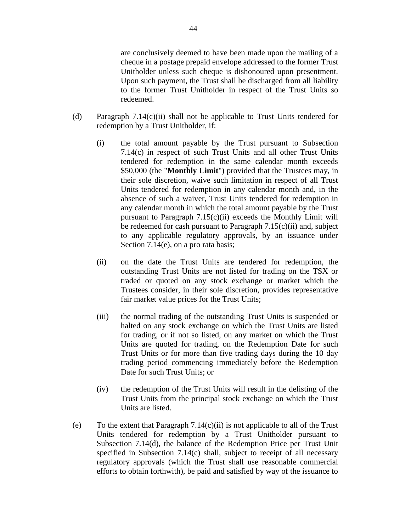are conclusively deemed to have been made upon the mailing of a cheque in a postage prepaid envelope addressed to the former Trust Unitholder unless such cheque is dishonoured upon presentment. Upon such payment, the Trust shall be discharged from all liability to the former Trust Unitholder in respect of the Trust Units so redeemed.

- (d) Paragraph  $7.14(c)(ii)$  shall not be applicable to Trust Units tendered for redemption by a Trust Unitholder, if:
	- (i) the total amount payable by the Trust pursuant to Subsection 7.14(c) in respect of such Trust Units and all other Trust Units tendered for redemption in the same calendar month exceeds \$50,000 (the "**Monthly Limit**") provided that the Trustees may, in their sole discretion, waive such limitation in respect of all Trust Units tendered for redemption in any calendar month and, in the absence of such a waiver, Trust Units tendered for redemption in any calendar month in which the total amount payable by the Trust pursuant to Paragraph  $7.15(c)(ii)$  exceeds the Monthly Limit will be redeemed for cash pursuant to Paragraph  $7.15(c)(ii)$  and, subject to any applicable regulatory approvals, by an issuance under Section 7.14(e), on a pro rata basis;
	- (ii) on the date the Trust Units are tendered for redemption, the outstanding Trust Units are not listed for trading on the TSX or traded or quoted on any stock exchange or market which the Trustees consider, in their sole discretion, provides representative fair market value prices for the Trust Units;
	- (iii) the normal trading of the outstanding Trust Units is suspended or halted on any stock exchange on which the Trust Units are listed for trading, or if not so listed, on any market on which the Trust Units are quoted for trading, on the Redemption Date for such Trust Units or for more than five trading days during the 10 day trading period commencing immediately before the Redemption Date for such Trust Units; or
	- (iv) the redemption of the Trust Units will result in the delisting of the Trust Units from the principal stock exchange on which the Trust Units are listed.
- (e) To the extent that Paragraph  $7.14(c)(ii)$  is not applicable to all of the Trust Units tendered for redemption by a Trust Unitholder pursuant to Subsection 7.14(d), the balance of the Redemption Price per Trust Unit specified in Subsection 7.14(c) shall, subject to receipt of all necessary regulatory approvals (which the Trust shall use reasonable commercial efforts to obtain forthwith), be paid and satisfied by way of the issuance to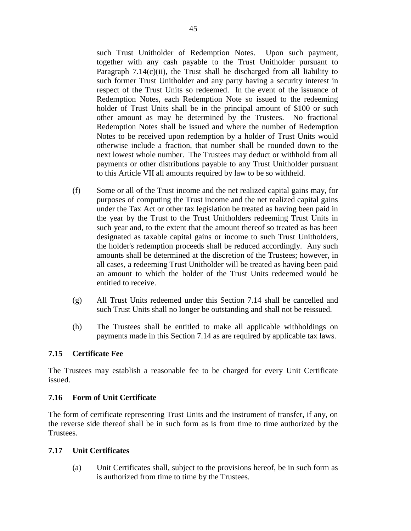such Trust Unitholder of Redemption Notes. Upon such payment, together with any cash payable to the Trust Unitholder pursuant to Paragraph  $7.14(c)(ii)$ , the Trust shall be discharged from all liability to such former Trust Unitholder and any party having a security interest in respect of the Trust Units so redeemed. In the event of the issuance of Redemption Notes, each Redemption Note so issued to the redeeming holder of Trust Units shall be in the principal amount of \$100 or such other amount as may be determined by the Trustees. No fractional Redemption Notes shall be issued and where the number of Redemption Notes to be received upon redemption by a holder of Trust Units would otherwise include a fraction, that number shall be rounded down to the next lowest whole number. The Trustees may deduct or withhold from all payments or other distributions payable to any Trust Unitholder pursuant to this Article VII all amounts required by law to be so withheld.

- (f) Some or all of the Trust income and the net realized capital gains may, for purposes of computing the Trust income and the net realized capital gains under the Tax Act or other tax legislation be treated as having been paid in the year by the Trust to the Trust Unitholders redeeming Trust Units in such year and, to the extent that the amount thereof so treated as has been designated as taxable capital gains or income to such Trust Unitholders, the holder's redemption proceeds shall be reduced accordingly. Any such amounts shall be determined at the discretion of the Trustees; however, in all cases, a redeeming Trust Unitholder will be treated as having been paid an amount to which the holder of the Trust Units redeemed would be entitled to receive.
- (g) All Trust Units redeemed under this Section 7.14 shall be cancelled and such Trust Units shall no longer be outstanding and shall not be reissued.
- (h) The Trustees shall be entitled to make all applicable withholdings on payments made in this Section 7.14 as are required by applicable tax laws.

# **7.15 Certificate Fee**

The Trustees may establish a reasonable fee to be charged for every Unit Certificate issued.

## **7.16 Form of Unit Certificate**

The form of certificate representing Trust Units and the instrument of transfer, if any, on the reverse side thereof shall be in such form as is from time to time authorized by the Trustees.

## **7.17 Unit Certificates**

(a) Unit Certificates shall, subject to the provisions hereof, be in such form as is authorized from time to time by the Trustees.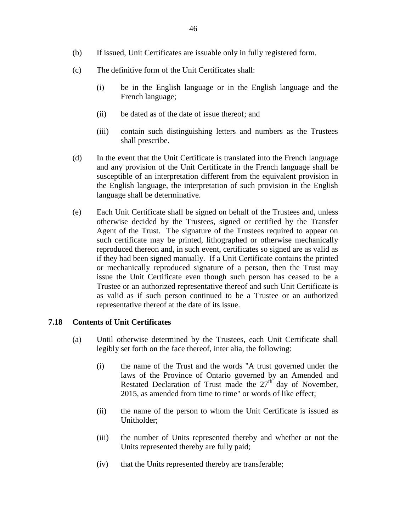- (b) If issued, Unit Certificates are issuable only in fully registered form.
- (c) The definitive form of the Unit Certificates shall:
	- (i) be in the English language or in the English language and the French language;
	- (ii) be dated as of the date of issue thereof; and
	- (iii) contain such distinguishing letters and numbers as the Trustees shall prescribe.
- (d) In the event that the Unit Certificate is translated into the French language and any provision of the Unit Certificate in the French language shall be susceptible of an interpretation different from the equivalent provision in the English language, the interpretation of such provision in the English language shall be determinative.
- (e) Each Unit Certificate shall be signed on behalf of the Trustees and, unless otherwise decided by the Trustees, signed or certified by the Transfer Agent of the Trust. The signature of the Trustees required to appear on such certificate may be printed, lithographed or otherwise mechanically reproduced thereon and, in such event, certificates so signed are as valid as if they had been signed manually. If a Unit Certificate contains the printed or mechanically reproduced signature of a person, then the Trust may issue the Unit Certificate even though such person has ceased to be a Trustee or an authorized representative thereof and such Unit Certificate is as valid as if such person continued to be a Trustee or an authorized representative thereof at the date of its issue.

## **7.18 Contents of Unit Certificates**

- (a) Until otherwise determined by the Trustees, each Unit Certificate shall legibly set forth on the face thereof, inter alia, the following:
	- (i) the name of the Trust and the words "A trust governed under the laws of the Province of Ontario governed by an Amended and Restated Declaration of Trust made the  $27<sup>th</sup>$  day of November, 2015, as amended from time to time" or words of like effect;
	- (ii) the name of the person to whom the Unit Certificate is issued as Unitholder;
	- (iii) the number of Units represented thereby and whether or not the Units represented thereby are fully paid;
	- (iv) that the Units represented thereby are transferable;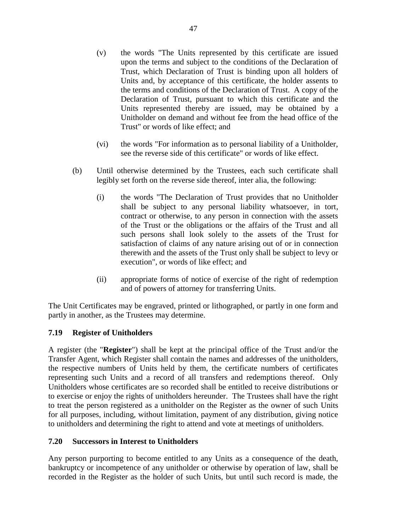- (v) the words "The Units represented by this certificate are issued upon the terms and subject to the conditions of the Declaration of Trust, which Declaration of Trust is binding upon all holders of Units and, by acceptance of this certificate, the holder assents to the terms and conditions of the Declaration of Trust. A copy of the Declaration of Trust, pursuant to which this certificate and the Units represented thereby are issued, may be obtained by a Unitholder on demand and without fee from the head office of the Trust" or words of like effect; and
- (vi) the words "For information as to personal liability of a Unitholder, see the reverse side of this certificate" or words of like effect.
- (b) Until otherwise determined by the Trustees, each such certificate shall legibly set forth on the reverse side thereof, inter alia, the following:
	- (i) the words "The Declaration of Trust provides that no Unitholder shall be subject to any personal liability whatsoever, in tort, contract or otherwise, to any person in connection with the assets of the Trust or the obligations or the affairs of the Trust and all such persons shall look solely to the assets of the Trust for satisfaction of claims of any nature arising out of or in connection therewith and the assets of the Trust only shall be subject to levy or execution", or words of like effect; and
	- (ii) appropriate forms of notice of exercise of the right of redemption and of powers of attorney for transferring Units.

The Unit Certificates may be engraved, printed or lithographed, or partly in one form and partly in another, as the Trustees may determine.

# **7.19 Register of Unitholders**

A register (the "**Register**") shall be kept at the principal office of the Trust and/or the Transfer Agent, which Register shall contain the names and addresses of the unitholders, the respective numbers of Units held by them, the certificate numbers of certificates representing such Units and a record of all transfers and redemptions thereof. Only Unitholders whose certificates are so recorded shall be entitled to receive distributions or to exercise or enjoy the rights of unitholders hereunder. The Trustees shall have the right to treat the person registered as a unitholder on the Register as the owner of such Units for all purposes, including, without limitation, payment of any distribution, giving notice to unitholders and determining the right to attend and vote at meetings of unitholders.

## **7.20 Successors in Interest to Unitholders**

Any person purporting to become entitled to any Units as a consequence of the death, bankruptcy or incompetence of any unitholder or otherwise by operation of law, shall be recorded in the Register as the holder of such Units, but until such record is made, the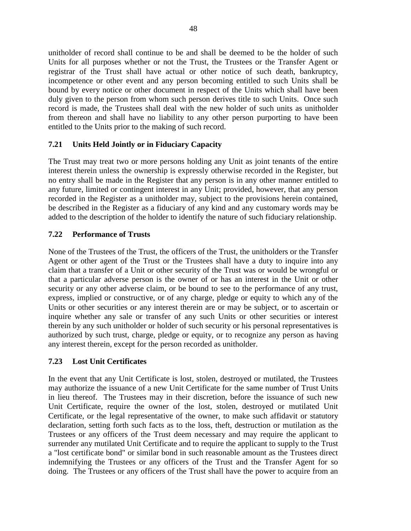unitholder of record shall continue to be and shall be deemed to be the holder of such Units for all purposes whether or not the Trust, the Trustees or the Transfer Agent or registrar of the Trust shall have actual or other notice of such death, bankruptcy, incompetence or other event and any person becoming entitled to such Units shall be bound by every notice or other document in respect of the Units which shall have been duly given to the person from whom such person derives title to such Units. Once such record is made, the Trustees shall deal with the new holder of such units as unitholder from thereon and shall have no liability to any other person purporting to have been entitled to the Units prior to the making of such record.

# **7.21 Units Held Jointly or in Fiduciary Capacity**

The Trust may treat two or more persons holding any Unit as joint tenants of the entire interest therein unless the ownership is expressly otherwise recorded in the Register, but no entry shall be made in the Register that any person is in any other manner entitled to any future, limited or contingent interest in any Unit; provided, however, that any person recorded in the Register as a unitholder may, subject to the provisions herein contained, be described in the Register as a fiduciary of any kind and any customary words may be added to the description of the holder to identify the nature of such fiduciary relationship.

## **7.22 Performance of Trusts**

None of the Trustees of the Trust, the officers of the Trust, the unitholders or the Transfer Agent or other agent of the Trust or the Trustees shall have a duty to inquire into any claim that a transfer of a Unit or other security of the Trust was or would be wrongful or that a particular adverse person is the owner of or has an interest in the Unit or other security or any other adverse claim, or be bound to see to the performance of any trust, express, implied or constructive, or of any charge, pledge or equity to which any of the Units or other securities or any interest therein are or may be subject, or to ascertain or inquire whether any sale or transfer of any such Units or other securities or interest therein by any such unitholder or holder of such security or his personal representatives is authorized by such trust, charge, pledge or equity, or to recognize any person as having any interest therein, except for the person recorded as unitholder.

## **7.23 Lost Unit Certificates**

In the event that any Unit Certificate is lost, stolen, destroyed or mutilated, the Trustees may authorize the issuance of a new Unit Certificate for the same number of Trust Units in lieu thereof. The Trustees may in their discretion, before the issuance of such new Unit Certificate, require the owner of the lost, stolen, destroyed or mutilated Unit Certificate, or the legal representative of the owner, to make such affidavit or statutory declaration, setting forth such facts as to the loss, theft, destruction or mutilation as the Trustees or any officers of the Trust deem necessary and may require the applicant to surrender any mutilated Unit Certificate and to require the applicant to supply to the Trust a "lost certificate bond" or similar bond in such reasonable amount as the Trustees direct indemnifying the Trustees or any officers of the Trust and the Transfer Agent for so doing. The Trustees or any officers of the Trust shall have the power to acquire from an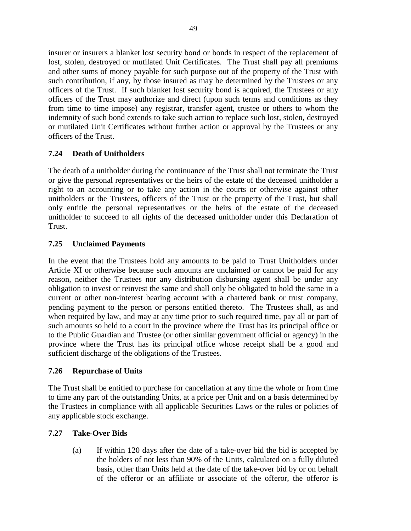insurer or insurers a blanket lost security bond or bonds in respect of the replacement of lost, stolen, destroyed or mutilated Unit Certificates. The Trust shall pay all premiums and other sums of money payable for such purpose out of the property of the Trust with such contribution, if any, by those insured as may be determined by the Trustees or any officers of the Trust. If such blanket lost security bond is acquired, the Trustees or any officers of the Trust may authorize and direct (upon such terms and conditions as they from time to time impose) any registrar, transfer agent, trustee or others to whom the indemnity of such bond extends to take such action to replace such lost, stolen, destroyed or mutilated Unit Certificates without further action or approval by the Trustees or any officers of the Trust.

# **7.24 Death of Unitholders**

The death of a unitholder during the continuance of the Trust shall not terminate the Trust or give the personal representatives or the heirs of the estate of the deceased unitholder a right to an accounting or to take any action in the courts or otherwise against other unitholders or the Trustees, officers of the Trust or the property of the Trust, but shall only entitle the personal representatives or the heirs of the estate of the deceased unitholder to succeed to all rights of the deceased unitholder under this Declaration of Trust.

# **7.25 Unclaimed Payments**

In the event that the Trustees hold any amounts to be paid to Trust Unitholders under Article XI or otherwise because such amounts are unclaimed or cannot be paid for any reason, neither the Trustees nor any distribution disbursing agent shall be under any obligation to invest or reinvest the same and shall only be obligated to hold the same in a current or other non-interest bearing account with a chartered bank or trust company, pending payment to the person or persons entitled thereto. The Trustees shall, as and when required by law, and may at any time prior to such required time, pay all or part of such amounts so held to a court in the province where the Trust has its principal office or to the Public Guardian and Trustee (or other similar government official or agency) in the province where the Trust has its principal office whose receipt shall be a good and sufficient discharge of the obligations of the Trustees.

# **7.26 Repurchase of Units**

The Trust shall be entitled to purchase for cancellation at any time the whole or from time to time any part of the outstanding Units, at a price per Unit and on a basis determined by the Trustees in compliance with all applicable Securities Laws or the rules or policies of any applicable stock exchange.

# **7.27 Take-Over Bids**

(a) If within 120 days after the date of a take-over bid the bid is accepted by the holders of not less than 90% of the Units, calculated on a fully diluted basis, other than Units held at the date of the take-over bid by or on behalf of the offeror or an affiliate or associate of the offeror, the offeror is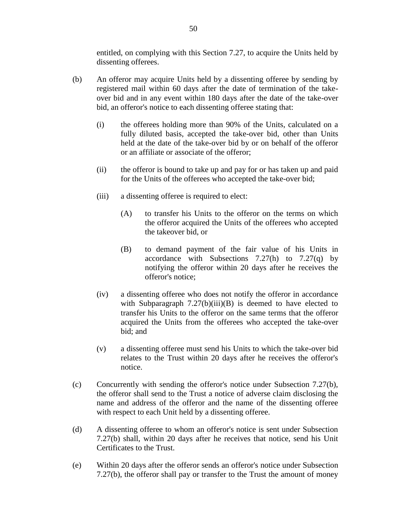entitled, on complying with this Section 7.27, to acquire the Units held by dissenting offerees.

- (b) An offeror may acquire Units held by a dissenting offeree by sending by registered mail within 60 days after the date of termination of the takeover bid and in any event within 180 days after the date of the take-over bid, an offeror's notice to each dissenting offeree stating that:
	- (i) the offerees holding more than 90% of the Units, calculated on a fully diluted basis, accepted the take-over bid, other than Units held at the date of the take-over bid by or on behalf of the offeror or an affiliate or associate of the offeror;
	- (ii) the offeror is bound to take up and pay for or has taken up and paid for the Units of the offerees who accepted the take-over bid;
	- (iii) a dissenting offeree is required to elect:
		- (A) to transfer his Units to the offeror on the terms on which the offeror acquired the Units of the offerees who accepted the takeover bid, or
		- (B) to demand payment of the fair value of his Units in accordance with Subsections  $7.27(h)$  to  $7.27(q)$  by notifying the offeror within 20 days after he receives the offeror's notice;
	- (iv) a dissenting offeree who does not notify the offeror in accordance with Subparagraph  $7.27(b)(iii)(B)$  is deemed to have elected to transfer his Units to the offeror on the same terms that the offeror acquired the Units from the offerees who accepted the take-over bid; and
	- (v) a dissenting offeree must send his Units to which the take-over bid relates to the Trust within 20 days after he receives the offeror's notice.
- (c) Concurrently with sending the offeror's notice under Subsection 7.27(b), the offeror shall send to the Trust a notice of adverse claim disclosing the name and address of the offeror and the name of the dissenting offeree with respect to each Unit held by a dissenting offeree.
- (d) A dissenting offeree to whom an offeror's notice is sent under Subsection 7.27(b) shall, within 20 days after he receives that notice, send his Unit Certificates to the Trust.
- (e) Within 20 days after the offeror sends an offeror's notice under Subsection 7.27(b), the offeror shall pay or transfer to the Trust the amount of money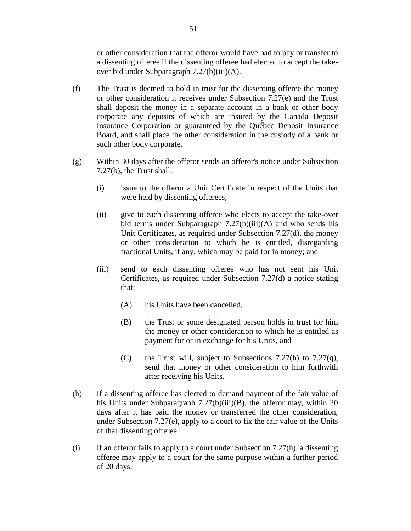or other consideration that the offeror would have had to pay or transfer to a dissenting offeree if the dissenting offeree had elected to accept the takeover bid under Subparagraph 7.27(b)(iii)(A).

- (f) The Trust is deemed to hold in trust for the dissenting offeree the money or other consideration it receives under Subsection 7.27(e) and the Trust shall deposit the money in a separate account in a bank or other body corporate any deposits of which are insured by the Canada Deposit Insurance Corporation or guaranteed by the Québec Deposit Insurance Board, and shall place the other consideration in the custody of a bank or such other body corporate.
- (g) Within 30 days after the offeror sends an offeror's notice under Subsection 7.27(b), the Trust shall:
	- (i) issue to the offeror a Unit Certificate in respect of the Units that were held by dissenting offerees;
	- (ii) give to each dissenting offeree who elects to accept the take-over bid terms under Subparagraph  $7.27(b)(iii)(A)$  and who sends his Unit Certificates, as required under Subsection 7.27(d), the money or other consideration to which he is entitled, disregarding fractional Units, if any, which may be paid for in money; and
	- (iii) send to each dissenting offeree who has not sent his Unit Certificates, as required under Subsection 7.27(d) a notice stating that:
		- (A) his Units have been cancelled,
		- (B) the Trust or some designated person holds in trust for him the money or other consideration to which he is entitled as payment for or in exchange for his Units, and
		- (C) the Trust will, subject to Subsections 7.27(h) to 7.27(q), send that money or other consideration to him forthwith after receiving his Units.
- (h) If a dissenting offeree has elected to demand payment of the fair value of his Units under Subparagraph 7.27(b)(iii)(B), the offeror may, within 20 days after it has paid the money or transferred the other consideration, under Subsection 7.27(e), apply to a court to fix the fair value of the Units of that dissenting offeree.
- (i) If an offeror fails to apply to a court under Subsection  $7.27(h)$ , a dissenting offeree may apply to a court for the same purpose within a further period of 20 days.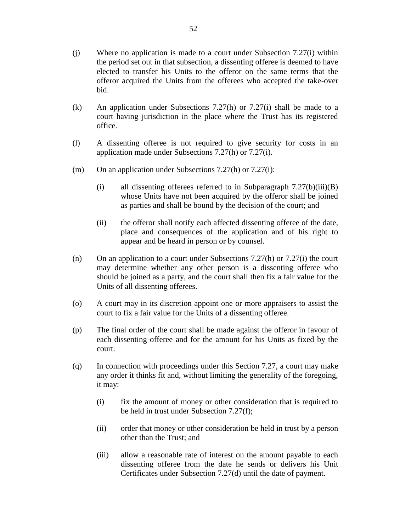- (j) Where no application is made to a court under Subsection 7.27(i) within the period set out in that subsection, a dissenting offeree is deemed to have elected to transfer his Units to the offeror on the same terms that the offeror acquired the Units from the offerees who accepted the take-over bid.
- (k) An application under Subsections 7.27(h) or 7.27(i) shall be made to a court having jurisdiction in the place where the Trust has its registered office.
- (l) A dissenting offeree is not required to give security for costs in an application made under Subsections 7.27(h) or 7.27(i).
- (m) On an application under Subsections  $7.27(h)$  or  $7.27(i)$ :
	- (i) all dissenting offerees referred to in Subparagraph  $7.27(b)(iii)(B)$ whose Units have not been acquired by the offeror shall be joined as parties and shall be bound by the decision of the court; and
	- (ii) the offeror shall notify each affected dissenting offeree of the date, place and consequences of the application and of his right to appear and be heard in person or by counsel.
- (n) On an application to a court under Subsections  $7.27(h)$  or  $7.27(i)$  the court may determine whether any other person is a dissenting offeree who should be joined as a party, and the court shall then fix a fair value for the Units of all dissenting offerees.
- (o) A court may in its discretion appoint one or more appraisers to assist the court to fix a fair value for the Units of a dissenting offeree.
- (p) The final order of the court shall be made against the offeror in favour of each dissenting offeree and for the amount for his Units as fixed by the court.
- (q) In connection with proceedings under this Section 7.27, a court may make any order it thinks fit and, without limiting the generality of the foregoing, it may:
	- (i) fix the amount of money or other consideration that is required to be held in trust under Subsection 7.27(f);
	- (ii) order that money or other consideration be held in trust by a person other than the Trust; and
	- (iii) allow a reasonable rate of interest on the amount payable to each dissenting offeree from the date he sends or delivers his Unit Certificates under Subsection 7.27(d) until the date of payment.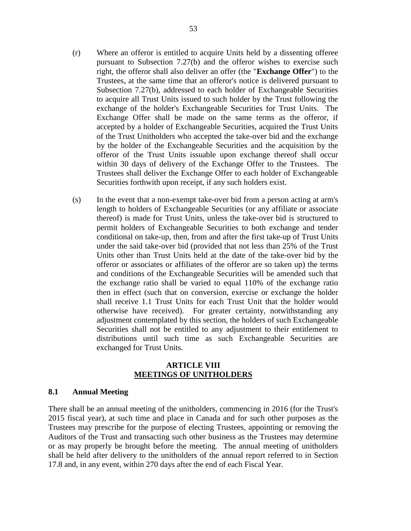- (r) Where an offeror is entitled to acquire Units held by a dissenting offeree pursuant to Subsection 7.27(b) and the offeror wishes to exercise such right, the offeror shall also deliver an offer (the "**Exchange Offer**") to the Trustees, at the same time that an offeror's notice is delivered pursuant to Subsection 7.27(b), addressed to each holder of Exchangeable Securities to acquire all Trust Units issued to such holder by the Trust following the exchange of the holder's Exchangeable Securities for Trust Units. The Exchange Offer shall be made on the same terms as the offeror, if accepted by a holder of Exchangeable Securities, acquired the Trust Units of the Trust Unitholders who accepted the take-over bid and the exchange by the holder of the Exchangeable Securities and the acquisition by the offeror of the Trust Units issuable upon exchange thereof shall occur within 30 days of delivery of the Exchange Offer to the Trustees. The Trustees shall deliver the Exchange Offer to each holder of Exchangeable Securities forthwith upon receipt, if any such holders exist.
- (s) In the event that a non-exempt take-over bid from a person acting at arm's length to holders of Exchangeable Securities (or any affiliate or associate thereof) is made for Trust Units, unless the take-over bid is structured to permit holders of Exchangeable Securities to both exchange and tender conditional on take-up, then, from and after the first take-up of Trust Units under the said take-over bid (provided that not less than 25% of the Trust Units other than Trust Units held at the date of the take-over bid by the offeror or associates or affiliates of the offeror are so taken up) the terms and conditions of the Exchangeable Securities will be amended such that the exchange ratio shall be varied to equal 110% of the exchange ratio then in effect (such that on conversion, exercise or exchange the holder shall receive 1.1 Trust Units for each Trust Unit that the holder would otherwise have received). For greater certainty, notwithstanding any adjustment contemplated by this section, the holders of such Exchangeable Securities shall not be entitled to any adjustment to their entitlement to distributions until such time as such Exchangeable Securities are exchanged for Trust Units.

#### **ARTICLE VIII MEETINGS OF UNITHOLDERS**

#### **8.1 Annual Meeting**

There shall be an annual meeting of the unitholders, commencing in 2016 (for the Trust's 2015 fiscal year), at such time and place in Canada and for such other purposes as the Trustees may prescribe for the purpose of electing Trustees, appointing or removing the Auditors of the Trust and transacting such other business as the Trustees may determine or as may properly be brought before the meeting. The annual meeting of unitholders shall be held after delivery to the unitholders of the annual report referred to in Section 17.8 and, in any event, within 270 days after the end of each Fiscal Year.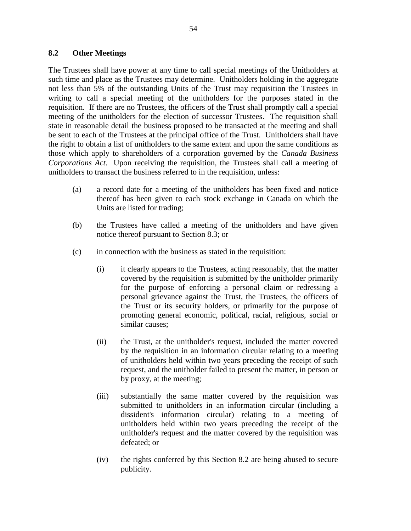### **8.2 Other Meetings**

The Trustees shall have power at any time to call special meetings of the Unitholders at such time and place as the Trustees may determine. Unitholders holding in the aggregate not less than 5% of the outstanding Units of the Trust may requisition the Trustees in writing to call a special meeting of the unitholders for the purposes stated in the requisition. If there are no Trustees, the officers of the Trust shall promptly call a special meeting of the unitholders for the election of successor Trustees. The requisition shall state in reasonable detail the business proposed to be transacted at the meeting and shall be sent to each of the Trustees at the principal office of the Trust. Unitholders shall have the right to obtain a list of unitholders to the same extent and upon the same conditions as those which apply to shareholders of a corporation governed by the *Canada Business Corporations Act*. Upon receiving the requisition, the Trustees shall call a meeting of unitholders to transact the business referred to in the requisition, unless:

- (a) a record date for a meeting of the unitholders has been fixed and notice thereof has been given to each stock exchange in Canada on which the Units are listed for trading;
- (b) the Trustees have called a meeting of the unitholders and have given notice thereof pursuant to Section 8.3; or
- (c) in connection with the business as stated in the requisition:
	- (i) it clearly appears to the Trustees, acting reasonably, that the matter covered by the requisition is submitted by the unitholder primarily for the purpose of enforcing a personal claim or redressing a personal grievance against the Trust, the Trustees, the officers of the Trust or its security holders, or primarily for the purpose of promoting general economic, political, racial, religious, social or similar causes;
	- (ii) the Trust, at the unitholder's request, included the matter covered by the requisition in an information circular relating to a meeting of unitholders held within two years preceding the receipt of such request, and the unitholder failed to present the matter, in person or by proxy, at the meeting;
	- (iii) substantially the same matter covered by the requisition was submitted to unitholders in an information circular (including a dissident's information circular) relating to a meeting of unitholders held within two years preceding the receipt of the unitholder's request and the matter covered by the requisition was defeated; or
	- (iv) the rights conferred by this Section 8.2 are being abused to secure publicity.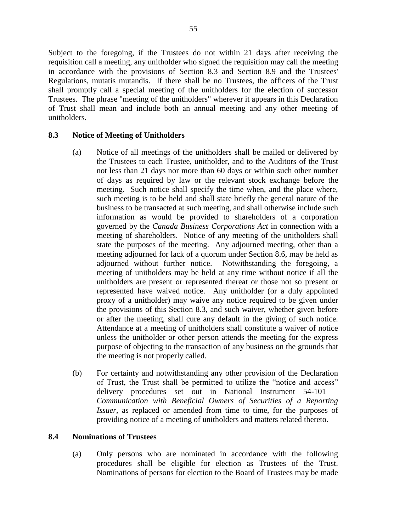Subject to the foregoing, if the Trustees do not within 21 days after receiving the requisition call a meeting, any unitholder who signed the requisition may call the meeting in accordance with the provisions of Section 8.3 and Section 8.9 and the Trustees' Regulations, mutatis mutandis. If there shall be no Trustees, the officers of the Trust shall promptly call a special meeting of the unitholders for the election of successor Trustees. The phrase "meeting of the unitholders" wherever it appears in this Declaration of Trust shall mean and include both an annual meeting and any other meeting of unitholders.

## **8.3 Notice of Meeting of Unitholders**

- (a) Notice of all meetings of the unitholders shall be mailed or delivered by the Trustees to each Trustee, unitholder, and to the Auditors of the Trust not less than 21 days nor more than 60 days or within such other number of days as required by law or the relevant stock exchange before the meeting. Such notice shall specify the time when, and the place where, such meeting is to be held and shall state briefly the general nature of the business to be transacted at such meeting, and shall otherwise include such information as would be provided to shareholders of a corporation governed by the *Canada Business Corporations Act* in connection with a meeting of shareholders. Notice of any meeting of the unitholders shall state the purposes of the meeting. Any adjourned meeting, other than a meeting adjourned for lack of a quorum under Section 8.6, may be held as adjourned without further notice. Notwithstanding the foregoing, a meeting of unitholders may be held at any time without notice if all the unitholders are present or represented thereat or those not so present or represented have waived notice. Any unitholder (or a duly appointed proxy of a unitholder) may waive any notice required to be given under the provisions of this Section 8.3, and such waiver, whether given before or after the meeting, shall cure any default in the giving of such notice. Attendance at a meeting of unitholders shall constitute a waiver of notice unless the unitholder or other person attends the meeting for the express purpose of objecting to the transaction of any business on the grounds that the meeting is not properly called.
- (b) For certainty and notwithstanding any other provision of the Declaration of Trust, the Trust shall be permitted to utilize the "notice and access" delivery procedures set out in National Instrument 54-101 – *Communication with Beneficial Owners of Securities of a Reporting Issuer*, as replaced or amended from time to time, for the purposes of providing notice of a meeting of unitholders and matters related thereto.

#### **8.4 Nominations of Trustees**

(a) Only persons who are nominated in accordance with the following procedures shall be eligible for election as Trustees of the Trust. Nominations of persons for election to the Board of Trustees may be made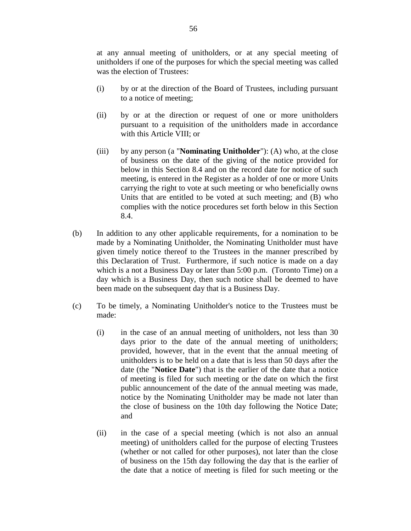at any annual meeting of unitholders, or at any special meeting of unitholders if one of the purposes for which the special meeting was called was the election of Trustees:

- (i) by or at the direction of the Board of Trustees, including pursuant to a notice of meeting;
- (ii) by or at the direction or request of one or more unitholders pursuant to a requisition of the unitholders made in accordance with this Article VIII; or
- (iii) by any person (a "**Nominating Unitholder**"): (A) who, at the close of business on the date of the giving of the notice provided for below in this Section 8.4 and on the record date for notice of such meeting, is entered in the Register as a holder of one or more Units carrying the right to vote at such meeting or who beneficially owns Units that are entitled to be voted at such meeting; and (B) who complies with the notice procedures set forth below in this Section 8.4.
- (b) In addition to any other applicable requirements, for a nomination to be made by a Nominating Unitholder, the Nominating Unitholder must have given timely notice thereof to the Trustees in the manner prescribed by this Declaration of Trust. Furthermore, if such notice is made on a day which is a not a Business Day or later than 5:00 p.m. (Toronto Time) on a day which is a Business Day, then such notice shall be deemed to have been made on the subsequent day that is a Business Day.
- (c) To be timely, a Nominating Unitholder's notice to the Trustees must be made:
	- (i) in the case of an annual meeting of unitholders, not less than 30 days prior to the date of the annual meeting of unitholders; provided, however, that in the event that the annual meeting of unitholders is to be held on a date that is less than 50 days after the date (the "**Notice Date**") that is the earlier of the date that a notice of meeting is filed for such meeting or the date on which the first public announcement of the date of the annual meeting was made, notice by the Nominating Unitholder may be made not later than the close of business on the 10th day following the Notice Date; and
	- (ii) in the case of a special meeting (which is not also an annual meeting) of unitholders called for the purpose of electing Trustees (whether or not called for other purposes), not later than the close of business on the 15th day following the day that is the earlier of the date that a notice of meeting is filed for such meeting or the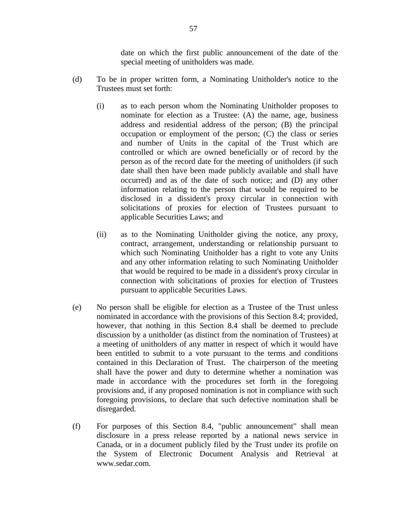date on which the first public announcement of the date of the special meeting of unitholders was made.

- (d) To be in proper written form, a Nominating Unitholder's notice to the Trustees must set forth:
	- (i) as to each person whom the Nominating Unitholder proposes to nominate for election as a Trustee: (A) the name, age, business address and residential address of the person; (B) the principal occupation or employment of the person; (C) the class or series and number of Units in the capital of the Trust which are controlled or which are owned beneficially or of record by the person as of the record date for the meeting of unitholders (if such date shall then have been made publicly available and shall have occurred) and as of the date of such notice; and (D) any other information relating to the person that would be required to be disclosed in a dissident's proxy circular in connection with solicitations of proxies for election of Trustees pursuant to applicable Securities Laws; and
	- (ii) as to the Nominating Unitholder giving the notice, any proxy, contract, arrangement, understanding or relationship pursuant to which such Nominating Unitholder has a right to vote any Units and any other information relating to such Nominating Unitholder that would be required to be made in a dissident's proxy circular in connection with solicitations of proxies for election of Trustees pursuant to applicable Securities Laws.
- (e) No person shall be eligible for election as a Trustee of the Trust unless nominated in accordance with the provisions of this Section 8.4; provided, however, that nothing in this Section 8.4 shall be deemed to preclude discussion by a unitholder (as distinct from the nomination of Trustees) at a meeting of unitholders of any matter in respect of which it would have been entitled to submit to a vote pursuant to the terms and conditions contained in this Declaration of Trust. The chairperson of the meeting shall have the power and duty to determine whether a nomination was made in accordance with the procedures set forth in the foregoing provisions and, if any proposed nomination is not in compliance with such foregoing provisions, to declare that such defective nomination shall be disregarded.
- (f) For purposes of this Section 8.4, "public announcement" shall mean disclosure in a press release reported by a national news service in Canada, or in a document publicly filed by the Trust under its profile on the System of Electronic Document Analysis and Retrieval at www.sedar.com.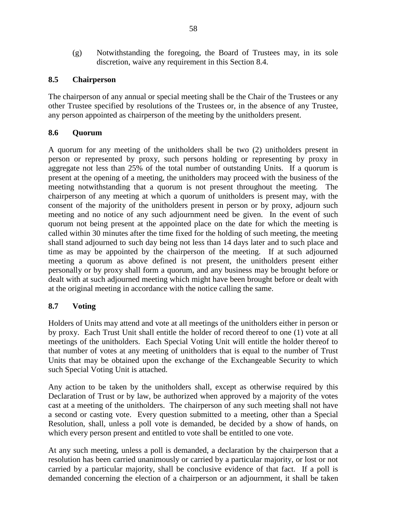(g) Notwithstanding the foregoing, the Board of Trustees may, in its sole discretion, waive any requirement in this Section 8.4.

## **8.5 Chairperson**

The chairperson of any annual or special meeting shall be the Chair of the Trustees or any other Trustee specified by resolutions of the Trustees or, in the absence of any Trustee, any person appointed as chairperson of the meeting by the unitholders present.

## **8.6 Quorum**

A quorum for any meeting of the unitholders shall be two (2) unitholders present in person or represented by proxy, such persons holding or representing by proxy in aggregate not less than 25% of the total number of outstanding Units. If a quorum is present at the opening of a meeting, the unitholders may proceed with the business of the meeting notwithstanding that a quorum is not present throughout the meeting. The chairperson of any meeting at which a quorum of unitholders is present may, with the consent of the majority of the unitholders present in person or by proxy, adjourn such meeting and no notice of any such adjournment need be given. In the event of such quorum not being present at the appointed place on the date for which the meeting is called within 30 minutes after the time fixed for the holding of such meeting, the meeting shall stand adjourned to such day being not less than 14 days later and to such place and time as may be appointed by the chairperson of the meeting. If at such adjourned meeting a quorum as above defined is not present, the unitholders present either personally or by proxy shall form a quorum, and any business may be brought before or dealt with at such adjourned meeting which might have been brought before or dealt with at the original meeting in accordance with the notice calling the same.

# **8.7 Voting**

Holders of Units may attend and vote at all meetings of the unitholders either in person or by proxy. Each Trust Unit shall entitle the holder of record thereof to one (1) vote at all meetings of the unitholders. Each Special Voting Unit will entitle the holder thereof to that number of votes at any meeting of unitholders that is equal to the number of Trust Units that may be obtained upon the exchange of the Exchangeable Security to which such Special Voting Unit is attached.

Any action to be taken by the unitholders shall, except as otherwise required by this Declaration of Trust or by law, be authorized when approved by a majority of the votes cast at a meeting of the unitholders. The chairperson of any such meeting shall not have a second or casting vote. Every question submitted to a meeting, other than a Special Resolution, shall, unless a poll vote is demanded, be decided by a show of hands, on which every person present and entitled to vote shall be entitled to one vote.

At any such meeting, unless a poll is demanded, a declaration by the chairperson that a resolution has been carried unanimously or carried by a particular majority, or lost or not carried by a particular majority, shall be conclusive evidence of that fact. If a poll is demanded concerning the election of a chairperson or an adjournment, it shall be taken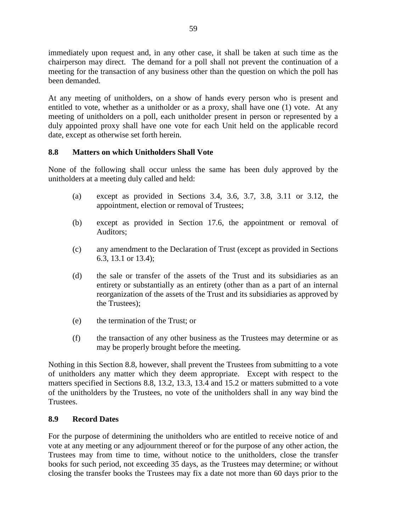immediately upon request and, in any other case, it shall be taken at such time as the chairperson may direct. The demand for a poll shall not prevent the continuation of a meeting for the transaction of any business other than the question on which the poll has been demanded.

At any meeting of unitholders, on a show of hands every person who is present and entitled to vote, whether as a unitholder or as a proxy, shall have one (1) vote. At any meeting of unitholders on a poll, each unitholder present in person or represented by a duly appointed proxy shall have one vote for each Unit held on the applicable record date, except as otherwise set forth herein.

## **8.8 Matters on which Unitholders Shall Vote**

None of the following shall occur unless the same has been duly approved by the unitholders at a meeting duly called and held:

- (a) except as provided in Sections 3.4, 3.6, 3.7, 3.8, 3.11 or 3.12, the appointment, election or removal of Trustees;
- (b) except as provided in Section 17.6, the appointment or removal of Auditors;
- (c) any amendment to the Declaration of Trust (except as provided in Sections 6.3, 13.1 or 13.4);
- (d) the sale or transfer of the assets of the Trust and its subsidiaries as an entirety or substantially as an entirety (other than as a part of an internal reorganization of the assets of the Trust and its subsidiaries as approved by the Trustees);
- (e) the termination of the Trust; or
- (f) the transaction of any other business as the Trustees may determine or as may be properly brought before the meeting.

Nothing in this Section 8.8, however, shall prevent the Trustees from submitting to a vote of unitholders any matter which they deem appropriate. Except with respect to the matters specified in Sections 8.8, 13.2, 13.3, 13.4 and 15.2 or matters submitted to a vote of the unitholders by the Trustees, no vote of the unitholders shall in any way bind the Trustees.

## **8.9 Record Dates**

For the purpose of determining the unitholders who are entitled to receive notice of and vote at any meeting or any adjournment thereof or for the purpose of any other action, the Trustees may from time to time, without notice to the unitholders, close the transfer books for such period, not exceeding 35 days, as the Trustees may determine; or without closing the transfer books the Trustees may fix a date not more than 60 days prior to the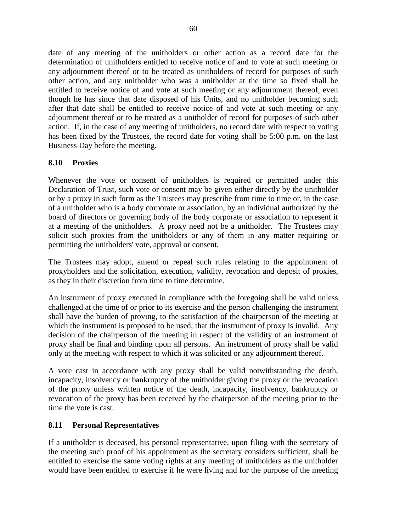date of any meeting of the unitholders or other action as a record date for the determination of unitholders entitled to receive notice of and to vote at such meeting or any adjournment thereof or to be treated as unitholders of record for purposes of such other action, and any unitholder who was a unitholder at the time so fixed shall be entitled to receive notice of and vote at such meeting or any adjournment thereof, even though he has since that date disposed of his Units, and no unitholder becoming such after that date shall be entitled to receive notice of and vote at such meeting or any adjournment thereof or to be treated as a unitholder of record for purposes of such other action. If, in the case of any meeting of unitholders, no record date with respect to voting has been fixed by the Trustees, the record date for voting shall be 5:00 p.m. on the last Business Day before the meeting.

# **8.10 Proxies**

Whenever the vote or consent of unitholders is required or permitted under this Declaration of Trust, such vote or consent may be given either directly by the unitholder or by a proxy in such form as the Trustees may prescribe from time to time or, in the case of a unitholder who is a body corporate or association, by an individual authorized by the board of directors or governing body of the body corporate or association to represent it at a meeting of the unitholders. A proxy need not be a unitholder. The Trustees may solicit such proxies from the unitholders or any of them in any matter requiring or permitting the unitholders' vote, approval or consent.

The Trustees may adopt, amend or repeal such rules relating to the appointment of proxyholders and the solicitation, execution, validity, revocation and deposit of proxies, as they in their discretion from time to time determine.

An instrument of proxy executed in compliance with the foregoing shall be valid unless challenged at the time of or prior to its exercise and the person challenging the instrument shall have the burden of proving, to the satisfaction of the chairperson of the meeting at which the instrument is proposed to be used, that the instrument of proxy is invalid. Any decision of the chairperson of the meeting in respect of the validity of an instrument of proxy shall be final and binding upon all persons. An instrument of proxy shall be valid only at the meeting with respect to which it was solicited or any adjournment thereof.

A vote cast in accordance with any proxy shall be valid notwithstanding the death, incapacity, insolvency or bankruptcy of the unitholder giving the proxy or the revocation of the proxy unless written notice of the death, incapacity, insolvency, bankruptcy or revocation of the proxy has been received by the chairperson of the meeting prior to the time the vote is cast.

# **8.11 Personal Representatives**

If a unitholder is deceased, his personal representative, upon filing with the secretary of the meeting such proof of his appointment as the secretary considers sufficient, shall be entitled to exercise the same voting rights at any meeting of unitholders as the unitholder would have been entitled to exercise if he were living and for the purpose of the meeting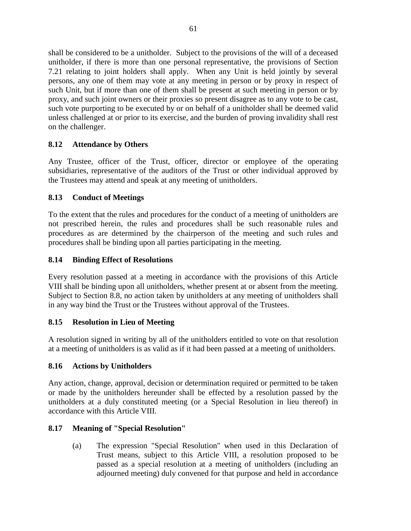shall be considered to be a unitholder. Subject to the provisions of the will of a deceased unitholder, if there is more than one personal representative, the provisions of Section 7.21 relating to joint holders shall apply. When any Unit is held jointly by several persons, any one of them may vote at any meeting in person or by proxy in respect of such Unit, but if more than one of them shall be present at such meeting in person or by proxy, and such joint owners or their proxies so present disagree as to any vote to be cast, such vote purporting to be executed by or on behalf of a unitholder shall be deemed valid unless challenged at or prior to its exercise, and the burden of proving invalidity shall rest on the challenger.

# **8.12 Attendance by Others**

Any Trustee, officer of the Trust, officer, director or employee of the operating subsidiaries, representative of the auditors of the Trust or other individual approved by the Trustees may attend and speak at any meeting of unitholders.

# **8.13 Conduct of Meetings**

To the extent that the rules and procedures for the conduct of a meeting of unitholders are not prescribed herein, the rules and procedures shall be such reasonable rules and procedures as are determined by the chairperson of the meeting and such rules and procedures shall be binding upon all parties participating in the meeting.

# **8.14 Binding Effect of Resolutions**

Every resolution passed at a meeting in accordance with the provisions of this Article VIII shall be binding upon all unitholders, whether present at or absent from the meeting. Subject to Section 8.8, no action taken by unitholders at any meeting of unitholders shall in any way bind the Trust or the Trustees without approval of the Trustees.

# **8.15 Resolution in Lieu of Meeting**

A resolution signed in writing by all of the unitholders entitled to vote on that resolution at a meeting of unitholders is as valid as if it had been passed at a meeting of unitholders.

# **8.16 Actions by Unitholders**

Any action, change, approval, decision or determination required or permitted to be taken or made by the unitholders hereunder shall be effected by a resolution passed by the unitholders at a duly constituted meeting (or a Special Resolution in lieu thereof) in accordance with this Article VIII.

# **8.17 Meaning of "Special Resolution"**

(a) The expression "Special Resolution" when used in this Declaration of Trust means, subject to this Article VIII, a resolution proposed to be passed as a special resolution at a meeting of unitholders (including an adjourned meeting) duly convened for that purpose and held in accordance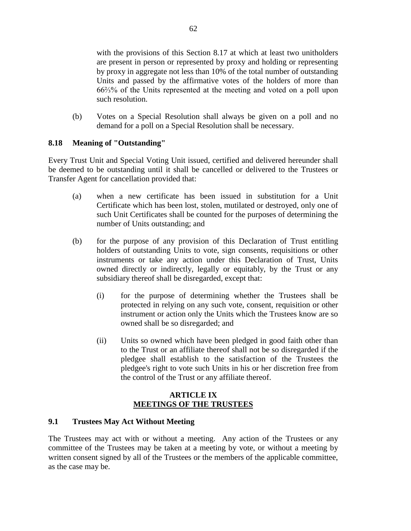with the provisions of this Section 8.17 at which at least two unitholders are present in person or represented by proxy and holding or representing by proxy in aggregate not less than 10% of the total number of outstanding Units and passed by the affirmative votes of the holders of more than 66⅔% of the Units represented at the meeting and voted on a poll upon such resolution.

(b) Votes on a Special Resolution shall always be given on a poll and no demand for a poll on a Special Resolution shall be necessary.

## **8.18 Meaning of "Outstanding"**

Every Trust Unit and Special Voting Unit issued, certified and delivered hereunder shall be deemed to be outstanding until it shall be cancelled or delivered to the Trustees or Transfer Agent for cancellation provided that:

- (a) when a new certificate has been issued in substitution for a Unit Certificate which has been lost, stolen, mutilated or destroyed, only one of such Unit Certificates shall be counted for the purposes of determining the number of Units outstanding; and
- (b) for the purpose of any provision of this Declaration of Trust entitling holders of outstanding Units to vote, sign consents, requisitions or other instruments or take any action under this Declaration of Trust, Units owned directly or indirectly, legally or equitably, by the Trust or any subsidiary thereof shall be disregarded, except that:
	- (i) for the purpose of determining whether the Trustees shall be protected in relying on any such vote, consent, requisition or other instrument or action only the Units which the Trustees know are so owned shall be so disregarded; and
	- (ii) Units so owned which have been pledged in good faith other than to the Trust or an affiliate thereof shall not be so disregarded if the pledgee shall establish to the satisfaction of the Trustees the pledgee's right to vote such Units in his or her discretion free from the control of the Trust or any affiliate thereof.

## **ARTICLE IX MEETINGS OF THE TRUSTEES**

## **9.1 Trustees May Act Without Meeting**

The Trustees may act with or without a meeting. Any action of the Trustees or any committee of the Trustees may be taken at a meeting by vote, or without a meeting by written consent signed by all of the Trustees or the members of the applicable committee, as the case may be.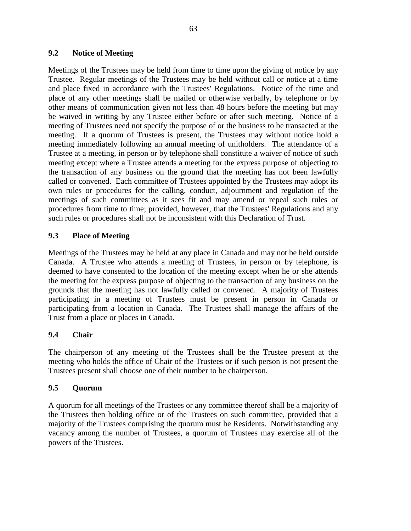## **9.2 Notice of Meeting**

Meetings of the Trustees may be held from time to time upon the giving of notice by any Trustee. Regular meetings of the Trustees may be held without call or notice at a time and place fixed in accordance with the Trustees' Regulations. Notice of the time and place of any other meetings shall be mailed or otherwise verbally, by telephone or by other means of communication given not less than 48 hours before the meeting but may be waived in writing by any Trustee either before or after such meeting. Notice of a meeting of Trustees need not specify the purpose of or the business to be transacted at the meeting. If a quorum of Trustees is present, the Trustees may without notice hold a meeting immediately following an annual meeting of unitholders. The attendance of a Trustee at a meeting, in person or by telephone shall constitute a waiver of notice of such meeting except where a Trustee attends a meeting for the express purpose of objecting to the transaction of any business on the ground that the meeting has not been lawfully called or convened. Each committee of Trustees appointed by the Trustees may adopt its own rules or procedures for the calling, conduct, adjournment and regulation of the meetings of such committees as it sees fit and may amend or repeal such rules or procedures from time to time; provided, however, that the Trustees' Regulations and any such rules or procedures shall not be inconsistent with this Declaration of Trust.

# **9.3 Place of Meeting**

Meetings of the Trustees may be held at any place in Canada and may not be held outside Canada. A Trustee who attends a meeting of Trustees, in person or by telephone, is deemed to have consented to the location of the meeting except when he or she attends the meeting for the express purpose of objecting to the transaction of any business on the grounds that the meeting has not lawfully called or convened. A majority of Trustees participating in a meeting of Trustees must be present in person in Canada or participating from a location in Canada. The Trustees shall manage the affairs of the Trust from a place or places in Canada.

## **9.4 Chair**

The chairperson of any meeting of the Trustees shall be the Trustee present at the meeting who holds the office of Chair of the Trustees or if such person is not present the Trustees present shall choose one of their number to be chairperson.

## **9.5 Quorum**

A quorum for all meetings of the Trustees or any committee thereof shall be a majority of the Trustees then holding office or of the Trustees on such committee, provided that a majority of the Trustees comprising the quorum must be Residents. Notwithstanding any vacancy among the number of Trustees, a quorum of Trustees may exercise all of the powers of the Trustees.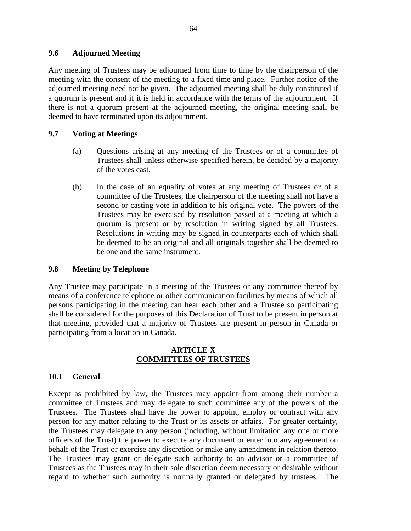### **9.6 Adjourned Meeting**

Any meeting of Trustees may be adjourned from time to time by the chairperson of the meeting with the consent of the meeting to a fixed time and place. Further notice of the adjourned meeting need not be given. The adjourned meeting shall be duly constituted if a quorum is present and if it is held in accordance with the terms of the adjournment. If there is not a quorum present at the adjourned meeting, the original meeting shall be deemed to have terminated upon its adjournment.

## **9.7 Voting at Meetings**

- (a) Questions arising at any meeting of the Trustees or of a committee of Trustees shall unless otherwise specified herein, be decided by a majority of the votes cast.
- (b) In the case of an equality of votes at any meeting of Trustees or of a committee of the Trustees, the chairperson of the meeting shall not have a second or casting vote in addition to his original vote. The powers of the Trustees may be exercised by resolution passed at a meeting at which a quorum is present or by resolution in writing signed by all Trustees. Resolutions in writing may be signed in counterparts each of which shall be deemed to be an original and all originals together shall be deemed to be one and the same instrument.

## **9.8 Meeting by Telephone**

Any Trustee may participate in a meeting of the Trustees or any committee thereof by means of a conference telephone or other communication facilities by means of which all persons participating in the meeting can hear each other and a Trustee so participating shall be considered for the purposes of this Declaration of Trust to be present in person at that meeting, provided that a majority of Trustees are present in person in Canada or participating from a location in Canada.

### **ARTICLE X COMMITTEES OF TRUSTEES**

### **10.1 General**

Except as prohibited by law, the Trustees may appoint from among their number a committee of Trustees and may delegate to such committee any of the powers of the Trustees. The Trustees shall have the power to appoint, employ or contract with any person for any matter relating to the Trust or its assets or affairs. For greater certainty, the Trustees may delegate to any person (including, without limitation any one or more officers of the Trust) the power to execute any document or enter into any agreement on behalf of the Trust or exercise any discretion or make any amendment in relation thereto. The Trustees may grant or delegate such authority to an advisor or a committee of Trustees as the Trustees may in their sole discretion deem necessary or desirable without regard to whether such authority is normally granted or delegated by trustees. The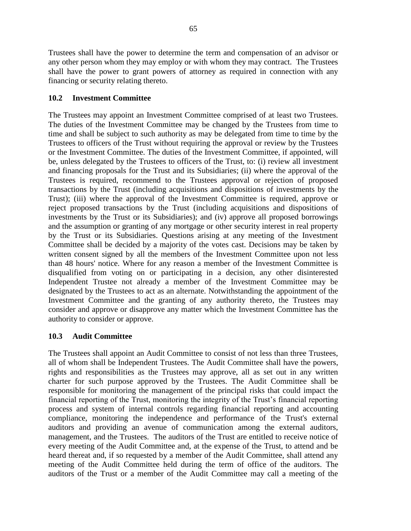Trustees shall have the power to determine the term and compensation of an advisor or any other person whom they may employ or with whom they may contract. The Trustees shall have the power to grant powers of attorney as required in connection with any financing or security relating thereto.

## **10.2 Investment Committee**

The Trustees may appoint an Investment Committee comprised of at least two Trustees. The duties of the Investment Committee may be changed by the Trustees from time to time and shall be subject to such authority as may be delegated from time to time by the Trustees to officers of the Trust without requiring the approval or review by the Trustees or the Investment Committee. The duties of the Investment Committee, if appointed, will be, unless delegated by the Trustees to officers of the Trust, to: (i) review all investment and financing proposals for the Trust and its Subsidiaries; (ii) where the approval of the Trustees is required, recommend to the Trustees approval or rejection of proposed transactions by the Trust (including acquisitions and dispositions of investments by the Trust); (iii) where the approval of the Investment Committee is required, approve or reject proposed transactions by the Trust (including acquisitions and dispositions of investments by the Trust or its Subsidiaries); and (iv) approve all proposed borrowings and the assumption or granting of any mortgage or other security interest in real property by the Trust or its Subsidiaries. Questions arising at any meeting of the Investment Committee shall be decided by a majority of the votes cast. Decisions may be taken by written consent signed by all the members of the Investment Committee upon not less than 48 hours' notice. Where for any reason a member of the Investment Committee is disqualified from voting on or participating in a decision, any other disinterested Independent Trustee not already a member of the Investment Committee may be designated by the Trustees to act as an alternate. Notwithstanding the appointment of the Investment Committee and the granting of any authority thereto, the Trustees may consider and approve or disapprove any matter which the Investment Committee has the authority to consider or approve.

## **10.3 Audit Committee**

The Trustees shall appoint an Audit Committee to consist of not less than three Trustees, all of whom shall be Independent Trustees. The Audit Committee shall have the powers, rights and responsibilities as the Trustees may approve, all as set out in any written charter for such purpose approved by the Trustees. The Audit Committee shall be responsible for monitoring the management of the principal risks that could impact the financial reporting of the Trust, monitoring the integrity of the Trust's financial reporting process and system of internal controls regarding financial reporting and accounting compliance, monitoring the independence and performance of the Trust's external auditors and providing an avenue of communication among the external auditors, management, and the Trustees. The auditors of the Trust are entitled to receive notice of every meeting of the Audit Committee and, at the expense of the Trust, to attend and be heard thereat and, if so requested by a member of the Audit Committee, shall attend any meeting of the Audit Committee held during the term of office of the auditors. The auditors of the Trust or a member of the Audit Committee may call a meeting of the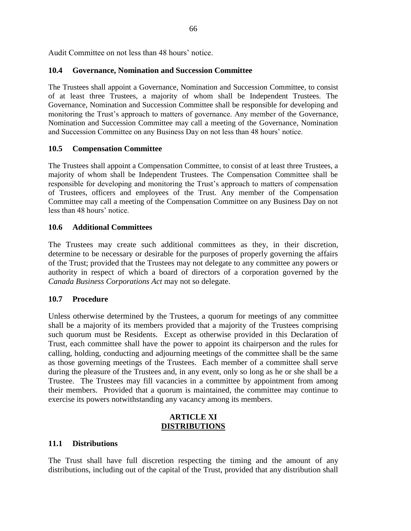Audit Committee on not less than 48 hours' notice.

### **10.4 Governance, Nomination and Succession Committee**

The Trustees shall appoint a Governance, Nomination and Succession Committee, to consist of at least three Trustees, a majority of whom shall be Independent Trustees. The Governance, Nomination and Succession Committee shall be responsible for developing and monitoring the Trust's approach to matters of governance. Any member of the Governance, Nomination and Succession Committee may call a meeting of the Governance, Nomination and Succession Committee on any Business Day on not less than 48 hours' notice.

### **10.5 Compensation Committee**

The Trustees shall appoint a Compensation Committee, to consist of at least three Trustees, a majority of whom shall be Independent Trustees. The Compensation Committee shall be responsible for developing and monitoring the Trust's approach to matters of compensation of Trustees, officers and employees of the Trust. Any member of the Compensation Committee may call a meeting of the Compensation Committee on any Business Day on not less than 48 hours' notice.

### **10.6 Additional Committees**

The Trustees may create such additional committees as they, in their discretion, determine to be necessary or desirable for the purposes of properly governing the affairs of the Trust; provided that the Trustees may not delegate to any committee any powers or authority in respect of which a board of directors of a corporation governed by the *Canada Business Corporations Act* may not so delegate.

## **10.7 Procedure**

Unless otherwise determined by the Trustees, a quorum for meetings of any committee shall be a majority of its members provided that a majority of the Trustees comprising such quorum must be Residents. Except as otherwise provided in this Declaration of Trust, each committee shall have the power to appoint its chairperson and the rules for calling, holding, conducting and adjourning meetings of the committee shall be the same as those governing meetings of the Trustees. Each member of a committee shall serve during the pleasure of the Trustees and, in any event, only so long as he or she shall be a Trustee. The Trustees may fill vacancies in a committee by appointment from among their members. Provided that a quorum is maintained, the committee may continue to exercise its powers notwithstanding any vacancy among its members.

### **ARTICLE XI DISTRIBUTIONS**

#### **11.1 Distributions**

The Trust shall have full discretion respecting the timing and the amount of any distributions, including out of the capital of the Trust, provided that any distribution shall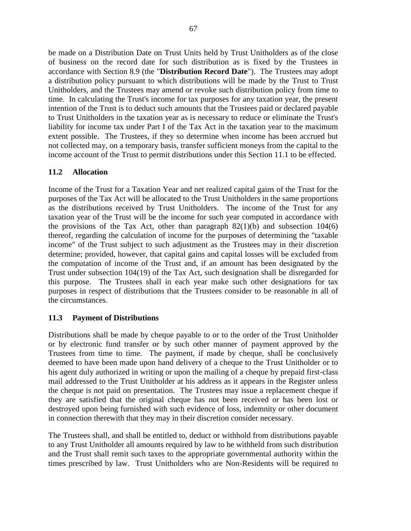be made on a Distribution Date on Trust Units held by Trust Unitholders as of the close of business on the record date for such distribution as is fixed by the Trustees in accordance with Section 8.9 (the "**Distribution Record Date**"). The Trustees may adopt a distribution policy pursuant to which distributions will be made by the Trust to Trust Unitholders, and the Trustees may amend or revoke such distribution policy from time to time. In calculating the Trust's income for tax purposes for any taxation year, the present intention of the Trust is to deduct such amounts that the Trustees paid or declared payable to Trust Unitholders in the taxation year as is necessary to reduce or eliminate the Trust's liability for income tax under Part I of the Tax Act in the taxation year to the maximum extent possible. The Trustees, if they so determine when income has been accrued but not collected may, on a temporary basis, transfer sufficient moneys from the capital to the income account of the Trust to permit distributions under this Section 11.1 to be effected.

### **11.2 Allocation**

Income of the Trust for a Taxation Year and net realized capital gains of the Trust for the purposes of the Tax Act will be allocated to the Trust Unitholders in the same proportions as the distributions received by Trust Unitholders. The income of the Trust for any taxation year of the Trust will be the income for such year computed in accordance with the provisions of the Tax Act, other than paragraph  $82(1)(b)$  and subsection  $104(6)$ thereof, regarding the calculation of income for the purposes of determining the "taxable income" of the Trust subject to such adjustment as the Trustees may in their discretion determine; provided, however, that capital gains and capital losses will be excluded from the computation of income of the Trust and, if an amount has been designated by the Trust under subsection 104(19) of the Tax Act, such designation shall be disregarded for this purpose. The Trustees shall in each year make such other designations for tax purposes in respect of distributions that the Trustees consider to be reasonable in all of the circumstances.

#### **11.3 Payment of Distributions**

Distributions shall be made by cheque payable to or to the order of the Trust Unitholder or by electronic fund transfer or by such other manner of payment approved by the Trustees from time to time. The payment, if made by cheque, shall be conclusively deemed to have been made upon hand delivery of a cheque to the Trust Unitholder or to his agent duly authorized in writing or upon the mailing of a cheque by prepaid first-class mail addressed to the Trust Unitholder at his address as it appears in the Register unless the cheque is not paid on presentation. The Trustees may issue a replacement cheque if they are satisfied that the original cheque has not been received or has been lost or destroyed upon being furnished with such evidence of loss, indemnity or other document in connection therewith that they may in their discretion consider necessary.

The Trustees shall, and shall be entitled to, deduct or withhold from distributions payable to any Trust Unitholder all amounts required by law to be withheld from such distribution and the Trust shall remit such taxes to the appropriate governmental authority within the times prescribed by law. Trust Unitholders who are Non-Residents will be required to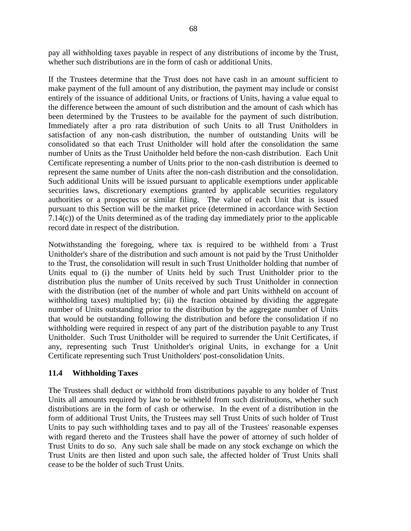pay all withholding taxes payable in respect of any distributions of income by the Trust, whether such distributions are in the form of cash or additional Units.

If the Trustees determine that the Trust does not have cash in an amount sufficient to make payment of the full amount of any distribution, the payment may include or consist entirely of the issuance of additional Units, or fractions of Units, having a value equal to the difference between the amount of such distribution and the amount of cash which has been determined by the Trustees to be available for the payment of such distribution. Immediately after a pro rata distribution of such Units to all Trust Unitholders in satisfaction of any non-cash distribution, the number of outstanding Units will be consolidated so that each Trust Unitholder will hold after the consolidation the same number of Units as the Trust Unitholder held before the non-cash distribution. Each Unit Certificate representing a number of Units prior to the non-cash distribution is deemed to represent the same number of Units after the non-cash distribution and the consolidation. Such additional Units will be issued pursuant to applicable exemptions under applicable securities laws, discretionary exemptions granted by applicable securities regulatory authorities or a prospectus or similar filing. The value of each Unit that is issued pursuant to this Section will be the market price (determined in accordance with Section 7.14(c)) of the Units determined as of the trading day immediately prior to the applicable record date in respect of the distribution.

Notwithstanding the foregoing, where tax is required to be withheld from a Trust Unitholder's share of the distribution and such amount is not paid by the Trust Unitholder to the Trust, the consolidation will result in such Trust Unitholder holding that number of Units equal to (i) the number of Units held by such Trust Unitholder prior to the distribution plus the number of Units received by such Trust Unitholder in connection with the distribution (net of the number of whole and part Units withheld on account of withholding taxes) multiplied by; (ii) the fraction obtained by dividing the aggregate number of Units outstanding prior to the distribution by the aggregate number of Units that would be outstanding following the distribution and before the consolidation if no withholding were required in respect of any part of the distribution payable to any Trust Unitholder. Such Trust Unitholder will be required to surrender the Unit Certificates, if any, representing such Trust Unitholder's original Units, in exchange for a Unit Certificate representing such Trust Unitholders' post-consolidation Units.

#### **11.4 Withholding Taxes**

The Trustees shall deduct or withhold from distributions payable to any holder of Trust Units all amounts required by law to be withheld from such distributions, whether such distributions are in the form of cash or otherwise. In the event of a distribution in the form of additional Trust Units, the Trustees may sell Trust Units of such holder of Trust Units to pay such withholding taxes and to pay all of the Trustees' reasonable expenses with regard thereto and the Trustees shall have the power of attorney of such holder of Trust Units to do so. Any such sale shall be made on any stock exchange on which the Trust Units are then listed and upon such sale, the affected holder of Trust Units shall cease to be the holder of such Trust Units.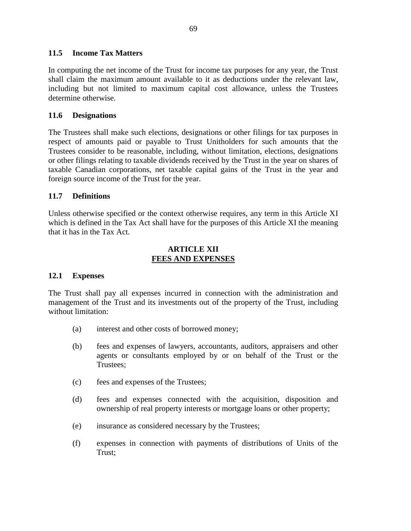#### **11.5 Income Tax Matters**

In computing the net income of the Trust for income tax purposes for any year, the Trust shall claim the maximum amount available to it as deductions under the relevant law, including but not limited to maximum capital cost allowance, unless the Trustees determine otherwise.

#### **11.6 Designations**

The Trustees shall make such elections, designations or other filings for tax purposes in respect of amounts paid or payable to Trust Unitholders for such amounts that the Trustees consider to be reasonable, including, without limitation, elections, designations or other filings relating to taxable dividends received by the Trust in the year on shares of taxable Canadian corporations, net taxable capital gains of the Trust in the year and foreign source income of the Trust for the year.

#### **11.7 Definitions**

Unless otherwise specified or the context otherwise requires, any term in this Article XI which is defined in the Tax Act shall have for the purposes of this Article XI the meaning that it has in the Tax Act.

#### **ARTICLE XII FEES AND EXPENSES**

#### **12.1 Expenses**

The Trust shall pay all expenses incurred in connection with the administration and management of the Trust and its investments out of the property of the Trust, including without limitation:

- (a) interest and other costs of borrowed money;
- (b) fees and expenses of lawyers, accountants, auditors, appraisers and other agents or consultants employed by or on behalf of the Trust or the Trustees;
- (c) fees and expenses of the Trustees;
- (d) fees and expenses connected with the acquisition, disposition and ownership of real property interests or mortgage loans or other property;
- (e) insurance as considered necessary by the Trustees;
- (f) expenses in connection with payments of distributions of Units of the Trust;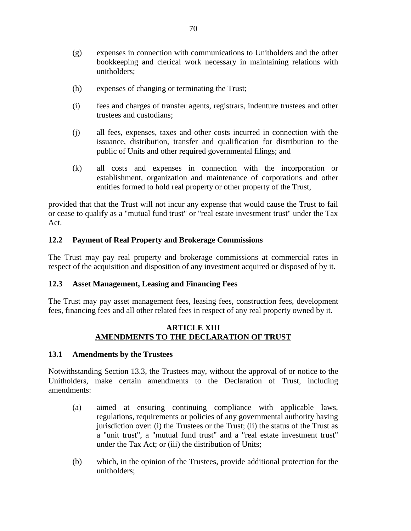- (g) expenses in connection with communications to Unitholders and the other bookkeeping and clerical work necessary in maintaining relations with unitholders;
- (h) expenses of changing or terminating the Trust;
- (i) fees and charges of transfer agents, registrars, indenture trustees and other trustees and custodians;
- (j) all fees, expenses, taxes and other costs incurred in connection with the issuance, distribution, transfer and qualification for distribution to the public of Units and other required governmental filings; and
- (k) all costs and expenses in connection with the incorporation or establishment, organization and maintenance of corporations and other entities formed to hold real property or other property of the Trust,

provided that that the Trust will not incur any expense that would cause the Trust to fail or cease to qualify as a "mutual fund trust" or "real estate investment trust" under the Tax Act.

### **12.2 Payment of Real Property and Brokerage Commissions**

The Trust may pay real property and brokerage commissions at commercial rates in respect of the acquisition and disposition of any investment acquired or disposed of by it.

#### **12.3 Asset Management, Leasing and Financing Fees**

The Trust may pay asset management fees, leasing fees, construction fees, development fees, financing fees and all other related fees in respect of any real property owned by it.

### **ARTICLE XIII AMENDMENTS TO THE DECLARATION OF TRUST**

#### **13.1 Amendments by the Trustees**

Notwithstanding Section 13.3, the Trustees may, without the approval of or notice to the Unitholders, make certain amendments to the Declaration of Trust, including amendments:

- (a) aimed at ensuring continuing compliance with applicable laws, regulations, requirements or policies of any governmental authority having jurisdiction over: (i) the Trustees or the Trust; (ii) the status of the Trust as a "unit trust", a "mutual fund trust" and a "real estate investment trust" under the Tax Act; or (iii) the distribution of Units;
- (b) which, in the opinion of the Trustees, provide additional protection for the unitholders;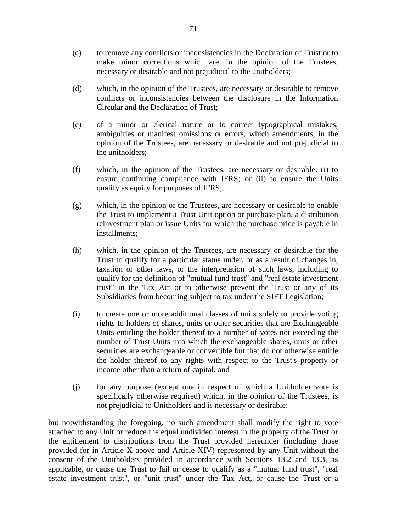- (c) to remove any conflicts or inconsistencies in the Declaration of Trust or to make minor corrections which are, in the opinion of the Trustees, necessary or desirable and not prejudicial to the unitholders;
- (d) which, in the opinion of the Trustees, are necessary or desirable to remove conflicts or inconsistencies between the disclosure in the Information Circular and the Declaration of Trust;
- (e) of a minor or clerical nature or to correct typographical mistakes, ambiguities or manifest omissions or errors, which amendments, in the opinion of the Trustees, are necessary or desirable and not prejudicial to the unitholders;
- (f) which, in the opinion of the Trustees, are necessary or desirable: (i) to ensure continuing compliance with IFRS; or (ii) to ensure the Units qualify as equity for purposes of IFRS;
- (g) which, in the opinion of the Trustees, are necessary or desirable to enable the Trust to implement a Trust Unit option or purchase plan, a distribution reinvestment plan or issue Units for which the purchase price is payable in installments;
- (h) which, in the opinion of the Trustees, are necessary or desirable for the Trust to qualify for a particular status under, or as a result of changes in, taxation or other laws, or the interpretation of such laws, including to qualify for the definition of "mutual fund trust" and "real estate investment trust" in the Tax Act or to otherwise prevent the Trust or any of its Subsidiaries from becoming subject to tax under the SIFT Legislation;
- (i) to create one or more additional classes of units solely to provide voting rights to holders of shares, units or other securities that are Exchangeable Units entitling the holder thereof to a number of votes not exceeding the number of Trust Units into which the exchangeable shares, units or other securities are exchangeable or convertible but that do not otherwise entitle the holder thereof to any rights with respect to the Trust's property or income other than a return of capital; and
- (j) for any purpose (except one in respect of which a Unitholder vote is specifically otherwise required) which, in the opinion of the Trustees, is not prejudicial to Unitholders and is necessary or desirable;

but notwithstanding the foregoing, no such amendment shall modify the right to vote attached to any Unit or reduce the equal undivided interest in the property of the Trust or the entitlement to distributions from the Trust provided hereunder (including those provided for in Article X above and Article XIV) represented by any Unit without the consent of the Unitholders provided in accordance with Sections 13.2 and 13.3, as applicable, or cause the Trust to fail or cease to qualify as a "mutual fund trust", "real estate investment trust", or "unit trust" under the Tax Act, or cause the Trust or a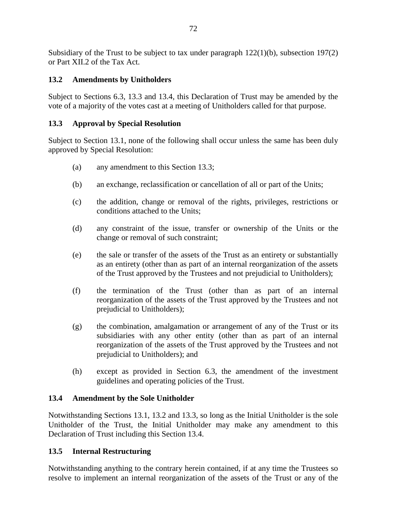Subsidiary of the Trust to be subject to tax under paragraph  $122(1)(b)$ , subsection  $197(2)$ or Part XII.2 of the Tax Act.

# **13.2 Amendments by Unitholders**

Subject to Sections 6.3, 13.3 and 13.4, this Declaration of Trust may be amended by the vote of a majority of the votes cast at a meeting of Unitholders called for that purpose.

# **13.3 Approval by Special Resolution**

Subject to Section 13.1, none of the following shall occur unless the same has been duly approved by Special Resolution:

- (a) any amendment to this Section 13.3;
- (b) an exchange, reclassification or cancellation of all or part of the Units;
- (c) the addition, change or removal of the rights, privileges, restrictions or conditions attached to the Units;
- (d) any constraint of the issue, transfer or ownership of the Units or the change or removal of such constraint;
- (e) the sale or transfer of the assets of the Trust as an entirety or substantially as an entirety (other than as part of an internal reorganization of the assets of the Trust approved by the Trustees and not prejudicial to Unitholders);
- (f) the termination of the Trust (other than as part of an internal reorganization of the assets of the Trust approved by the Trustees and not prejudicial to Unitholders);
- (g) the combination, amalgamation or arrangement of any of the Trust or its subsidiaries with any other entity (other than as part of an internal reorganization of the assets of the Trust approved by the Trustees and not prejudicial to Unitholders); and
- (h) except as provided in Section 6.3, the amendment of the investment guidelines and operating policies of the Trust.

# **13.4 Amendment by the Sole Unitholder**

Notwithstanding Sections 13.1, 13.2 and 13.3, so long as the Initial Unitholder is the sole Unitholder of the Trust, the Initial Unitholder may make any amendment to this Declaration of Trust including this Section 13.4.

# **13.5 Internal Restructuring**

Notwithstanding anything to the contrary herein contained, if at any time the Trustees so resolve to implement an internal reorganization of the assets of the Trust or any of the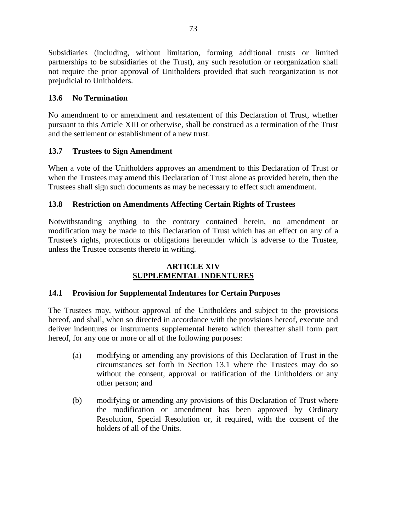Subsidiaries (including, without limitation, forming additional trusts or limited partnerships to be subsidiaries of the Trust), any such resolution or reorganization shall not require the prior approval of Unitholders provided that such reorganization is not prejudicial to Unitholders.

### **13.6 No Termination**

No amendment to or amendment and restatement of this Declaration of Trust, whether pursuant to this Article XIII or otherwise, shall be construed as a termination of the Trust and the settlement or establishment of a new trust.

### **13.7 Trustees to Sign Amendment**

When a vote of the Unitholders approves an amendment to this Declaration of Trust or when the Trustees may amend this Declaration of Trust alone as provided herein, then the Trustees shall sign such documents as may be necessary to effect such amendment.

### **13.8 Restriction on Amendments Affecting Certain Rights of Trustees**

Notwithstanding anything to the contrary contained herein, no amendment or modification may be made to this Declaration of Trust which has an effect on any of a Trustee's rights, protections or obligations hereunder which is adverse to the Trustee, unless the Trustee consents thereto in writing.

### **ARTICLE XIV SUPPLEMENTAL INDENTURES**

#### **14.1 Provision for Supplemental Indentures for Certain Purposes**

The Trustees may, without approval of the Unitholders and subject to the provisions hereof, and shall, when so directed in accordance with the provisions hereof, execute and deliver indentures or instruments supplemental hereto which thereafter shall form part hereof, for any one or more or all of the following purposes:

- (a) modifying or amending any provisions of this Declaration of Trust in the circumstances set forth in Section 13.1 where the Trustees may do so without the consent, approval or ratification of the Unitholders or any other person; and
- (b) modifying or amending any provisions of this Declaration of Trust where the modification or amendment has been approved by Ordinary Resolution, Special Resolution or, if required, with the consent of the holders of all of the Units.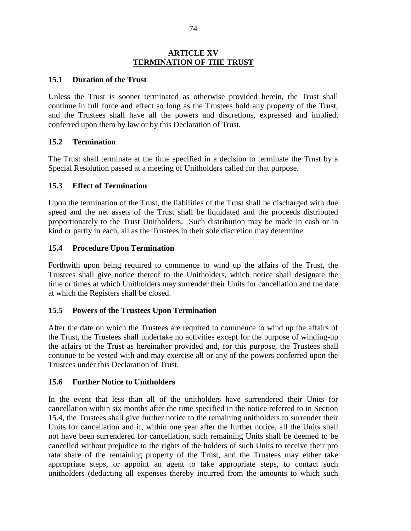#### **ARTICLE XV TERMINATION OF THE TRUST**

#### **15.1 Duration of the Trust**

Unless the Trust is sooner terminated as otherwise provided herein, the Trust shall continue in full force and effect so long as the Trustees hold any property of the Trust, and the Trustees shall have all the powers and discretions, expressed and implied, conferred upon them by law or by this Declaration of Trust.

#### **15.2 Termination**

The Trust shall terminate at the time specified in a decision to terminate the Trust by a Special Resolution passed at a meeting of Unitholders called for that purpose.

#### **15.3 Effect of Termination**

Upon the termination of the Trust, the liabilities of the Trust shall be discharged with due speed and the net assets of the Trust shall be liquidated and the proceeds distributed proportionately to the Trust Unitholders. Such distribution may be made in cash or in kind or partly in each, all as the Trustees in their sole discretion may determine.

### **15.4 Procedure Upon Termination**

Forthwith upon being required to commence to wind up the affairs of the Trust, the Trustees shall give notice thereof to the Unitholders, which notice shall designate the time or times at which Unitholders may surrender their Units for cancellation and the date at which the Registers shall be closed.

#### **15.5 Powers of the Trustees Upon Termination**

After the date on which the Trustees are required to commence to wind up the affairs of the Trust, the Trustees shall undertake no activities except for the purpose of winding-up the affairs of the Trust as hereinafter provided and, for this purpose, the Trustees shall continue to be vested with and may exercise all or any of the powers conferred upon the Trustees under this Declaration of Trust.

#### **15.6 Further Notice to Unitholders**

In the event that less than all of the unitholders have surrendered their Units for cancellation within six months after the time specified in the notice referred to in Section 15.4, the Trustees shall give further notice to the remaining unitholders to surrender their Units for cancellation and if, within one year after the further notice, all the Units shall not have been surrendered for cancellation, such remaining Units shall be deemed to be cancelled without prejudice to the rights of the holders of such Units to receive their pro rata share of the remaining property of the Trust, and the Trustees may either take appropriate steps, or appoint an agent to take appropriate steps, to contact such unitholders (deducting all expenses thereby incurred from the amounts to which such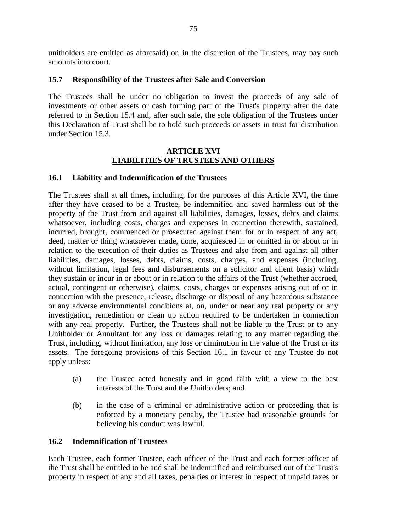unitholders are entitled as aforesaid) or, in the discretion of the Trustees, may pay such amounts into court.

#### **15.7 Responsibility of the Trustees after Sale and Conversion**

The Trustees shall be under no obligation to invest the proceeds of any sale of investments or other assets or cash forming part of the Trust's property after the date referred to in Section 15.4 and, after such sale, the sole obligation of the Trustees under this Declaration of Trust shall be to hold such proceeds or assets in trust for distribution under Section 15.3.

### **ARTICLE XVI LIABILITIES OF TRUSTEES AND OTHERS**

#### **16.1 Liability and Indemnification of the Trustees**

The Trustees shall at all times, including, for the purposes of this Article XVI, the time after they have ceased to be a Trustee, be indemnified and saved harmless out of the property of the Trust from and against all liabilities, damages, losses, debts and claims whatsoever, including costs, charges and expenses in connection therewith, sustained, incurred, brought, commenced or prosecuted against them for or in respect of any act, deed, matter or thing whatsoever made, done, acquiesced in or omitted in or about or in relation to the execution of their duties as Trustees and also from and against all other liabilities, damages, losses, debts, claims, costs, charges, and expenses (including, without limitation, legal fees and disbursements on a solicitor and client basis) which they sustain or incur in or about or in relation to the affairs of the Trust (whether accrued, actual, contingent or otherwise), claims, costs, charges or expenses arising out of or in connection with the presence, release, discharge or disposal of any hazardous substance or any adverse environmental conditions at, on, under or near any real property or any investigation, remediation or clean up action required to be undertaken in connection with any real property. Further, the Trustees shall not be liable to the Trust or to any Unitholder or Annuitant for any loss or damages relating to any matter regarding the Trust, including, without limitation, any loss or diminution in the value of the Trust or its assets. The foregoing provisions of this Section 16.1 in favour of any Trustee do not apply unless:

- (a) the Trustee acted honestly and in good faith with a view to the best interests of the Trust and the Unitholders; and
- (b) in the case of a criminal or administrative action or proceeding that is enforced by a monetary penalty, the Trustee had reasonable grounds for believing his conduct was lawful.

#### **16.2 Indemnification of Trustees**

Each Trustee, each former Trustee, each officer of the Trust and each former officer of the Trust shall be entitled to be and shall be indemnified and reimbursed out of the Trust's property in respect of any and all taxes, penalties or interest in respect of unpaid taxes or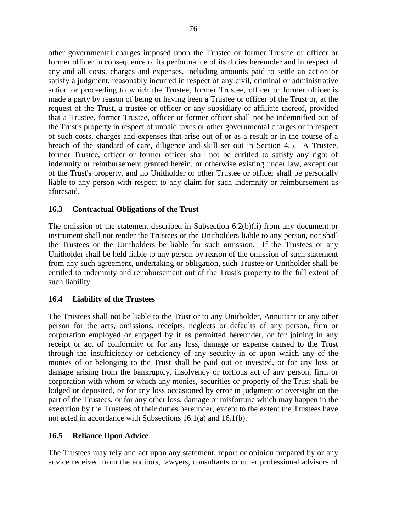other governmental charges imposed upon the Trustee or former Trustee or officer or former officer in consequence of its performance of its duties hereunder and in respect of any and all costs, charges and expenses, including amounts paid to settle an action or satisfy a judgment, reasonably incurred in respect of any civil, criminal or administrative action or proceeding to which the Trustee, former Trustee, officer or former officer is made a party by reason of being or having been a Trustee or officer of the Trust or, at the request of the Trust, a trustee or officer or any subsidiary or affiliate thereof, provided that a Trustee, former Trustee, officer or former officer shall not be indemnified out of the Trust's property in respect of unpaid taxes or other governmental charges or in respect of such costs, charges and expenses that arise out of or as a result or in the course of a breach of the standard of care, diligence and skill set out in Section 4.5. A Trustee, former Trustee, officer or former officer shall not be entitled to satisfy any right of indemnity or reimbursement granted herein, or otherwise existing under law, except out of the Trust's property, and no Unitholder or other Trustee or officer shall be personally liable to any person with respect to any claim for such indemnity or reimbursement as aforesaid.

### **16.3 Contractual Obligations of the Trust**

The omission of the statement described in Subsection 6.2(b)(ii) from any document or instrument shall not render the Trustees or the Unitholders liable to any person, nor shall the Trustees or the Unitholders be liable for such omission. If the Trustees or any Unitholder shall be held liable to any person by reason of the omission of such statement from any such agreement, undertaking or obligation, such Trustee or Unitholder shall be entitled to indemnity and reimbursement out of the Trust's property to the full extent of such liability.

# **16.4 Liability of the Trustees**

The Trustees shall not be liable to the Trust or to any Unitholder, Annuitant or any other person for the acts, omissions, receipts, neglects or defaults of any person, firm or corporation employed or engaged by it as permitted hereunder, or for joining in any receipt or act of conformity or for any loss, damage or expense caused to the Trust through the insufficiency or deficiency of any security in or upon which any of the monies of or belonging to the Trust shall be paid out or invested, or for any loss or damage arising from the bankruptcy, insolvency or tortious act of any person, firm or corporation with whom or which any monies, securities or property of the Trust shall be lodged or deposited, or for any loss occasioned by error in judgment or oversight on the part of the Trustees, or for any other loss, damage or misfortune which may happen in the execution by the Trustees of their duties hereunder, except to the extent the Trustees have not acted in accordance with Subsections 16.1(a) and 16.1(b).

# **16.5 Reliance Upon Advice**

The Trustees may rely and act upon any statement, report or opinion prepared by or any advice received from the auditors, lawyers, consultants or other professional advisors of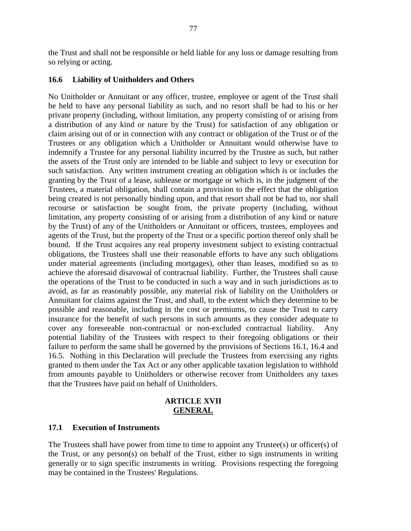the Trust and shall not be responsible or held liable for any loss or damage resulting from so relying or acting.

### **16.6 Liability of Unitholders and Others**

No Unitholder or Annuitant or any officer, trustee, employee or agent of the Trust shall be held to have any personal liability as such, and no resort shall be had to his or her private property (including, without limitation, any property consisting of or arising from a distribution of any kind or nature by the Trust) for satisfaction of any obligation or claim arising out of or in connection with any contract or obligation of the Trust or of the Trustees or any obligation which a Unitholder or Annuitant would otherwise have to indemnify a Trustee for any personal liability incurred by the Trustee as such, but rather the assets of the Trust only are intended to be liable and subject to levy or execution for such satisfaction. Any written instrument creating an obligation which is or includes the granting by the Trust of a lease, sublease or mortgage or which is, in the judgment of the Trustees, a material obligation, shall contain a provision to the effect that the obligation being created is not personally binding upon, and that resort shall not be had to, nor shall recourse or satisfaction be sought from, the private property (including, without limitation, any property consisting of or arising from a distribution of any kind or nature by the Trust) of any of the Unitholders or Annuitant or officers, trustees, employees and agents of the Trust, but the property of the Trust or a specific portion thereof only shall be bound. If the Trust acquires any real property investment subject to existing contractual obligations, the Trustees shall use their reasonable efforts to have any such obligations under material agreements (including mortgages), other than leases, modified so as to achieve the aforesaid disavowal of contractual liability. Further, the Trustees shall cause the operations of the Trust to be conducted in such a way and in such jurisdictions as to avoid, as far as reasonably possible, any material risk of liability on the Unitholders or Annuitant for claims against the Trust, and shall, to the extent which they determine to be possible and reasonable, including in the cost or premiums, to cause the Trust to carry insurance for the benefit of such persons in such amounts as they consider adequate to cover any foreseeable non-contractual or non-excluded contractual liability. Any potential liability of the Trustees with respect to their foregoing obligations or their failure to perform the same shall be governed by the provisions of Sections 16.1, 16.4 and 16.5. Nothing in this Declaration will preclude the Trustees from exercising any rights granted to them under the Tax Act or any other applicable taxation legislation to withhold from amounts payable to Unitholders or otherwise recover from Unitholders any taxes that the Trustees have paid on behalf of Unitholders.

#### **ARTICLE XVII GENERAL**

#### **17.1 Execution of Instruments**

The Trustees shall have power from time to time to appoint any Trustee(s) or officer(s) of the Trust, or any person(s) on behalf of the Trust, either to sign instruments in writing generally or to sign specific instruments in writing. Provisions respecting the foregoing may be contained in the Trustees' Regulations.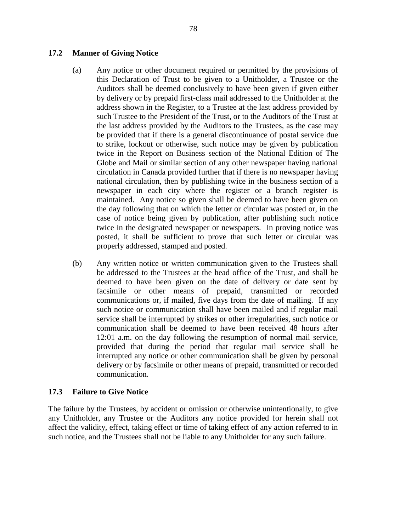#### **17.2 Manner of Giving Notice**

- (a) Any notice or other document required or permitted by the provisions of this Declaration of Trust to be given to a Unitholder, a Trustee or the Auditors shall be deemed conclusively to have been given if given either by delivery or by prepaid first-class mail addressed to the Unitholder at the address shown in the Register, to a Trustee at the last address provided by such Trustee to the President of the Trust, or to the Auditors of the Trust at the last address provided by the Auditors to the Trustees, as the case may be provided that if there is a general discontinuance of postal service due to strike, lockout or otherwise, such notice may be given by publication twice in the Report on Business section of the National Edition of The Globe and Mail or similar section of any other newspaper having national circulation in Canada provided further that if there is no newspaper having national circulation, then by publishing twice in the business section of a newspaper in each city where the register or a branch register is maintained. Any notice so given shall be deemed to have been given on the day following that on which the letter or circular was posted or, in the case of notice being given by publication, after publishing such notice twice in the designated newspaper or newspapers. In proving notice was posted, it shall be sufficient to prove that such letter or circular was properly addressed, stamped and posted.
- (b) Any written notice or written communication given to the Trustees shall be addressed to the Trustees at the head office of the Trust, and shall be deemed to have been given on the date of delivery or date sent by facsimile or other means of prepaid, transmitted or recorded communications or, if mailed, five days from the date of mailing. If any such notice or communication shall have been mailed and if regular mail service shall be interrupted by strikes or other irregularities, such notice or communication shall be deemed to have been received 48 hours after 12:01 a.m. on the day following the resumption of normal mail service, provided that during the period that regular mail service shall be interrupted any notice or other communication shall be given by personal delivery or by facsimile or other means of prepaid, transmitted or recorded communication.

#### **17.3 Failure to Give Notice**

The failure by the Trustees, by accident or omission or otherwise unintentionally, to give any Unitholder, any Trustee or the Auditors any notice provided for herein shall not affect the validity, effect, taking effect or time of taking effect of any action referred to in such notice, and the Trustees shall not be liable to any Unitholder for any such failure.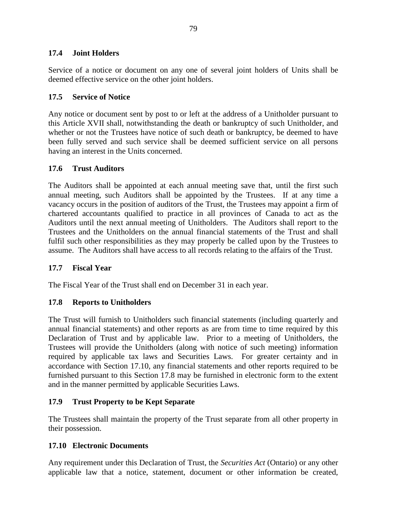#### **17.4 Joint Holders**

Service of a notice or document on any one of several joint holders of Units shall be deemed effective service on the other joint holders.

### **17.5 Service of Notice**

Any notice or document sent by post to or left at the address of a Unitholder pursuant to this Article XVII shall, notwithstanding the death or bankruptcy of such Unitholder, and whether or not the Trustees have notice of such death or bankruptcy, be deemed to have been fully served and such service shall be deemed sufficient service on all persons having an interest in the Units concerned.

# **17.6 Trust Auditors**

The Auditors shall be appointed at each annual meeting save that, until the first such annual meeting, such Auditors shall be appointed by the Trustees. If at any time a vacancy occurs in the position of auditors of the Trust, the Trustees may appoint a firm of chartered accountants qualified to practice in all provinces of Canada to act as the Auditors until the next annual meeting of Unitholders. The Auditors shall report to the Trustees and the Unitholders on the annual financial statements of the Trust and shall fulfil such other responsibilities as they may properly be called upon by the Trustees to assume. The Auditors shall have access to all records relating to the affairs of the Trust.

### **17.7 Fiscal Year**

The Fiscal Year of the Trust shall end on December 31 in each year.

# **17.8 Reports to Unitholders**

The Trust will furnish to Unitholders such financial statements (including quarterly and annual financial statements) and other reports as are from time to time required by this Declaration of Trust and by applicable law. Prior to a meeting of Unitholders, the Trustees will provide the Unitholders (along with notice of such meeting) information required by applicable tax laws and Securities Laws. For greater certainty and in accordance with Section 17.10, any financial statements and other reports required to be furnished pursuant to this Section 17.8 may be furnished in electronic form to the extent and in the manner permitted by applicable Securities Laws.

# **17.9 Trust Property to be Kept Separate**

The Trustees shall maintain the property of the Trust separate from all other property in their possession.

#### **17.10 Electronic Documents**

Any requirement under this Declaration of Trust, the *Securities Act* (Ontario) or any other applicable law that a notice, statement, document or other information be created,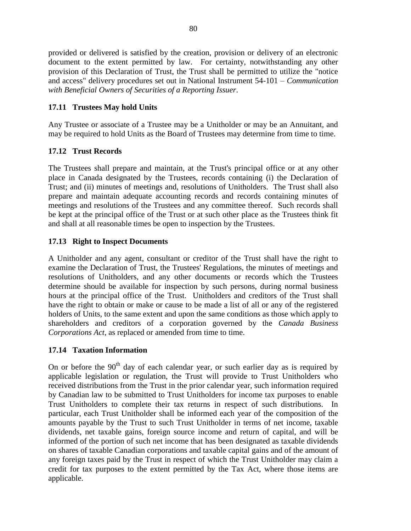provided or delivered is satisfied by the creation, provision or delivery of an electronic document to the extent permitted by law. For certainty, notwithstanding any other provision of this Declaration of Trust, the Trust shall be permitted to utilize the "notice and access" delivery procedures set out in National Instrument 54-101 – *Communication with Beneficial Owners of Securities of a Reporting Issuer*.

# **17.11 Trustees May hold Units**

Any Trustee or associate of a Trustee may be a Unitholder or may be an Annuitant, and may be required to hold Units as the Board of Trustees may determine from time to time.

# **17.12 Trust Records**

The Trustees shall prepare and maintain, at the Trust's principal office or at any other place in Canada designated by the Trustees, records containing (i) the Declaration of Trust; and (ii) minutes of meetings and, resolutions of Unitholders. The Trust shall also prepare and maintain adequate accounting records and records containing minutes of meetings and resolutions of the Trustees and any committee thereof. Such records shall be kept at the principal office of the Trust or at such other place as the Trustees think fit and shall at all reasonable times be open to inspection by the Trustees.

# **17.13 Right to Inspect Documents**

A Unitholder and any agent, consultant or creditor of the Trust shall have the right to examine the Declaration of Trust, the Trustees' Regulations, the minutes of meetings and resolutions of Unitholders, and any other documents or records which the Trustees determine should be available for inspection by such persons, during normal business hours at the principal office of the Trust. Unitholders and creditors of the Trust shall have the right to obtain or make or cause to be made a list of all or any of the registered holders of Units, to the same extent and upon the same conditions as those which apply to shareholders and creditors of a corporation governed by the *Canada Business Corporations Act*, as replaced or amended from time to time.

# **17.14 Taxation Information**

On or before the  $90<sup>th</sup>$  day of each calendar year, or such earlier day as is required by applicable legislation or regulation, the Trust will provide to Trust Unitholders who received distributions from the Trust in the prior calendar year, such information required by Canadian law to be submitted to Trust Unitholders for income tax purposes to enable Trust Unitholders to complete their tax returns in respect of such distributions. In particular, each Trust Unitholder shall be informed each year of the composition of the amounts payable by the Trust to such Trust Unitholder in terms of net income, taxable dividends, net taxable gains, foreign source income and return of capital, and will be informed of the portion of such net income that has been designated as taxable dividends on shares of taxable Canadian corporations and taxable capital gains and of the amount of any foreign taxes paid by the Trust in respect of which the Trust Unitholder may claim a credit for tax purposes to the extent permitted by the Tax Act, where those items are applicable.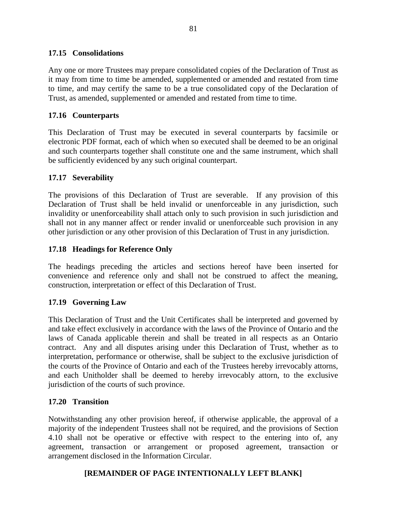#### **17.15 Consolidations**

Any one or more Trustees may prepare consolidated copies of the Declaration of Trust as it may from time to time be amended, supplemented or amended and restated from time to time, and may certify the same to be a true consolidated copy of the Declaration of Trust, as amended, supplemented or amended and restated from time to time.

### **17.16 Counterparts**

This Declaration of Trust may be executed in several counterparts by facsimile or electronic PDF format, each of which when so executed shall be deemed to be an original and such counterparts together shall constitute one and the same instrument, which shall be sufficiently evidenced by any such original counterpart.

### **17.17 Severability**

The provisions of this Declaration of Trust are severable. If any provision of this Declaration of Trust shall be held invalid or unenforceable in any jurisdiction, such invalidity or unenforceability shall attach only to such provision in such jurisdiction and shall not in any manner affect or render invalid or unenforceable such provision in any other jurisdiction or any other provision of this Declaration of Trust in any jurisdiction.

### **17.18 Headings for Reference Only**

The headings preceding the articles and sections hereof have been inserted for convenience and reference only and shall not be construed to affect the meaning, construction, interpretation or effect of this Declaration of Trust.

# **17.19 Governing Law**

This Declaration of Trust and the Unit Certificates shall be interpreted and governed by and take effect exclusively in accordance with the laws of the Province of Ontario and the laws of Canada applicable therein and shall be treated in all respects as an Ontario contract. Any and all disputes arising under this Declaration of Trust, whether as to interpretation, performance or otherwise, shall be subject to the exclusive jurisdiction of the courts of the Province of Ontario and each of the Trustees hereby irrevocably attorns, and each Unitholder shall be deemed to hereby irrevocably attorn, to the exclusive jurisdiction of the courts of such province.

#### **17.20 Transition**

Notwithstanding any other provision hereof, if otherwise applicable, the approval of a majority of the independent Trustees shall not be required, and the provisions of Section 4.10 shall not be operative or effective with respect to the entering into of, any agreement, transaction or arrangement or proposed agreement, transaction or arrangement disclosed in the Information Circular.

# **[REMAINDER OF PAGE INTENTIONALLY LEFT BLANK]**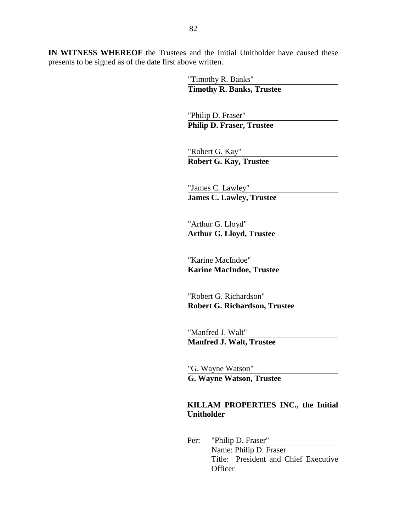**IN WITNESS WHEREOF** the Trustees and the Initial Unitholder have caused these presents to be signed as of the date first above written.

> "Timothy R. Banks" **Timothy R. Banks, Trustee**

"Philip D. Fraser" **Philip D. Fraser, Trustee**

"Robert G. Kay" **Robert G. Kay, Trustee**

"James C. Lawley" **James C. Lawley, Trustee**

"Arthur G. Lloyd" **Arthur G. Lloyd, Trustee**

"Karine MacIndoe" **Karine MacIndoe, Trustee**

"Robert G. Richardson" **Robert G. Richardson, Trustee**

"Manfred J. Walt" **Manfred J. Walt, Trustee**

"G. Wayne Watson" **G. Wayne Watson, Trustee**

# **KILLAM PROPERTIES INC., the Initial Unitholder**

Per: "Philip D. Fraser" Name: Philip D. Fraser Title: President and Chief Executive **Officer**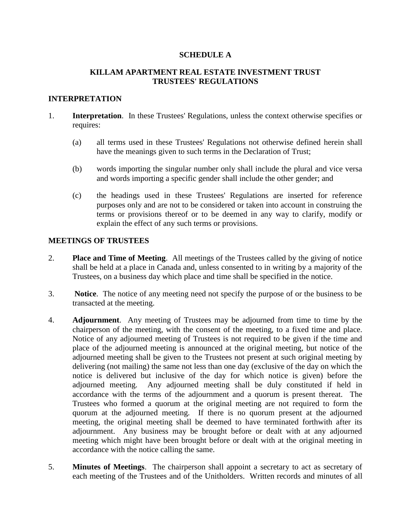#### **SCHEDULE A**

#### **KILLAM APARTMENT REAL ESTATE INVESTMENT TRUST TRUSTEES' REGULATIONS**

#### **INTERPRETATION**

- 1. **Interpretation**. In these Trustees' Regulations, unless the context otherwise specifies or requires:
	- (a) all terms used in these Trustees' Regulations not otherwise defined herein shall have the meanings given to such terms in the Declaration of Trust;
	- (b) words importing the singular number only shall include the plural and vice versa and words importing a specific gender shall include the other gender; and
	- (c) the headings used in these Trustees' Regulations are inserted for reference purposes only and are not to be considered or taken into account in construing the terms or provisions thereof or to be deemed in any way to clarify, modify or explain the effect of any such terms or provisions.

#### **MEETINGS OF TRUSTEES**

- 2. **Place and Time of Meeting**. All meetings of the Trustees called by the giving of notice shall be held at a place in Canada and, unless consented to in writing by a majority of the Trustees, on a business day which place and time shall be specified in the notice.
- 3. **Notice**. The notice of any meeting need not specify the purpose of or the business to be transacted at the meeting.
- 4. **Adjournment**. Any meeting of Trustees may be adjourned from time to time by the chairperson of the meeting, with the consent of the meeting, to a fixed time and place. Notice of any adjourned meeting of Trustees is not required to be given if the time and place of the adjourned meeting is announced at the original meeting, but notice of the adjourned meeting shall be given to the Trustees not present at such original meeting by delivering (not mailing) the same not less than one day (exclusive of the day on which the notice is delivered but inclusive of the day for which notice is given) before the adjourned meeting. Any adjourned meeting shall be duly constituted if held in accordance with the terms of the adjournment and a quorum is present thereat. The Trustees who formed a quorum at the original meeting are not required to form the quorum at the adjourned meeting. If there is no quorum present at the adjourned meeting, the original meeting shall be deemed to have terminated forthwith after its adjournment. Any business may be brought before or dealt with at any adjourned meeting which might have been brought before or dealt with at the original meeting in accordance with the notice calling the same.
- 5. **Minutes of Meetings**. The chairperson shall appoint a secretary to act as secretary of each meeting of the Trustees and of the Unitholders. Written records and minutes of all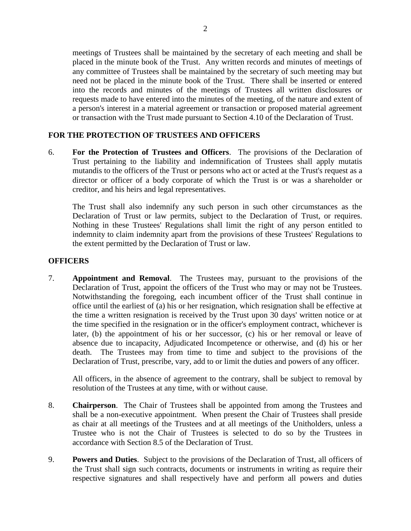meetings of Trustees shall be maintained by the secretary of each meeting and shall be placed in the minute book of the Trust. Any written records and minutes of meetings of any committee of Trustees shall be maintained by the secretary of such meeting may but need not be placed in the minute book of the Trust. There shall be inserted or entered into the records and minutes of the meetings of Trustees all written disclosures or requests made to have entered into the minutes of the meeting, of the nature and extent of a person's interest in a material agreement or transaction or proposed material agreement or transaction with the Trust made pursuant to Section 4.10 of the Declaration of Trust.

### **FOR THE PROTECTION OF TRUSTEES AND OFFICERS**

6. **For the Protection of Trustees and Officers**. The provisions of the Declaration of Trust pertaining to the liability and indemnification of Trustees shall apply mutatis mutandis to the officers of the Trust or persons who act or acted at the Trust's request as a director or officer of a body corporate of which the Trust is or was a shareholder or creditor, and his heirs and legal representatives.

The Trust shall also indemnify any such person in such other circumstances as the Declaration of Trust or law permits, subject to the Declaration of Trust, or requires. Nothing in these Trustees' Regulations shall limit the right of any person entitled to indemnity to claim indemnity apart from the provisions of these Trustees' Regulations to the extent permitted by the Declaration of Trust or law.

#### **OFFICERS**

7. **Appointment and Removal**. The Trustees may, pursuant to the provisions of the Declaration of Trust, appoint the officers of the Trust who may or may not be Trustees. Notwithstanding the foregoing, each incumbent officer of the Trust shall continue in office until the earliest of (a) his or her resignation, which resignation shall be effective at the time a written resignation is received by the Trust upon 30 days' written notice or at the time specified in the resignation or in the officer's employment contract, whichever is later, (b) the appointment of his or her successor, (c) his or her removal or leave of absence due to incapacity, Adjudicated Incompetence or otherwise, and (d) his or her death. The Trustees may from time to time and subject to the provisions of the Declaration of Trust, prescribe, vary, add to or limit the duties and powers of any officer.

All officers, in the absence of agreement to the contrary, shall be subject to removal by resolution of the Trustees at any time, with or without cause.

- 8. **Chairperson**. The Chair of Trustees shall be appointed from among the Trustees and shall be a non-executive appointment. When present the Chair of Trustees shall preside as chair at all meetings of the Trustees and at all meetings of the Unitholders, unless a Trustee who is not the Chair of Trustees is selected to do so by the Trustees in accordance with Section 8.5 of the Declaration of Trust.
- 9. **Powers and Duties**. Subject to the provisions of the Declaration of Trust, all officers of the Trust shall sign such contracts, documents or instruments in writing as require their respective signatures and shall respectively have and perform all powers and duties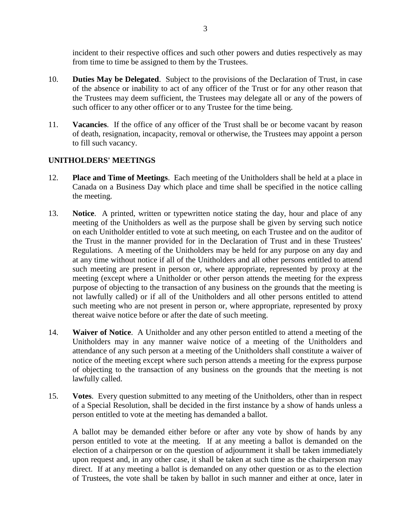incident to their respective offices and such other powers and duties respectively as may from time to time be assigned to them by the Trustees.

- 10. **Duties May be Delegated**. Subject to the provisions of the Declaration of Trust, in case of the absence or inability to act of any officer of the Trust or for any other reason that the Trustees may deem sufficient, the Trustees may delegate all or any of the powers of such officer to any other officer or to any Trustee for the time being.
- 11. **Vacancies**. If the office of any officer of the Trust shall be or become vacant by reason of death, resignation, incapacity, removal or otherwise, the Trustees may appoint a person to fill such vacancy.

### **UNITHOLDERS' MEETINGS**

- 12. **Place and Time of Meetings**. Each meeting of the Unitholders shall be held at a place in Canada on a Business Day which place and time shall be specified in the notice calling the meeting.
- 13. **Notice**. A printed, written or typewritten notice stating the day, hour and place of any meeting of the Unitholders as well as the purpose shall be given by serving such notice on each Unitholder entitled to vote at such meeting, on each Trustee and on the auditor of the Trust in the manner provided for in the Declaration of Trust and in these Trustees' Regulations. A meeting of the Unitholders may be held for any purpose on any day and at any time without notice if all of the Unitholders and all other persons entitled to attend such meeting are present in person or, where appropriate, represented by proxy at the meeting (except where a Unitholder or other person attends the meeting for the express purpose of objecting to the transaction of any business on the grounds that the meeting is not lawfully called) or if all of the Unitholders and all other persons entitled to attend such meeting who are not present in person or, where appropriate, represented by proxy thereat waive notice before or after the date of such meeting.
- 14. **Waiver of Notice**. A Unitholder and any other person entitled to attend a meeting of the Unitholders may in any manner waive notice of a meeting of the Unitholders and attendance of any such person at a meeting of the Unitholders shall constitute a waiver of notice of the meeting except where such person attends a meeting for the express purpose of objecting to the transaction of any business on the grounds that the meeting is not lawfully called.
- 15. **Votes**. Every question submitted to any meeting of the Unitholders, other than in respect of a Special Resolution, shall be decided in the first instance by a show of hands unless a person entitled to vote at the meeting has demanded a ballot.

A ballot may be demanded either before or after any vote by show of hands by any person entitled to vote at the meeting. If at any meeting a ballot is demanded on the election of a chairperson or on the question of adjournment it shall be taken immediately upon request and, in any other case, it shall be taken at such time as the chairperson may direct. If at any meeting a ballot is demanded on any other question or as to the election of Trustees, the vote shall be taken by ballot in such manner and either at once, later in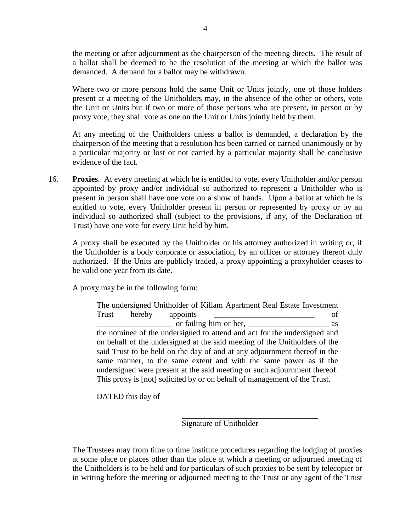the meeting or after adjournment as the chairperson of the meeting directs. The result of a ballot shall be deemed to be the resolution of the meeting at which the ballot was demanded. A demand for a ballot may be withdrawn.

Where two or more persons hold the same Unit or Units jointly, one of those holders present at a meeting of the Unitholders may, in the absence of the other or others, vote the Unit or Units but if two or more of those persons who are present, in person or by proxy vote, they shall vote as one on the Unit or Units jointly held by them.

At any meeting of the Unitholders unless a ballot is demanded, a declaration by the chairperson of the meeting that a resolution has been carried or carried unanimously or by a particular majority or lost or not carried by a particular majority shall be conclusive evidence of the fact.

16. **Proxies**. At every meeting at which he is entitled to vote, every Unitholder and/or person appointed by proxy and/or individual so authorized to represent a Unitholder who is present in person shall have one vote on a show of hands. Upon a ballot at which he is entitled to vote, every Unitholder present in person or represented by proxy or by an individual so authorized shall (subject to the provisions, if any, of the Declaration of Trust) have one vote for every Unit held by him.

A proxy shall be executed by the Unitholder or his attorney authorized in writing or, if the Unitholder is a body corporate or association, by an officer or attorney thereof duly authorized. If the Units are publicly traded, a proxy appointing a proxyholder ceases to be valid one year from its date.

A proxy may be in the following form:

The undersigned Unitholder of Killam Apartment Real Estate Investment Trust hereby appoints of or failing him or her, as the nominee of the undersigned to attend and act for the undersigned and on behalf of the undersigned at the said meeting of the Unitholders of the said Trust to be held on the day of and at any adjournment thereof in the same manner, to the same extent and with the same power as if the undersigned were present at the said meeting or such adjournment thereof. This proxy is [not] solicited by or on behalf of management of the Trust.

DATED this day of

Signature of Unitholder

The Trustees may from time to time institute procedures regarding the lodging of proxies at some place or places other than the place at which a meeting or adjourned meeting of the Unitholders is to be held and for particulars of such proxies to be sent by telecopier or in writing before the meeting or adjourned meeting to the Trust or any agent of the Trust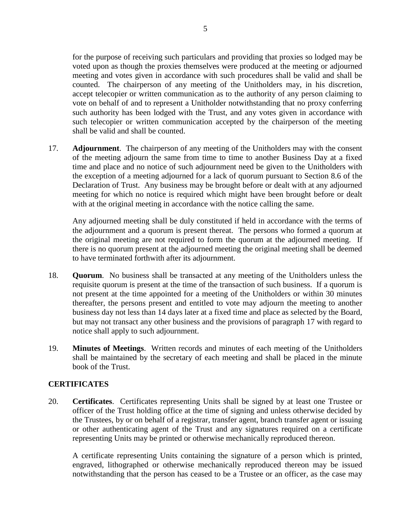for the purpose of receiving such particulars and providing that proxies so lodged may be voted upon as though the proxies themselves were produced at the meeting or adjourned meeting and votes given in accordance with such procedures shall be valid and shall be counted. The chairperson of any meeting of the Unitholders may, in his discretion, accept telecopier or written communication as to the authority of any person claiming to vote on behalf of and to represent a Unitholder notwithstanding that no proxy conferring such authority has been lodged with the Trust, and any votes given in accordance with such telecopier or written communication accepted by the chairperson of the meeting shall be valid and shall be counted.

17. **Adjournment**. The chairperson of any meeting of the Unitholders may with the consent of the meeting adjourn the same from time to time to another Business Day at a fixed time and place and no notice of such adjournment need be given to the Unitholders with the exception of a meeting adjourned for a lack of quorum pursuant to Section 8.6 of the Declaration of Trust. Any business may be brought before or dealt with at any adjourned meeting for which no notice is required which might have been brought before or dealt with at the original meeting in accordance with the notice calling the same.

Any adjourned meeting shall be duly constituted if held in accordance with the terms of the adjournment and a quorum is present thereat. The persons who formed a quorum at the original meeting are not required to form the quorum at the adjourned meeting. If there is no quorum present at the adjourned meeting the original meeting shall be deemed to have terminated forthwith after its adjournment.

- 18. **Quorum**. No business shall be transacted at any meeting of the Unitholders unless the requisite quorum is present at the time of the transaction of such business. If a quorum is not present at the time appointed for a meeting of the Unitholders or within 30 minutes thereafter, the persons present and entitled to vote may adjourn the meeting to another business day not less than 14 days later at a fixed time and place as selected by the Board, but may not transact any other business and the provisions of paragraph 17 with regard to notice shall apply to such adjournment.
- 19. **Minutes of Meetings**. Written records and minutes of each meeting of the Unitholders shall be maintained by the secretary of each meeting and shall be placed in the minute book of the Trust.

#### **CERTIFICATES**

20. **Certificates**. Certificates representing Units shall be signed by at least one Trustee or officer of the Trust holding office at the time of signing and unless otherwise decided by the Trustees, by or on behalf of a registrar, transfer agent, branch transfer agent or issuing or other authenticating agent of the Trust and any signatures required on a certificate representing Units may be printed or otherwise mechanically reproduced thereon.

A certificate representing Units containing the signature of a person which is printed, engraved, lithographed or otherwise mechanically reproduced thereon may be issued notwithstanding that the person has ceased to be a Trustee or an officer, as the case may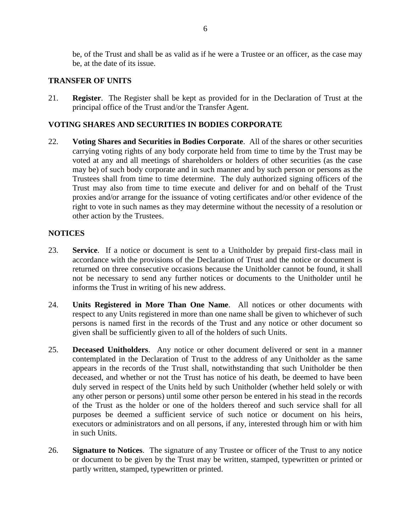be, of the Trust and shall be as valid as if he were a Trustee or an officer, as the case may be, at the date of its issue.

#### **TRANSFER OF UNITS**

21. **Register**. The Register shall be kept as provided for in the Declaration of Trust at the principal office of the Trust and/or the Transfer Agent.

#### **VOTING SHARES AND SECURITIES IN BODIES CORPORATE**

22. **Voting Shares and Securities in Bodies Corporate**. All of the shares or other securities carrying voting rights of any body corporate held from time to time by the Trust may be voted at any and all meetings of shareholders or holders of other securities (as the case may be) of such body corporate and in such manner and by such person or persons as the Trustees shall from time to time determine. The duly authorized signing officers of the Trust may also from time to time execute and deliver for and on behalf of the Trust proxies and/or arrange for the issuance of voting certificates and/or other evidence of the right to vote in such names as they may determine without the necessity of a resolution or other action by the Trustees.

#### **NOTICES**

- 23. **Service**. If a notice or document is sent to a Unitholder by prepaid first-class mail in accordance with the provisions of the Declaration of Trust and the notice or document is returned on three consecutive occasions because the Unitholder cannot be found, it shall not be necessary to send any further notices or documents to the Unitholder until he informs the Trust in writing of his new address.
- 24. **Units Registered in More Than One Name**. All notices or other documents with respect to any Units registered in more than one name shall be given to whichever of such persons is named first in the records of the Trust and any notice or other document so given shall be sufficiently given to all of the holders of such Units.
- 25. **Deceased Unitholders**. Any notice or other document delivered or sent in a manner contemplated in the Declaration of Trust to the address of any Unitholder as the same appears in the records of the Trust shall, notwithstanding that such Unitholder be then deceased, and whether or not the Trust has notice of his death, be deemed to have been duly served in respect of the Units held by such Unitholder (whether held solely or with any other person or persons) until some other person be entered in his stead in the records of the Trust as the holder or one of the holders thereof and such service shall for all purposes be deemed a sufficient service of such notice or document on his heirs, executors or administrators and on all persons, if any, interested through him or with him in such Units.
- 26. **Signature to Notices**. The signature of any Trustee or officer of the Trust to any notice or document to be given by the Trust may be written, stamped, typewritten or printed or partly written, stamped, typewritten or printed.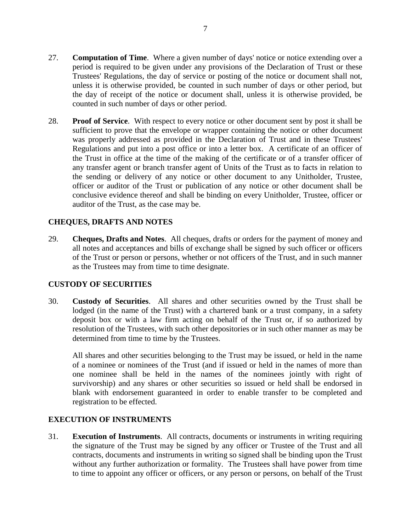- 27. **Computation of Time**. Where a given number of days' notice or notice extending over a period is required to be given under any provisions of the Declaration of Trust or these Trustees' Regulations, the day of service or posting of the notice or document shall not, unless it is otherwise provided, be counted in such number of days or other period, but the day of receipt of the notice or document shall, unless it is otherwise provided, be counted in such number of days or other period.
- 28. **Proof of Service**. With respect to every notice or other document sent by post it shall be sufficient to prove that the envelope or wrapper containing the notice or other document was properly addressed as provided in the Declaration of Trust and in these Trustees' Regulations and put into a post office or into a letter box. A certificate of an officer of the Trust in office at the time of the making of the certificate or of a transfer officer of any transfer agent or branch transfer agent of Units of the Trust as to facts in relation to the sending or delivery of any notice or other document to any Unitholder, Trustee, officer or auditor of the Trust or publication of any notice or other document shall be conclusive evidence thereof and shall be binding on every Unitholder, Trustee, officer or auditor of the Trust, as the case may be.

# **CHEQUES, DRAFTS AND NOTES**

29. **Cheques, Drafts and Notes**. All cheques, drafts or orders for the payment of money and all notes and acceptances and bills of exchange shall be signed by such officer or officers of the Trust or person or persons, whether or not officers of the Trust, and in such manner as the Trustees may from time to time designate.

#### **CUSTODY OF SECURITIES**

30. **Custody of Securities**. All shares and other securities owned by the Trust shall be lodged (in the name of the Trust) with a chartered bank or a trust company, in a safety deposit box or with a law firm acting on behalf of the Trust or, if so authorized by resolution of the Trustees, with such other depositories or in such other manner as may be determined from time to time by the Trustees.

All shares and other securities belonging to the Trust may be issued, or held in the name of a nominee or nominees of the Trust (and if issued or held in the names of more than one nominee shall be held in the names of the nominees jointly with right of survivorship) and any shares or other securities so issued or held shall be endorsed in blank with endorsement guaranteed in order to enable transfer to be completed and registration to be effected.

#### **EXECUTION OF INSTRUMENTS**

31. **Execution of Instruments**. All contracts, documents or instruments in writing requiring the signature of the Trust may be signed by any officer or Trustee of the Trust and all contracts, documents and instruments in writing so signed shall be binding upon the Trust without any further authorization or formality. The Trustees shall have power from time to time to appoint any officer or officers, or any person or persons, on behalf of the Trust